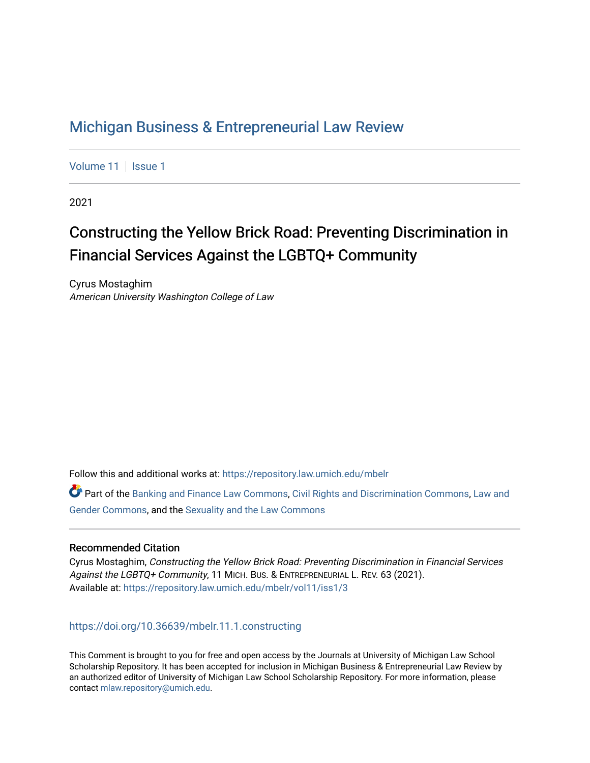## [Michigan Business & Entrepreneurial Law Review](https://repository.law.umich.edu/mbelr)

[Volume 11](https://repository.law.umich.edu/mbelr/vol11) | [Issue 1](https://repository.law.umich.edu/mbelr/vol11/iss1)

2021

# Constructing the Yellow Brick Road: Preventing Discrimination in Financial Services Against the LGBTQ+ Community

Cyrus Mostaghim American University Washington College of Law

Follow this and additional works at: [https://repository.law.umich.edu/mbelr](https://repository.law.umich.edu/mbelr?utm_source=repository.law.umich.edu%2Fmbelr%2Fvol11%2Fiss1%2F3&utm_medium=PDF&utm_campaign=PDFCoverPages)

**C** Part of the [Banking and Finance Law Commons,](https://network.bepress.com/hgg/discipline/833?utm_source=repository.law.umich.edu%2Fmbelr%2Fvol11%2Fiss1%2F3&utm_medium=PDF&utm_campaign=PDFCoverPages) [Civil Rights and Discrimination Commons](https://network.bepress.com/hgg/discipline/585?utm_source=repository.law.umich.edu%2Fmbelr%2Fvol11%2Fiss1%2F3&utm_medium=PDF&utm_campaign=PDFCoverPages), Law and [Gender Commons,](https://network.bepress.com/hgg/discipline/1298?utm_source=repository.law.umich.edu%2Fmbelr%2Fvol11%2Fiss1%2F3&utm_medium=PDF&utm_campaign=PDFCoverPages) and the [Sexuality and the Law Commons](https://network.bepress.com/hgg/discipline/877?utm_source=repository.law.umich.edu%2Fmbelr%2Fvol11%2Fiss1%2F3&utm_medium=PDF&utm_campaign=PDFCoverPages) 

## Recommended Citation

Cyrus Mostaghim, Constructing the Yellow Brick Road: Preventing Discrimination in Financial Services Against the LGBTQ+ Community, 11 MICH. BUS. & ENTREPRENEURIAL L. REV. 63 (2021). Available at: [https://repository.law.umich.edu/mbelr/vol11/iss1/3](https://repository.law.umich.edu/mbelr/vol11/iss1/3?utm_source=repository.law.umich.edu%2Fmbelr%2Fvol11%2Fiss1%2F3&utm_medium=PDF&utm_campaign=PDFCoverPages)

<https://doi.org/10.36639/mbelr.11.1.constructing>

This Comment is brought to you for free and open access by the Journals at University of Michigan Law School Scholarship Repository. It has been accepted for inclusion in Michigan Business & Entrepreneurial Law Review by an authorized editor of University of Michigan Law School Scholarship Repository. For more information, please contact [mlaw.repository@umich.edu](mailto:mlaw.repository@umich.edu).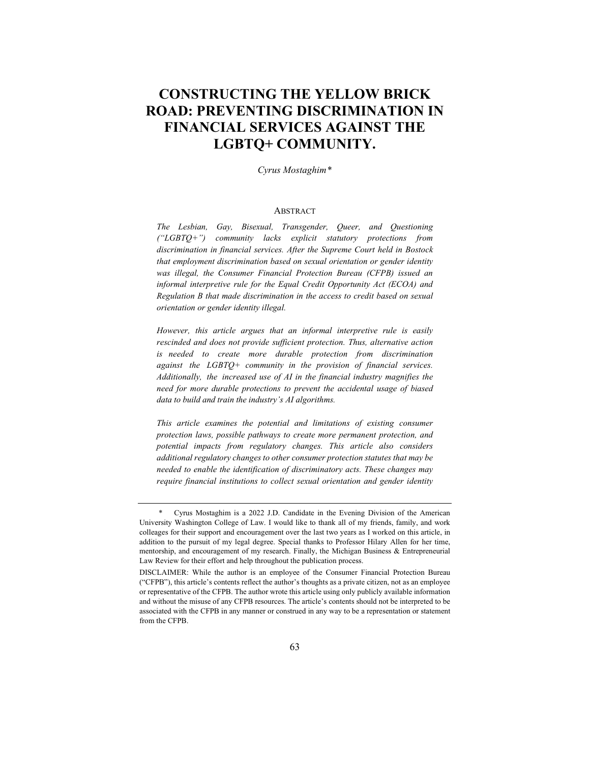## **CONSTRUCTING THE YELLOW BRICK ROAD: PREVENTING DISCRIMINATION IN FINANCIAL SERVICES AGAINST THE LGBTQ+ COMMUNITY.**

*Cyrus Mostaghim\**

## ABSTRACT

*The Lesbian, Gay, Bisexual, Transgender, Queer, and Questioning ("LGBTQ+") community lacks explicit statutory protections from discrimination in financial services. After the Supreme Court held in Bostock that employment discrimination based on sexual orientation or gender identity was illegal, the Consumer Financial Protection Bureau (CFPB) issued an informal interpretive rule for the Equal Credit Opportunity Act (ECOA) and Regulation B that made discrimination in the access to credit based on sexual orientation or gender identity illegal.* 

*However, this article argues that an informal interpretive rule is easily rescinded and does not provide sufficient protection. Thus, alternative action is needed to create more durable protection from discrimination against the LGBTQ+ community in the provision of financial services. Additionally, the increased use of AI in the financial industry magnifies the need for more durable protections to prevent the accidental usage of biased data to build and train the industry's AI algorithms.* 

*This article examines the potential and limitations of existing consumer protection laws, possible pathways to create more permanent protection, and potential impacts from regulatory changes. This article also considers additional regulatory changes to other consumer protection statutes that may be needed to enable the identification of discriminatory acts. These changes may require financial institutions to collect sexual orientation and gender identity* 

<sup>\*</sup> Cyrus Mostaghim is a 2022 J.D. Candidate in the Evening Division of the American University Washington College of Law. I would like to thank all of my friends, family, and work colleages for their support and encouragement over the last two years as I worked on this article, in addition to the pursuit of my legal degree. Special thanks to Professor Hilary Allen for her time, mentorship, and encouragement of my research. Finally, the Michigan Business & Entrepreneurial Law Review for their effort and help throughout the publication process.

DISCLAIMER: While the author is an employee of the Consumer Financial Protection Bureau ("CFPB"), this article's contents reflect the author's thoughts as a private citizen, not as an employee or representative of the CFPB. The author wrote this article using only publicly available information and without the misuse of any CFPB resources. The article's contents should not be interpreted to be associated with the CFPB in any manner or construed in any way to be a representation or statement from the CFPB.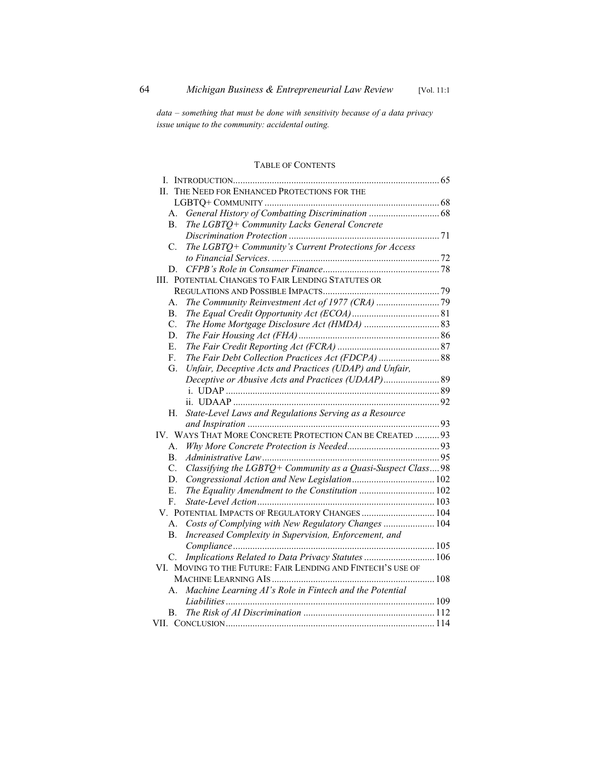*data – something that must be done with sensitivity because of a data privacy issue unique to the community: accidental outing.*

## TABLE OF CONTENTS

| THE NEED FOR ENHANCED PROTECTIONS FOR THE<br>H.                   |  |
|-------------------------------------------------------------------|--|
|                                                                   |  |
| А.                                                                |  |
| <b>B.</b><br>The LGBTQ+ Community Lacks General Concrete          |  |
|                                                                   |  |
| The LGBTQ+ Community's Current Protections for Access<br>C.       |  |
|                                                                   |  |
| D.                                                                |  |
| III. POTENTIAL CHANGES TO FAIR LENDING STATUTES OR                |  |
|                                                                   |  |
| А.                                                                |  |
| <b>B.</b>                                                         |  |
| C.                                                                |  |
| D.                                                                |  |
| Ε.                                                                |  |
| The Fair Debt Collection Practices Act (FDCPA)  88<br>F.          |  |
| Unfair, Deceptive Acts and Practices (UDAP) and Unfair,<br>G.     |  |
| Deceptive or Abusive Acts and Practices (UDAAP) 89                |  |
|                                                                   |  |
|                                                                   |  |
| State-Level Laws and Regulations Serving as a Resource<br>Н.      |  |
|                                                                   |  |
| IV. WAYS THAT MORE CONCRETE PROTECTION CAN BE CREATED  93         |  |
| A.                                                                |  |
| <b>B.</b>                                                         |  |
| Classifying the LGBTQ+ Community as a Quasi-Suspect Class98<br>C. |  |
| D.                                                                |  |
| The Equality Amendment to the Constitution  102<br>Ε.             |  |
| F.                                                                |  |
| V. POTENTIAL IMPACTS OF REGULATORY CHANGES  104                   |  |
| Costs of Complying with New Regulatory Changes  104<br>А.         |  |
| Increased Complexity in Supervision, Enforcement, and<br>В.       |  |
|                                                                   |  |
| Implications Related to Data Privacy Statutes  106<br>C.          |  |
| VI. MOVING TO THE FUTURE: FAIR LENDING AND FINTECH'S USE OF       |  |
|                                                                   |  |
| Machine Learning AI's Role in Fintech and the Potential<br>А.     |  |
|                                                                   |  |
| В.                                                                |  |
|                                                                   |  |
|                                                                   |  |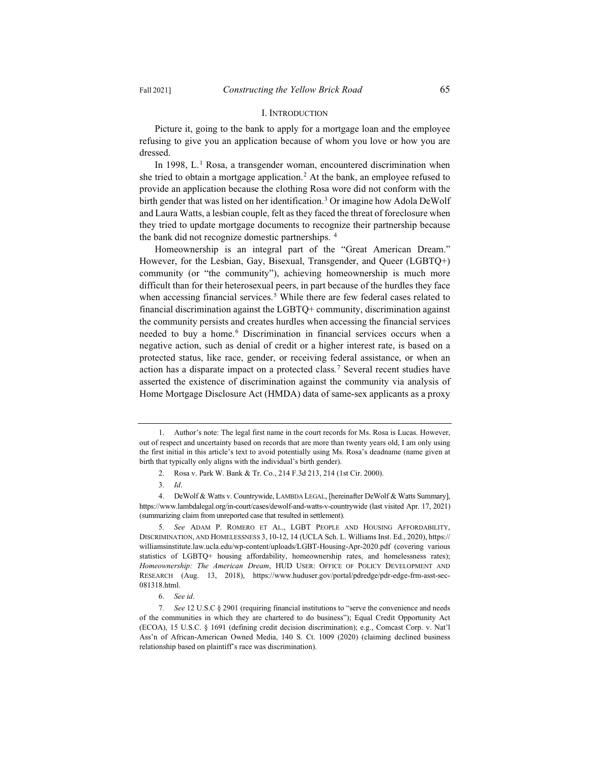#### I. INTRODUCTION

Picture it, going to the bank to apply for a mortgage loan and the employee refusing to give you an application because of whom you love or how you are dressed.

In 1998,  $L<sup>1</sup>$  Rosa, a transgender woman, encountered discrimination when she tried to obtain a mortgage application.2 At the bank, an employee refused to provide an application because the clothing Rosa wore did not conform with the birth gender that was listed on her identification.3 Or imagine how Adola DeWolf and Laura Watts, a lesbian couple, felt as they faced the threat of foreclosure when they tried to update mortgage documents to recognize their partnership because the bank did not recognize domestic partnerships.<sup>4</sup>

Homeownership is an integral part of the "Great American Dream." However, for the Lesbian, Gay, Bisexual, Transgender, and Queer (LGBTQ+) community (or "the community"), achieving homeownership is much more difficult than for their heterosexual peers, in part because of the hurdles they face when accessing financial services.<sup>5</sup> While there are few federal cases related to financial discrimination against the LGBTQ+ community, discrimination against the community persists and creates hurdles when accessing the financial services needed to buy a home.<sup>6</sup> Discrimination in financial services occurs when a negative action, such as denial of credit or a higher interest rate, is based on a protected status, like race, gender, or receiving federal assistance, or when an action has a disparate impact on a protected class*.* <sup>7</sup> Several recent studies have asserted the existence of discrimination against the community via analysis of Home Mortgage Disclosure Act (HMDA) data of same-sex applicants as a proxy

<sup>1.</sup> Author's note: The legal first name in the court records for Ms. Rosa is Lucas. However, out of respect and uncertainty based on records that are more than twenty years old, I am only using the first initial in this article's text to avoid potentially using Ms. Rosa's deadname (name given at birth that typically only aligns with the individual's birth gender).

<sup>2.</sup> Rosa v. Park W. Bank & Tr. Co., 214 F.3d 213, 214 (1st Cir. 2000).

<sup>3.</sup> *Id*.

<sup>4.</sup> DeWolf & Watts v. Countrywide, LAMBDA LEGAL, [hereinafter DeWolf & Watts Summary], https://www.lambdalegal.org/in-court/cases/dewolf-and-watts-v-countrywide (last visited Apr. 17, 2021) (summarizing claim from unreported case that resulted in settlement).

<sup>5</sup>*. See* ADAM P. ROMERO ET AL., LGBT PEOPLE AND HOUSING AFFORDABILITY, DISCRIMINATION, AND HOMELESSNESS 3, 10-12, 14 (UCLA Sch. L. Williams Inst. Ed., 2020), https:// williamsinstitute.law.ucla.edu/wp-content/uploads/LGBT-Housing-Apr-2020.pdf (covering various statistics of LGBTQ+ housing affordability, homeownership rates, and homelessness rates); *Homeownership: The American Dream*, HUD USER: OFFICE OF POLICY DEVELOPMENT AND RESEARCH (Aug. 13, 2018), https://www.huduser.gov/portal/pdredge/pdr-edge-frm-asst-sec-081318.html.

<sup>6.</sup> *See id*.

<sup>7</sup>*. See* 12 U.S.C § 2901 (requiring financial institutions to "serve the convenience and needs of the communities in which they are chartered to do business"); Equal Credit Opportunity Act (ECOA), 15 U.S.C. § 1691 (defining credit decision discrimination); e.g., Comcast Corp. v. Nat'l Ass'n of African-American Owned Media, 140 S. Ct. 1009 (2020) (claiming declined business relationship based on plaintiff's race was discrimination).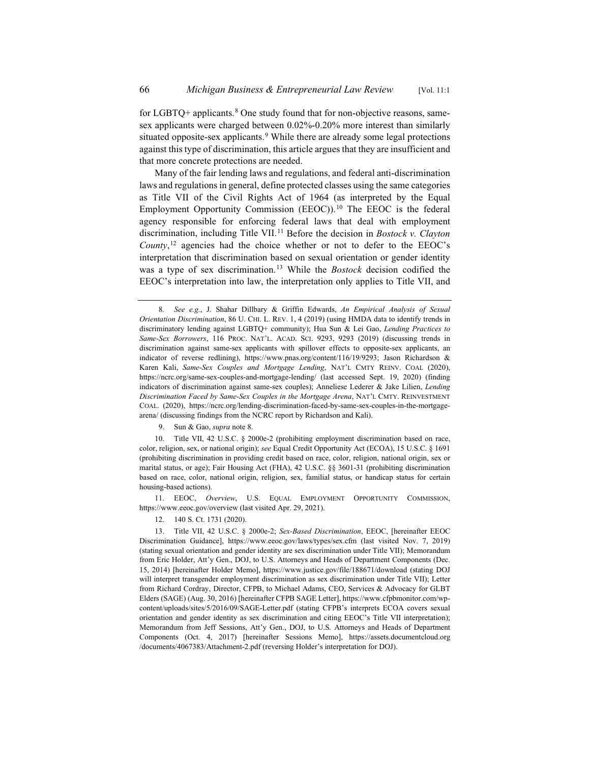for LGBTQ+ applicants. $8$  One study found that for non-objective reasons, samesex applicants were charged between 0.02%-0.20% more interest than similarly situated opposite-sex applicants.<sup>9</sup> While there are already some legal protections against this type of discrimination, this article argues that they are insufficient and that more concrete protections are needed.

Many of the fair lending laws and regulations, and federal anti-discrimination laws and regulations in general, define protected classes using the same categories as Title VII of the Civil Rights Act of 1964 (as interpreted by the Equal Employment Opportunity Commission (EEOC)).<sup>10</sup> The EEOC is the federal agency responsible for enforcing federal laws that deal with employment discrimination, including Title VII.<sup>11</sup> Before the decision in *Bostock v. Clayton County*, <sup>12</sup> agencies had the choice whether or not to defer to the EEOC's interpretation that discrimination based on sexual orientation or gender identity was a type of sex discrimination.13 While the *Bostock* decision codified the EEOC's interpretation into law, the interpretation only applies to Title VII, and

9. Sun & Gao, *supra* note 8.

10. Title VII, 42 U.S.C. § 2000e-2 (prohibiting employment discrimination based on race, color, religion, sex, or national origin); *see* Equal Credit Opportunity Act (ECOA), 15 U.S.C. § 1691 (prohibiting discrimination in providing credit based on race, color, religion, national origin, sex or marital status, or age); Fair Housing Act (FHA), 42 U.S.C. §§ 3601-31 (prohibiting discrimination based on race, color, national origin, religion, sex, familial status, or handicap status for certain housing-based actions).

11. EEOC, *Overview*, U.S. EQUAL EMPLOYMENT OPPORTUNITY COMMISSION, https://www.eeoc.gov/overview (last visited Apr. 29, 2021).

12. 140 S. Ct. 1731 (2020).

<sup>8</sup>*. See e.g.*, J. Shahar Dillbary & Griffin Edwards, *An Empirical Analysis of Sexual Orientation Discrimination*, 86 U. CHI. L. REV. 1, 4 (2019) (using HMDA data to identify trends in discriminatory lending against LGBTQ+ community); Hua Sun & Lei Gao, *Lending Practices to Same-Sex Borrowers*, 116 PROC. NAT'L. ACAD. SCI. 9293, 9293 (2019) (discussing trends in discrimination against same-sex applicants with spillover effects to opposite-sex applicants, an indicator of reverse redlining), https://www.pnas.org/content/116/19/9293; Jason Richardson & Karen Kali, *Same-Sex Couples and Mortgage Lending*, NAT'L CMTY REINV. COAL (2020), https://ncrc.org/same-sex-couples-and-mortgage-lending/ (last accessed Sept. 19, 2020) (finding indicators of discrimination against same-sex couples); Anneliese Lederer & Jake Lilien, *Lending Discrimination Faced by Same-Sex Couples in the Mortgage Arena*, NAT'L CMTY. REINVESTMENT COAL. (2020), https://ncrc.org/lending-discrimination-faced-by-same-sex-couples-in-the-mortgagearena/ (discussing findings from the NCRC report by Richardson and Kali).

<sup>13.</sup> Title VII, 42 U.S.C. § 2000e-2; *Sex-Based Discrimination*, EEOC, [hereinafter EEOC Discrimination Guidance], https://www.eeoc.gov/laws/types/sex.cfm (last visited Nov. 7, 2019) (stating sexual orientation and gender identity are sex discrimination under Title VII); Memorandum from Eric Holder, Att'y Gen., DOJ, to U.S. Attorneys and Heads of Department Components (Dec. 15, 2014) [hereinafter Holder Memo], https://www.justice.gov/file/188671/download (stating DOJ will interpret transgender employment discrimination as sex discrimination under Title VII); Letter from Richard Cordray, Director, CFPB, to Michael Adams, CEO, Services & Advocacy for GLBT Elders (SAGE) (Aug. 30, 2016) [hereinafter CFPB SAGE Letter], https://www.cfpbmonitor.com/wpcontent/uploads/sites/5/2016/09/SAGE-Letter.pdf (stating CFPB's interprets ECOA covers sexual orientation and gender identity as sex discrimination and citing EEOC's Title VII interpretation); Memorandum from Jeff Sessions, Att'y Gen., DOJ, to U.S. Attorneys and Heads of Department Components (Oct. 4, 2017) [hereinafter Sessions Memo], https://assets.documentcloud.org /documents/4067383/Attachment-2.pdf (reversing Holder's interpretation for DOJ).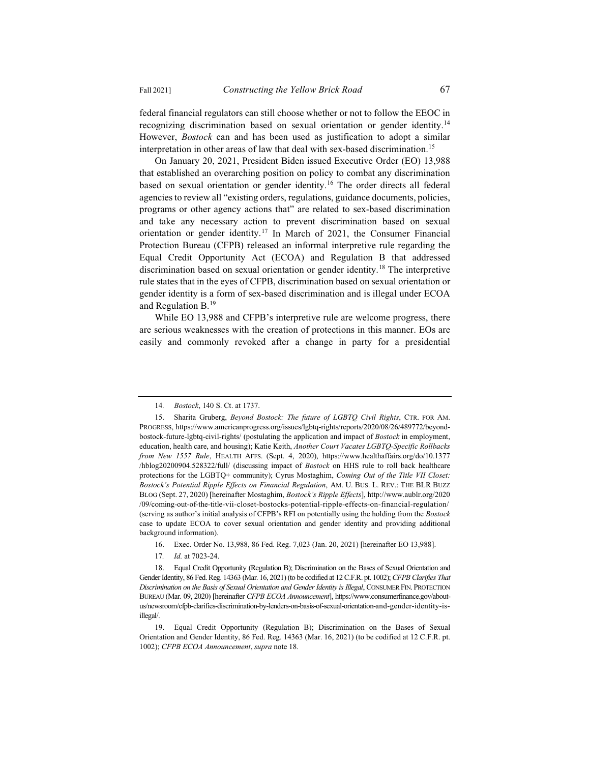federal financial regulators can still choose whether or not to follow the EEOC in recognizing discrimination based on sexual orientation or gender identity.14 However, *Bostock* can and has been used as justification to adopt a similar interpretation in other areas of law that deal with sex-based discrimination.<sup>15</sup>

On January 20, 2021, President Biden issued Executive Order (EO) 13,988 that established an overarching position on policy to combat any discrimination based on sexual orientation or gender identity.<sup>16</sup> The order directs all federal agencies to review all "existing orders, regulations, guidance documents, policies, programs or other agency actions that" are related to sex-based discrimination and take any necessary action to prevent discrimination based on sexual orientation or gender identity.<sup>17</sup> In March of 2021, the Consumer Financial Protection Bureau (CFPB) released an informal interpretive rule regarding the Equal Credit Opportunity Act (ECOA) and Regulation B that addressed discrimination based on sexual orientation or gender identity.18 The interpretive rule states that in the eyes of CFPB, discrimination based on sexual orientation or gender identity is a form of sex-based discrimination and is illegal under ECOA and Regulation  $B<sup>19</sup>$ 

While EO 13,988 and CFPB's interpretive rule are welcome progress, there are serious weaknesses with the creation of protections in this manner. EOs are easily and commonly revoked after a change in party for a presidential

- 16. Exec. Order No. 13,988, 86 Fed. Reg. 7,023 (Jan. 20, 2021) [hereinafter EO 13,988].
- 17*. Id.* at 7023-24.

18. Equal Credit Opportunity (Regulation B); Discrimination on the Bases of Sexual Orientation and Gender Identity, 86 Fed. Reg. 14363 (Mar. 16, 2021) (to be codified at 12 C.F.R. pt. 1002); *CFPB Clarifies That Discrimination on the Basis of Sexual Orientation and Gender Identity is Illegal*, CONSUMER FIN. PROTECTION BUREAU (Mar. 09, 2020) [hereinafter *CFPB ECOA Announcement*], https://www.consumerfinance.gov/aboutus/newsroom/cfpb-clarifies-discrimination-by-lenders-on-basis-of-sexual-orientation-and-gender-identity-isillegal/.

<sup>14</sup>*. Bostock*, 140 S. Ct. at 1737.

<sup>15.</sup> Sharita Gruberg, *Beyond Bostock: The future of LGBTQ Civil Rights*, CTR. FOR AM. PROGRESS, https://www.americanprogress.org/issues/lgbtq-rights/reports/2020/08/26/489772/beyondbostock-future-lgbtq-civil-rights/ (postulating the application and impact of *Bostock* in employment, education, health care, and housing); Katie Keith, *Another Court Vacates LGBTQ-Specific Rollbacks from New 1557 Rule*, HEALTH AFFS. (Sept. 4, 2020), https://www.healthaffairs.org/do/10.1377 /hblog20200904.528322/full/ (discussing impact of *Bostock* on HHS rule to roll back healthcare protections for the LGBTQ+ community); Cyrus Mostaghim, *Coming Out of the Title VII Closet: Bostock's Potential Ripple Effects on Financial Regulation*, AM. U. BUS. L. REV.: THE BLR BUZZ BLOG (Sept. 27, 2020) [hereinafter Mostaghim, *Bostock's Ripple Effects*], http://www.aublr.org/2020 /09/coming-out-of-the-title-vii-closet-bostocks-potential-ripple-effects-on-financial-regulation/ (serving as author's initial analysis of CFPB's RFI on potentially using the holding from the *Bostock*  case to update ECOA to cover sexual orientation and gender identity and providing additional background information).

<sup>19.</sup> Equal Credit Opportunity (Regulation B); Discrimination on the Bases of Sexual Orientation and Gender Identity, 86 Fed. Reg. 14363 (Mar. 16, 2021) (to be codified at 12 C.F.R. pt. 1002); *CFPB ECOA Announcement*, *supra* note 18.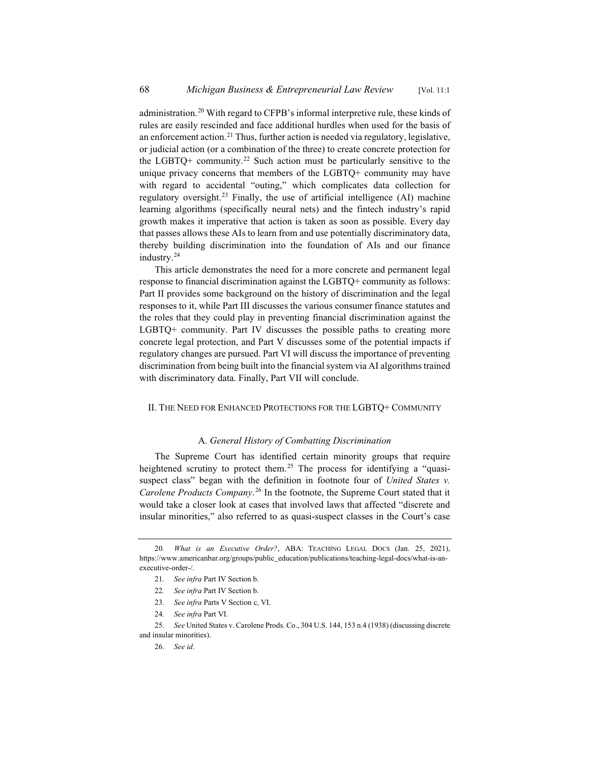administration.20 With regard to CFPB's informal interpretive rule, these kinds of rules are easily rescinded and face additional hurdles when used for the basis of an enforcement action.<sup>21</sup> Thus, further action is needed via regulatory, legislative, or judicial action (or a combination of the three) to create concrete protection for the LGBTQ+ community.<sup>22</sup> Such action must be particularly sensitive to the unique privacy concerns that members of the LGBTQ+ community may have with regard to accidental "outing," which complicates data collection for regulatory oversight.<sup>23</sup> Finally, the use of artificial intelligence  $(AI)$  machine learning algorithms (specifically neural nets) and the fintech industry's rapid growth makes it imperative that action is taken as soon as possible. Every day that passes allows these AIs to learn from and use potentially discriminatory data, thereby building discrimination into the foundation of AIs and our finance industry.24

This article demonstrates the need for a more concrete and permanent legal response to financial discrimination against the LGBTQ+ community as follows: Part II provides some background on the history of discrimination and the legal responses to it, while Part III discusses the various consumer finance statutes and the roles that they could play in preventing financial discrimination against the LGBTQ+ community. Part IV discusses the possible paths to creating more concrete legal protection, and Part V discusses some of the potential impacts if regulatory changes are pursued. Part VI will discuss the importance of preventing discrimination from being built into the financial system via AI algorithms trained with discriminatory data. Finally, Part VII will conclude.

## II. THE NEED FOR ENHANCED PROTECTIONS FOR THE LGBTQ+ COMMUNITY

### A. *General History of Combatting Discrimination*

The Supreme Court has identified certain minority groups that require heightened scrutiny to protect them.<sup>25</sup> The process for identifying a "quasisuspect class" began with the definition in footnote four of *United States v. Carolene Products Company*. <sup>26</sup> In the footnote, the Supreme Court stated that it would take a closer look at cases that involved laws that affected "discrete and insular minorities," also referred to as quasi-suspect classes in the Court's case

<sup>20</sup>*. What is an Executive Order?*, ABA: TEACHING LEGAL DOCS (Jan. 25, 2021), https://www.americanbar.org/groups/public\_education/publications/teaching-legal-docs/what-is-anexecutive-order-/.

<sup>21</sup>*. See infra* Part IV Section b.

<sup>22</sup>*. See infra* Part IV Section b.

<sup>23</sup>*. See infra* Parts V Section c, VI.

<sup>24</sup>*. See infra* Part VI.

<sup>25</sup>*. See* United States v. Carolene Prods. Co., 304 U.S. 144, 153 n.4 (1938) (discussing discrete and insular minorities).

<sup>26.</sup> *See id*.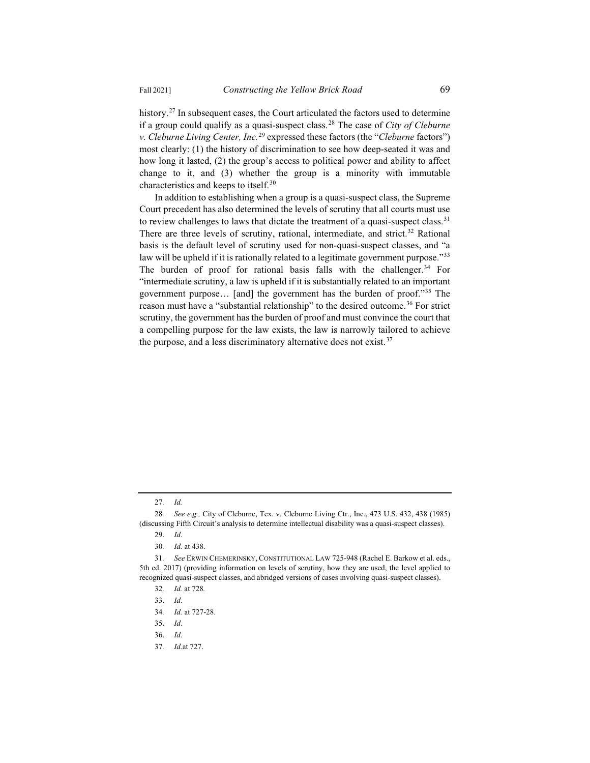history.<sup>27</sup> In subsequent cases, the Court articulated the factors used to determine if a group could qualify as a quasi-suspect class.28 The case of *City of Cleburne v. Cleburne Living Center, Inc.*<sup>29</sup> expressed these factors (the "*Cleburne* factors") most clearly: (1) the history of discrimination to see how deep-seated it was and how long it lasted, (2) the group's access to political power and ability to affect change to it, and (3) whether the group is a minority with immutable characteristics and keeps to itself.<sup>30</sup>

In addition to establishing when a group is a quasi-suspect class, the Supreme Court precedent has also determined the levels of scrutiny that all courts must use to review challenges to laws that dictate the treatment of a quasi-suspect class.<sup>31</sup> There are three levels of scrutiny, rational, intermediate, and strict.<sup>32</sup> Rational basis is the default level of scrutiny used for non-quasi-suspect classes, and "a law will be upheld if it is rationally related to a legitimate government purpose."<sup>33</sup> The burden of proof for rational basis falls with the challenger. $34$  For "intermediate scrutiny, a law is upheld if it is substantially related to an important government purpose… [and] the government has the burden of proof."35 The reason must have a "substantial relationship" to the desired outcome.<sup>36</sup> For strict scrutiny, the government has the burden of proof and must convince the court that a compelling purpose for the law exists, the law is narrowly tailored to achieve the purpose, and a less discriminatory alternative does not exist.<sup>37</sup>

<sup>27</sup>*. Id.*

<sup>28</sup>*. See e.g.,* City of Cleburne, Tex. v. Cleburne Living Ctr., Inc., 473 U.S. 432, 438 (1985) (discussing Fifth Circuit's analysis to determine intellectual disability was a quasi-suspect classes).

<sup>29.</sup> *Id*.

<sup>30</sup>*. Id.* at 438.

<sup>31</sup>*. See* ERWIN CHEMERINSKY, CONSTITUTIONAL LAW 725-948 (Rachel E. Barkow et al. eds., 5th ed. 2017) (providing information on levels of scrutiny, how they are used, the level applied to recognized quasi-suspect classes, and abridged versions of cases involving quasi-suspect classes).

<sup>32</sup>*. Id.* at 728*.*

<sup>33.</sup> *Id*.

<sup>34</sup>*. Id.* at 727-28.

<sup>35.</sup> *Id*.

<sup>36.</sup> *Id*.

<sup>37</sup>*. Id.*at 727.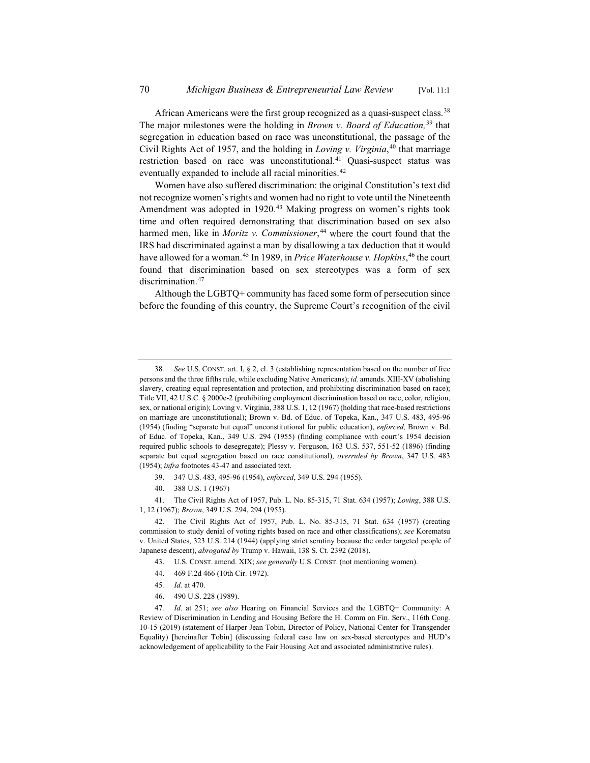African Americans were the first group recognized as a quasi-suspect class.<sup>38</sup> The major milestones were the holding in *Brown v. Board of Education,*<sup>39</sup> that segregation in education based on race was unconstitutional, the passage of the Civil Rights Act of 1957, and the holding in *Loving v. Virginia*, <sup>40</sup> that marriage restriction based on race was unconstitutional.<sup>41</sup> Quasi-suspect status was eventually expanded to include all racial minorities.<sup>42</sup>

Women have also suffered discrimination: the original Constitution's text did not recognize women's rights and women had no right to vote until the Nineteenth Amendment was adopted in 1920.<sup>43</sup> Making progress on women's rights took time and often required demonstrating that discrimination based on sex also harmed men, like in *Moritz v. Commissioner*, <sup>44</sup> where the court found that the IRS had discriminated against a man by disallowing a tax deduction that it would have allowed for a woman.45 In 1989, in *Price Waterhouse v. Hopkins*, <sup>46</sup> the court found that discrimination based on sex stereotypes was a form of sex discrimination.<sup>47</sup>

Although the LGBTQ+ community has faced some form of persecution since before the founding of this country, the Supreme Court's recognition of the civil

- 39. 347 U.S. 483, 495-96 (1954), *enforced*, 349 U.S. 294 (1955).
- 40. 388 U.S. 1 (1967)

41. The Civil Rights Act of 1957, Pub. L. No. 85-315, 71 Stat. 634 (1957); *Loving*, 388 U.S. 1, 12 (1967); *Brown*, 349 U.S. 294, 294 (1955).

42. The Civil Rights Act of 1957, Pub. L. No. 85-315, 71 Stat. 634 (1957) (creating commission to study denial of voting rights based on race and other classifications); *see* Korematsu v. United States, 323 U.S. 214 (1944) (applying strict scrutiny because the order targeted people of Japanese descent), *abrogated by* Trump v. Hawaii, 138 S. Ct. 2392 (2018).

- 43. U.S. CONST. amend. XIX; *see generally* U.S. CONST. (not mentioning women).
- 44. 469 F.2d 466 (10th Cir. 1972).
- 45*. Id.* at 470.
- 46. 490 U.S. 228 (1989).

<sup>38</sup>*. See* U.S. CONST. art. I, § 2, cl. 3 (establishing representation based on the number of free persons and the three fifths rule, while excluding Native Americans); *id.* amends. XIII-XV (abolishing slavery, creating equal representation and protection, and prohibiting discrimination based on race); Title VII, 42 U.S.C. § 2000e-2 (prohibiting employment discrimination based on race, color, religion, sex, or national origin); Loving v. Virginia, 388 U.S. 1, 12 (1967) (holding that race-based restrictions on marriage are unconstitutional); Brown v. Bd. of Educ. of Topeka, Kan., 347 U.S. 483, 495-96 (1954) (finding "separate but equal" unconstitutional for public education), *enforced,* Brown v. Bd. of Educ. of Topeka, Kan., 349 U.S. 294 (1955) (finding compliance with court's 1954 decision required public schools to desegregate); Plessy v. Ferguson, 163 U.S. 537, 551-52 (1896) (finding separate but equal segregation based on race constitutional), *overruled by Brown*, 347 U.S. 483 (1954); *infra* footnotes 43-47 and associated text.

<sup>47</sup>*. Id*. at 251; *see also* Hearing on Financial Services and the LGBTQ+ Community: A Review of Discrimination in Lending and Housing Before the H. Comm on Fin. Serv., 116th Cong. 10-15 (2019) (statement of Harper Jean Tobin, Director of Policy, National Center for Transgender Equality) [hereinafter Tobin] (discussing federal case law on sex-based stereotypes and HUD's acknowledgement of applicability to the Fair Housing Act and associated administrative rules).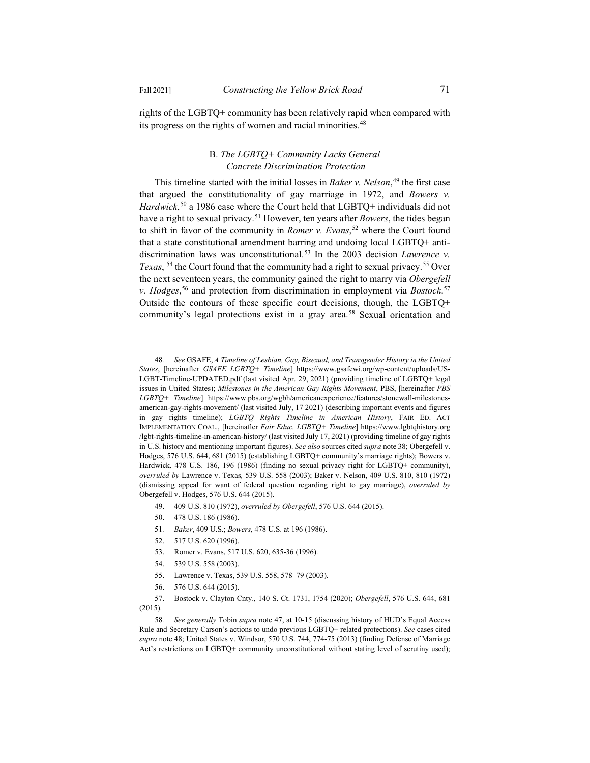rights of the LGBTQ+ community has been relatively rapid when compared with its progress on the rights of women and racial minorities.<sup>48</sup>

## B. *The LGBTQ+ Community Lacks General Concrete Discrimination Protection*

This timeline started with the initial losses in *Baker v. Nelson*, <sup>49</sup> the first case that argued the constitutionality of gay marriage in 1972, and *Bowers v. Hardwick*, <sup>50</sup> a 1986 case where the Court held that LGBTQ+ individuals did not have a right to sexual privacy.51 However, ten years after *Bowers*, the tides began to shift in favor of the community in *Romer v. Evans*, <sup>52</sup> where the Court found that a state constitutional amendment barring and undoing local LGBTQ+ antidiscrimination laws was unconstitutional.53 In the 2003 decision *Lawrence v. Texas*, <sup>54</sup> the Court found that the community had a right to sexual privacy.<sup>55</sup> Over the next seventeen years, the community gained the right to marry via *Obergefell v. Hodges*, <sup>56</sup> and protection from discrimination in employment via *Bostock*. 57 Outside the contours of these specific court decisions, though, the LGBTQ+ community's legal protections exist in a gray area.<sup>58</sup> Sexual orientation and

- 49. 409 U.S. 810 (1972), *overruled by Obergefell*, 576 U.S. 644 (2015).
- 50. 478 U.S. 186 (1986).
- 51*. Baker*, 409 U.S.; *Bowers*, 478 U.S. at 196 (1986).
- 52. 517 U.S. 620 (1996).
- 53. Romer v. Evans, 517 U.S. 620, 635-36 (1996).
- 54. 539 U.S. 558 (2003).
- 55. Lawrence v. Texas, 539 U.S. 558, 578–79 (2003).
- 56. 576 U.S. 644 (2015).

<sup>48</sup>*. See* GSAFE, *A Timeline of Lesbian, Gay, Bisexual, and Transgender History in the United States*, [hereinafter *GSAFE LGBTQ+ Timeline*] https://www.gsafewi.org/wp-content/uploads/US-LGBT-Timeline-UPDATED.pdf (last visited Apr. 29, 2021) (providing timeline of LGBTQ+ legal issues in United States); *Milestones in the American Gay Rights Movement*, PBS, [hereinafter *PBS LGBTQ+ Timeline*] https://www.pbs.org/wgbh/americanexperience/features/stonewall-milestonesamerican-gay-rights-movement/ (last visited July, 17 2021) (describing important events and figures in gay rights timeline); *LGBTQ Rights Timeline in American History*, FAIR ED. ACT IMPLEMENTATION COAL., [hereinafter *Fair Educ. LGBTQ+ Timeline*] https://www.lgbtqhistory.org /lgbt-rights-timeline-in-american-history/ (last visited July 17, 2021) (providing timeline of gay rights in U.S. history and mentioning important figures). *See also* sources cited *supra* note 38; Obergefell v. Hodges, 576 U.S. 644, 681 (2015) (establishing LGBTQ+ community's marriage rights); Bowers v. Hardwick*,* 478 U.S. 186, 196 (1986) (finding no sexual privacy right for LGBTQ+ community), *overruled by* Lawrence v. Texas*,* 539 U.S. 558 (2003); Baker v. Nelson, 409 U.S. 810, 810 (1972) (dismissing appeal for want of federal question regarding right to gay marriage), *overruled by* Obergefell v. Hodges, 576 U.S. 644 (2015).

<sup>57.</sup> Bostock v. Clayton Cnty., 140 S. Ct. 1731, 1754 (2020); *Obergefell*, 576 U.S. 644, 681

<sup>(2015).</sup>

<sup>58</sup>*. See generally* Tobin *supra* note 47, at 10-15 (discussing history of HUD's Equal Access Rule and Secretary Carson's actions to undo previous LGBTQ+ related protections). *See* cases cited *supra* note 48; United States v. Windsor, 570 U.S. 744, 774-75 (2013) (finding Defense of Marriage Act's restrictions on LGBTQ+ community unconstitutional without stating level of scrutiny used);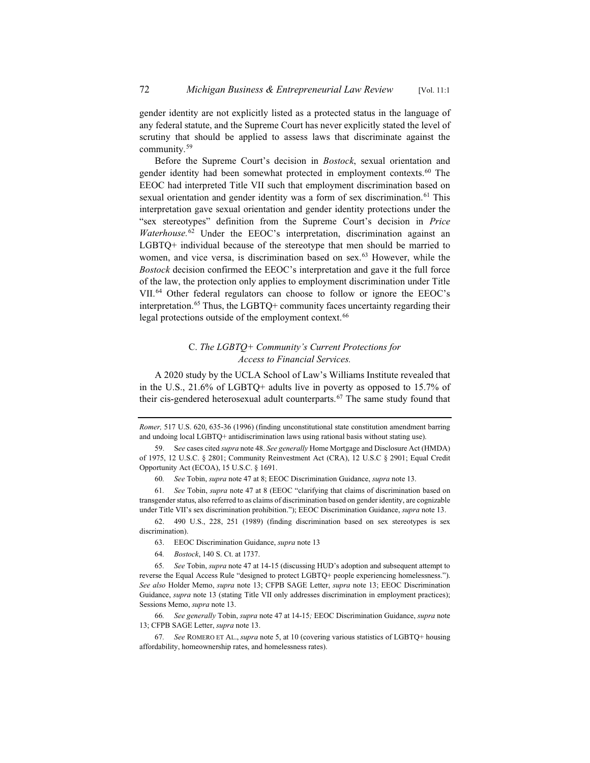gender identity are not explicitly listed as a protected status in the language of any federal statute, and the Supreme Court has never explicitly stated the level of scrutiny that should be applied to assess laws that discriminate against the community.<sup>59</sup>

Before the Supreme Court's decision in *Bostock*, sexual orientation and gender identity had been somewhat protected in employment contexts.<sup>60</sup> The EEOC had interpreted Title VII such that employment discrimination based on sexual orientation and gender identity was a form of sex discrimination.<sup>61</sup> This interpretation gave sexual orientation and gender identity protections under the "sex stereotypes" definition from the Supreme Court's decision in *Price Waterhouse.*<sup>62</sup> Under the EEOC's interpretation, discrimination against an LGBTQ+ individual because of the stereotype that men should be married to women, and vice versa, is discrimination based on sex.<sup>63</sup> However, while the *Bostock* decision confirmed the EEOC's interpretation and gave it the full force of the law, the protection only applies to employment discrimination under Title VII.64 Other federal regulators can choose to follow or ignore the EEOC's interpretation.<sup>65</sup> Thus, the LGBTQ+ community faces uncertainty regarding their legal protections outside of the employment context.<sup>66</sup>

## C. *The LGBTQ+ Community's Current Protections for Access to Financial Services.*

A 2020 study by the UCLA School of Law's Williams Institute revealed that in the U.S., 21.6% of LGBTQ+ adults live in poverty as opposed to 15.7% of their cis-gendered heterosexual adult counterparts.<sup>67</sup> The same study found that

*Romer,* 517 U.S. 620, 635-36 (1996) (finding unconstitutional state constitution amendment barring and undoing local LGBTQ+ antidiscrimination laws using rational basis without stating use).

60*. See* Tobin, *supra* note 47 at 8; EEOC Discrimination Guidance, *supra* note 13.

61*. See* Tobin, *supra* note 47 at 8 (EEOC "clarifying that claims of discrimination based on transgender status, also referred to as claims of discrimination based on gender identity, are cognizable under Title VII's sex discrimination prohibition."); EEOC Discrimination Guidance, *supra* note 13.

62. 490 U.S., 228, 251 (1989) (finding discrimination based on sex stereotypes is sex discrimination).

- 63. EEOC Discrimination Guidance, *supra* note 13
- 64*. Bostock*, 140 S. Ct. at 1737.

65*. See* Tobin, *supra* note 47 at 14-15 (discussing HUD's adoption and subsequent attempt to reverse the Equal Access Rule "designed to protect LGBTQ+ people experiencing homelessness."). *See also* Holder Memo, *supra* note 13; CFPB SAGE Letter, *supra* note 13; EEOC Discrimination Guidance, *supra* note 13 (stating Title VII only addresses discrimination in employment practices); Sessions Memo, *supra* note 13.

66*. See generally* Tobin, *supra* note 47 at 14-15*;* EEOC Discrimination Guidance, *supra* note 13; CFPB SAGE Letter, *supra* note 13.

<sup>59.</sup> S*ee* cases cited *supra* note 48. *See generally* Home Mortgage and Disclosure Act (HMDA) of 1975, 12 U.S.C. § 2801; Community Reinvestment Act (CRA), 12 U.S.C § 2901; Equal Credit Opportunity Act (ECOA), 15 U.S.C. § 1691.

<sup>67</sup>*. See* ROMERO ET AL., *supra* note 5, at 10 (covering various statistics of LGBTQ+ housing affordability, homeownership rates, and homelessness rates).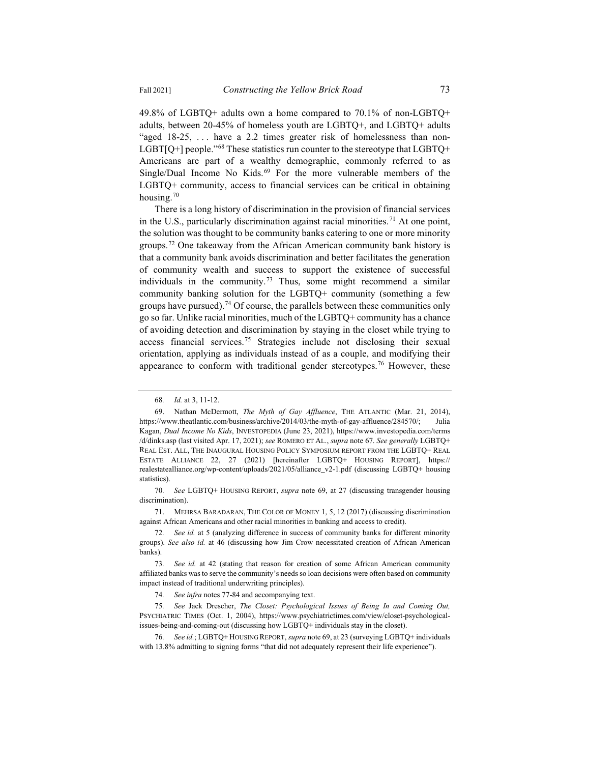49.8% of LGBTQ+ adults own a home compared to 70.1% of non-LGBTQ+ adults, between 20-45% of homeless youth are LGBTQ+, and LGBTQ+ adults "aged 18-25, ... have a 2.2 times greater risk of homelessness than non-LGBT[Q+] people."<sup>68</sup> These statistics run counter to the stereotype that LGBTQ+ Americans are part of a wealthy demographic, commonly referred to as Single/Dual Income No Kids.<sup>69</sup> For the more vulnerable members of the LGBTQ+ community, access to financial services can be critical in obtaining housing.70

There is a long history of discrimination in the provision of financial services in the U.S., particularly discrimination against racial minorities.<sup>71</sup> At one point, the solution was thought to be community banks catering to one or more minority groups.72 One takeaway from the African American community bank history is that a community bank avoids discrimination and better facilitates the generation of community wealth and success to support the existence of successful individuals in the community.<sup>73</sup> Thus, some might recommend a similar community banking solution for the LGBTQ+ community (something a few groups have pursued).<sup>74</sup> Of course, the parallels between these communities only go so far. Unlike racial minorities, much of the LGBTQ+ community has a chance of avoiding detection and discrimination by staying in the closet while trying to access financial services.75 Strategies include not disclosing their sexual orientation, applying as individuals instead of as a couple, and modifying their appearance to conform with traditional gender stereotypes.<sup>76</sup> However, these

71. MEHRSA BARADARAN, THE COLOR OF MONEY 1, 5, 12 (2017) (discussing discrimination against African Americans and other racial minorities in banking and access to credit).

<sup>68</sup>*. Id.* at 3, 11-12.

Nathan McDermott, *The Myth of Gay Affluence*, THE ATLANTIC (Mar. 21, 2014), https://www.theatlantic.com/business/archive/2014/03/the-myth-of-gay-affluence/284570/; Julia Kagan, *Dual Income No Kids*, INVESTOPEDIA (June 23, 2021), https://www.investopedia.com/terms /d/dinks.asp (last visited Apr. 17, 2021); *see* ROMERO ET AL., *supra* note 67. *See generally* LGBTQ+ REAL EST. ALL, THE INAUGURAL HOUSING POLICY SYMPOSIUM REPORT FROM THE LGBTQ+ REAL ESTATE ALLIANCE 22, 27 (2021) [hereinafter LGBTQ+ HOUSING REPORT], https:// realestatealliance.org/wp-content/uploads/2021/05/alliance\_v2-1.pdf (discussing LGBTQ+ housing statistics).

<sup>70</sup>*. See* LGBTQ+ HOUSING REPORT, *supra* note 69, at 27 (discussing transgender housing discrimination).

<sup>72</sup>*. See id.* at 5 (analyzing difference in success of community banks for different minority groups). *See also id.* at 46 (discussing how Jim Crow necessitated creation of African American banks).

<sup>73</sup>*. See id.* at 42 (stating that reason for creation of some African American community affiliated banks was to serve the community's needs so loan decisions were often based on community impact instead of traditional underwriting principles).

<sup>74</sup>*. See infra* notes 77-84 and accompanying text.

<sup>75</sup>*. See* Jack Drescher, *The Closet: Psychological Issues of Being In and Coming Out,* PSYCHIATRIC TIMES (Oct. 1, 2004), https://www.psychiatrictimes.com/view/closet-psychologicalissues-being-and-coming-out (discussing how LGBTQ+ individuals stay in the closet).

<sup>76</sup>*. See id.*; LGBTQ+ HOUSING REPORT, *supra* note 69, at 23 (surveying LGBTQ+ individuals with 13.8% admitting to signing forms "that did not adequately represent their life experience").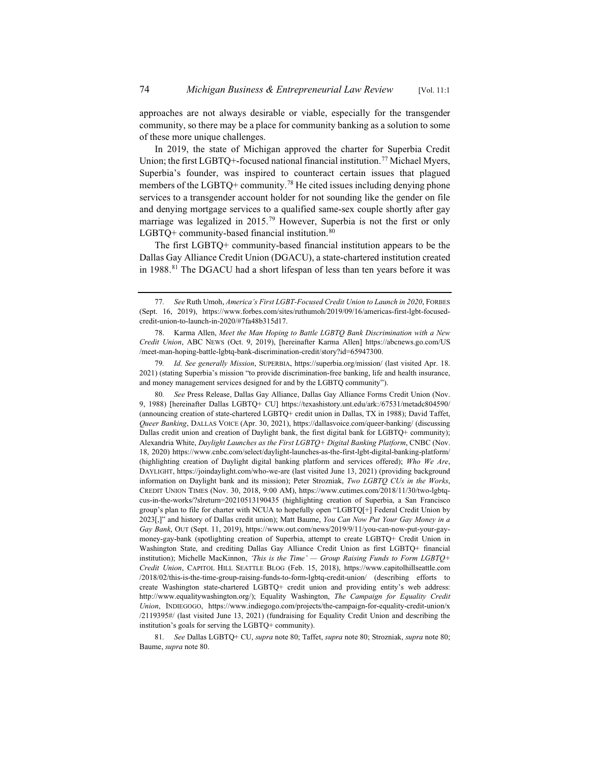approaches are not always desirable or viable, especially for the transgender community, so there may be a place for community banking as a solution to some of these more unique challenges.

In 2019, the state of Michigan approved the charter for Superbia Credit Union; the first LGBTQ+-focused national financial institution.<sup>77</sup> Michael Myers, Superbia's founder, was inspired to counteract certain issues that plagued members of the LGBTQ+ community.<sup>78</sup> He cited issues including denying phone services to a transgender account holder for not sounding like the gender on file and denying mortgage services to a qualified same-sex couple shortly after gay marriage was legalized in 2015.<sup>79</sup> However, Superbia is not the first or only LGBTQ+ community-based financial institution. $80$ 

The first LGBTQ+ community-based financial institution appears to be the Dallas Gay Alliance Credit Union (DGACU), a state-chartered institution created in 1988.<sup>81</sup> The DGACU had a short lifespan of less than ten years before it was

<sup>77</sup>*. See* Ruth Umoh, *America's First LGBT-Focused Credit Union to Launch in 2020*, FORBES (Sept. 16, 2019), https://www.forbes.com/sites/ruthumoh/2019/09/16/americas-first-lgbt-focusedcredit-union-to-launch-in-2020/#7fa48b315d17.

Karma Allen, Meet the Man Hoping to Battle LGBTQ Bank Discrimination with a New *Credit Union*, ABC NEWS (Oct. 9, 2019), [hereinafter Karma Allen] https://abcnews.go.com/US /meet-man-hoping-battle-lgbtq-bank-discrimination-credit/story?id=65947300.

<sup>79</sup>*. Id. See generally Mission*, SUPERBIA, https://superbia.org/mission/ (last visited Apr. 18. 2021) (stating Superbia's mission "to provide discrimination-free banking, life and health insurance, and money management services designed for and by the LGBTQ community").

<sup>80</sup>*. See* Press Release, Dallas Gay Alliance, Dallas Gay Alliance Forms Credit Union (Nov. 9, 1988) [hereinafter Dallas LGBTQ+ CU] https://texashistory.unt.edu/ark:/67531/metadc804590/ (announcing creation of state-chartered LGBTQ+ credit union in Dallas, TX in 1988); David Taffet, *Queer Banking*, DALLAS VOICE (Apr. 30, 2021), https://dallasvoice.com/queer-banking/ (discussing Dallas credit union and creation of Daylight bank, the first digital bank for LGBTQ+ community); Alexandria White, *Daylight Launches as the First LGBTQ+ Digital Banking Platform*, CNBC (Nov. 18, 2020) https://www.cnbc.com/select/daylight-launches-as-the-first-lgbt-digital-banking-platform/ (highlighting creation of Daylight digital banking platform and services offered); *Who We Are*, DAYLIGHT, https://joindaylight.com/who-we-are (last visited June 13, 2021) (providing background information on Daylight bank and its mission); Peter Strozniak, *Two LGBTQ CUs in the Works*, CREDIT UNION TIMES (Nov. 30, 2018, 9:00 AM), https://www.cutimes.com/2018/11/30/two-lgbtqcus-in-the-works/?slreturn=20210513190435 (highlighting creation of Superbia, a San Francisco group's plan to file for charter with NCUA to hopefully open "LGBTQ[+] Federal Credit Union by 2023[,]" and history of Dallas credit union); Matt Baume, *You Can Now Put Your Gay Money in a Gay Bank*, OUT (Sept. 11, 2019), https://www.out.com/news/2019/9/11/you-can-now-put-your-gaymoney-gay-bank (spotlighting creation of Superbia, attempt to create LGBTQ+ Credit Union in Washington State, and crediting Dallas Gay Alliance Credit Union as first LGBTQ+ financial institution); Michelle MacKinnon, *'This is the Time' — Group Raising Funds to Form LGBTQ+ Credit Union*, CAPITOL HILL SEATTLE BLOG (Feb. 15, 2018), https://www.capitolhillseattle.com /2018/02/this-is-the-time-group-raising-funds-to-form-lgbtq-credit-union/ (describing efforts to create Washington state-chartered LGBTQ+ credit union and providing entity's web address: http://www.equalitywashington.org/); Equality Washington, *The Campaign for Equality Credit Union*, INDIEGOGO, https://www.indiegogo.com/projects/the-campaign-for-equality-credit-union/x /2119395#/ (last visited June 13, 2021) (fundraising for Equality Credit Union and describing the institution's goals for serving the LGBTQ+ community).

<sup>81</sup>*. See* Dallas LGBTQ+ CU, *supra* note 80; Taffet, *supra* note 80; Strozniak, *supra* note 80; Baume, *supra* note 80.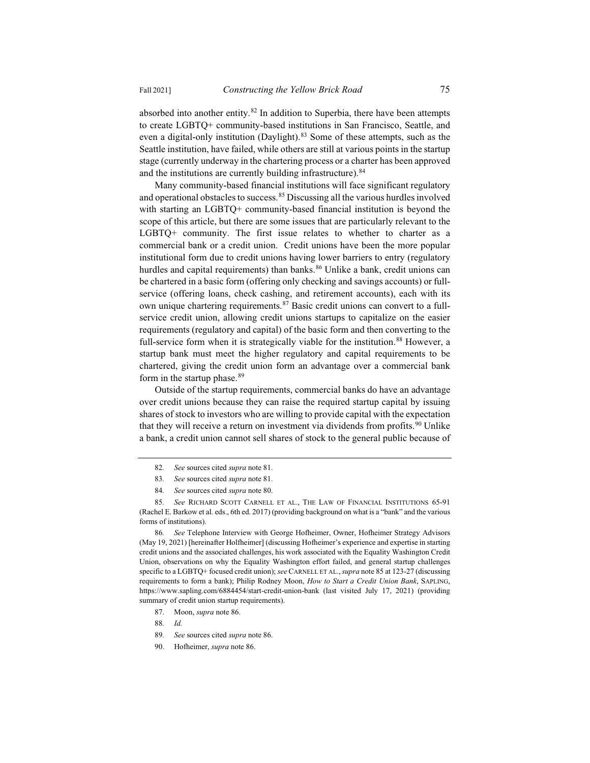absorbed into another entity. $82$  In addition to Superbia, there have been attempts to create LGBTQ+ community-based institutions in San Francisco, Seattle, and even a digital-only institution (Daylight).<sup>83</sup> Some of these attempts, such as the Seattle institution, have failed, while others are still at various points in the startup stage (currently underway in the chartering process or a charter has been approved and the institutions are currently building infrastructure).<sup>84</sup>

Many community-based financial institutions will face significant regulatory and operational obstacles to success.85 Discussing all the various hurdles involved with starting an LGBTQ+ community-based financial institution is beyond the scope of this article, but there are some issues that are particularly relevant to the LGBTQ+ community. The first issue relates to whether to charter as a commercial bank or a credit union. Credit unions have been the more popular institutional form due to credit unions having lower barriers to entry (regulatory hurdles and capital requirements) than banks.<sup>86</sup> Unlike a bank, credit unions can be chartered in a basic form (offering only checking and savings accounts) or fullservice (offering loans, check cashing, and retirement accounts), each with its own unique chartering requirements.<sup>87</sup> Basic credit unions can convert to a fullservice credit union, allowing credit unions startups to capitalize on the easier requirements (regulatory and capital) of the basic form and then converting to the full-service form when it is strategically viable for the institution.<sup>88</sup> However, a startup bank must meet the higher regulatory and capital requirements to be chartered, giving the credit union form an advantage over a commercial bank form in the startup phase. $89$ 

Outside of the startup requirements, commercial banks do have an advantage over credit unions because they can raise the required startup capital by issuing shares of stock to investors who are willing to provide capital with the expectation that they will receive a return on investment via dividends from profits.<sup>90</sup> Unlike a bank, a credit union cannot sell shares of stock to the general public because of

86*. See* Telephone Interview with George Hofheimer, Owner, Hofheimer Strategy Advisors (May 19, 2021) [hereinafter Holfheimer] (discussing Hofheimer's experience and expertise in starting credit unions and the associated challenges, his work associated with the Equality Washington Credit Union, observations on why the Equality Washington effort failed, and general startup challenges specific to a LGBTQ+ focused credit union); *see*CARNELL ET AL.,*supra* note 85 at 123-27 (discussing requirements to form a bank); Philip Rodney Moon, *How to Start a Credit Union Bank*, SAPLING, https://www.sapling.com/6884454/start-credit-union-bank (last visited July 17, 2021) (providing summary of credit union startup requirements).

- 87. Moon, *supra* note 86.
- 88*. Id.*
- 89*. See* sources cited *supra* note 86.
- 90. Hofheimer, *supra* note 86.

<sup>82</sup>*. See* sources cited *supra* note 81.

<sup>83</sup>*. See* sources cited *supra* note 81.

<sup>84</sup>*. See* sources cited *supra* note 80.

<sup>85</sup>*. See* RICHARD SCOTT CARNELL ET AL., THE LAW OF FINANCIAL INSTITUTIONS 65-91 (Rachel E. Barkow et al. eds., 6th ed. 2017) (providing background on what is a "bank" and the various forms of institutions).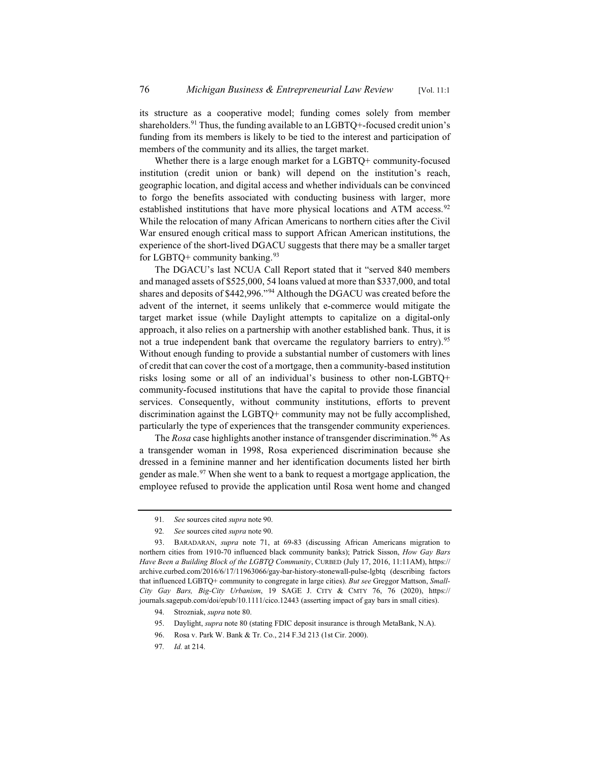its structure as a cooperative model; funding comes solely from member shareholders.<sup>91</sup> Thus, the funding available to an  $LGBTQ+$ -focused credit union's funding from its members is likely to be tied to the interest and participation of members of the community and its allies, the target market.

Whether there is a large enough market for a LGBTQ+ community-focused institution (credit union or bank) will depend on the institution's reach, geographic location, and digital access and whether individuals can be convinced to forgo the benefits associated with conducting business with larger, more established institutions that have more physical locations and ATM access.<sup>92</sup> While the relocation of many African Americans to northern cities after the Civil War ensured enough critical mass to support African American institutions, the experience of the short-lived DGACU suggests that there may be a smaller target for LGBTQ+ community banking. $93$ 

The DGACU's last NCUA Call Report stated that it "served 840 members and managed assets of \$525,000, 54 loans valued at more than \$337,000, and total shares and deposits of \$442,996."<sup>94</sup> Although the DGACU was created before the advent of the internet, it seems unlikely that e-commerce would mitigate the target market issue (while Daylight attempts to capitalize on a digital-only approach, it also relies on a partnership with another established bank. Thus, it is not a true independent bank that overcame the regulatory barriers to entry).<sup>95</sup> Without enough funding to provide a substantial number of customers with lines of credit that can cover the cost of a mortgage, then a community-based institution risks losing some or all of an individual's business to other non-LGBTQ+ community-focused institutions that have the capital to provide those financial services. Consequently, without community institutions, efforts to prevent discrimination against the LGBTQ+ community may not be fully accomplished, particularly the type of experiences that the transgender community experiences.

The *Rosa* case highlights another instance of transgender discrimination.<sup>96</sup> As a transgender woman in 1998, Rosa experienced discrimination because she dressed in a feminine manner and her identification documents listed her birth gender as male.<sup>97</sup> When she went to a bank to request a mortgage application, the employee refused to provide the application until Rosa went home and changed

- 94. Strozniak, *supra* note 80.
- 95. Daylight, *supra* note 80 (stating FDIC deposit insurance is through MetaBank, N.A).
- 96. Rosa v. Park W. Bank & Tr. Co., 214 F.3d 213 (1st Cir. 2000).
- 97*. Id.* at 214.

<sup>91</sup>*. See* sources cited *supra* note 90.

<sup>92</sup>*. See* sources cited *supra* note 90.

<sup>93.</sup> BARADARAN, *supra* note 71, at 69-83 (discussing African Americans migration to northern cities from 1910-70 influenced black community banks); Patrick Sisson, *How Gay Bars Have Been a Building Block of the LGBTQ Community*, CURBED (July 17, 2016, 11:11AM), https:// archive.curbed.com/2016/6/17/11963066/gay-bar-history-stonewall-pulse-lgbtq (describing factors that influenced LGBTQ+ community to congregate in large cities). *But see* Greggor Mattson, *Small-City Gay Bars, Big-City Urbanism*, 19 SAGE J. CITY & CMTY 76, 76 (2020), https:// journals.sagepub.com/doi/epub/10.1111/cico.12443 (asserting impact of gay bars in small cities).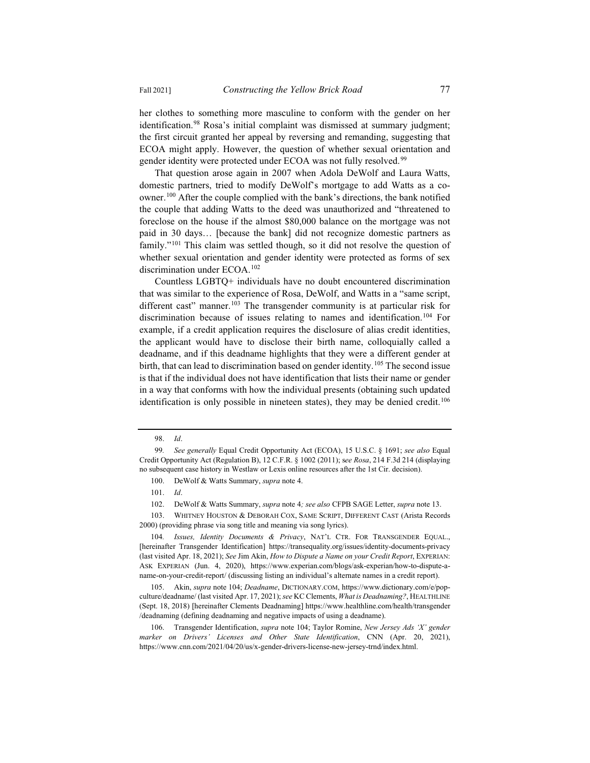her clothes to something more masculine to conform with the gender on her identification.<sup>98</sup> Rosa's initial complaint was dismissed at summary judgment; the first circuit granted her appeal by reversing and remanding, suggesting that ECOA might apply. However, the question of whether sexual orientation and gender identity were protected under ECOA was not fully resolved.<sup>99</sup>

That question arose again in 2007 when Adola DeWolf and Laura Watts, domestic partners, tried to modify DeWolf's mortgage to add Watts as a coowner.100 After the couple complied with the bank's directions, the bank notified the couple that adding Watts to the deed was unauthorized and "threatened to foreclose on the house if the almost \$80,000 balance on the mortgage was not paid in 30 days… [because the bank] did not recognize domestic partners as family."<sup>101</sup> This claim was settled though, so it did not resolve the question of whether sexual orientation and gender identity were protected as forms of sex discrimination under ECOA.102

Countless LGBTQ+ individuals have no doubt encountered discrimination that was similar to the experience of Rosa, DeWolf, and Watts in a "same script, different cast" manner.<sup>103</sup> The transgender community is at particular risk for discrimination because of issues relating to names and identification.<sup>104</sup> For example, if a credit application requires the disclosure of alias credit identities, the applicant would have to disclose their birth name, colloquially called a deadname, and if this deadname highlights that they were a different gender at birth, that can lead to discrimination based on gender identity.<sup>105</sup> The second issue is that if the individual does not have identification that lists their name or gender in a way that conforms with how the individual presents (obtaining such updated identification is only possible in nineteen states), they may be denied credit.<sup>106</sup>

<sup>98.</sup> *Id*.

<sup>99</sup>*. See generally* Equal Credit Opportunity Act (ECOA), 15 U.S.C. § 1691; *see also* Equal Credit Opportunity Act (Regulation B), 12 C.F.R. § 1002 (2011); s*ee Rosa*, 214 F.3d 214 (displaying no subsequent case history in Westlaw or Lexis online resources after the 1st Cir. decision).

<sup>100.</sup> DeWolf & Watts Summary, *supra* note 4.

<sup>101.</sup> *Id*.

<sup>102.</sup> DeWolf & Watts Summary, *supra* note 4*; see also* CFPB SAGE Letter, *supra* note 13.

<sup>103.</sup> WHITNEY HOUSTON & DEBORAH COX, SAME SCRIPT, DIFFERENT CAST (Arista Records 2000) (providing phrase via song title and meaning via song lyrics).

<sup>104</sup>*. Issues, Identity Documents & Privacy*, NAT'L CTR. FOR TRANSGENDER EQUAL., [hereinafter Transgender Identification] https://transequality.org/issues/identity-documents-privacy (last visited Apr. 18, 2021); *See* Jim Akin, *How to Dispute a Name on your Credit Report*, EXPERIAN: ASK EXPERIAN (Jun. 4, 2020), https://www.experian.com/blogs/ask-experian/how-to-dispute-aname-on-your-credit-report/ (discussing listing an individual's alternate names in a credit report).

<sup>105.</sup> Akin, *supra* note 104; *Deadname*, DICTIONARY.COM, https://www.dictionary.com/e/popculture/deadname/ (last visited Apr. 17, 2021); *see* KC Clements, *What is Deadnaming?*, HEALTHLINE (Sept. 18, 2018) [hereinafter Clements Deadnaming] https://www.healthline.com/health/transgender /deadnaming (defining deadnaming and negative impacts of using a deadname).

<sup>106.</sup> Transgender Identification, *supra* note 104; Taylor Romine, *New Jersey Ads 'X' gender marker on Drivers' Licenses and Other State Identification*, CNN (Apr. 20, 2021), https://www.cnn.com/2021/04/20/us/x-gender-drivers-license-new-jersey-trnd/index.html.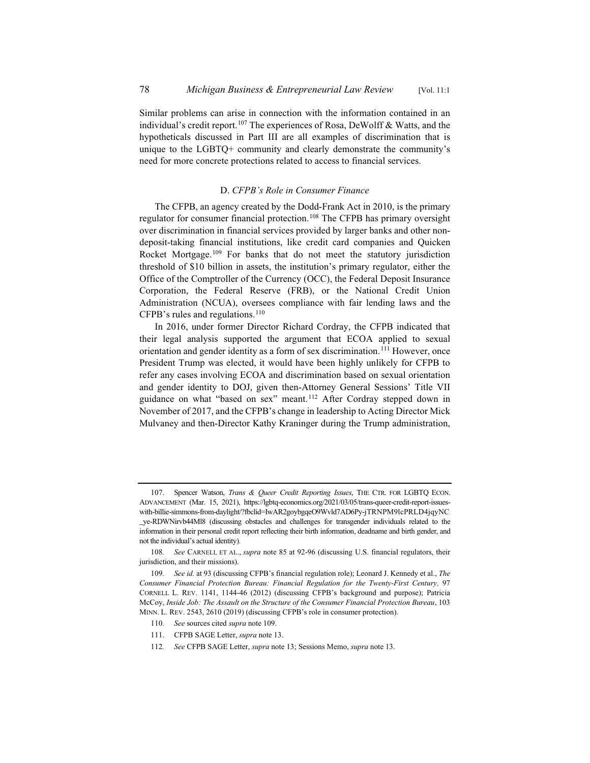Similar problems can arise in connection with the information contained in an individual's credit report.<sup>107</sup> The experiences of Rosa, DeWolff & Watts, and the hypotheticals discussed in Part III are all examples of discrimination that is unique to the LGBTQ+ community and clearly demonstrate the community's need for more concrete protections related to access to financial services.

## D. *CFPB's Role in Consumer Finance*

The CFPB, an agency created by the Dodd-Frank Act in 2010, is the primary regulator for consumer financial protection.108 The CFPB has primary oversight over discrimination in financial services provided by larger banks and other nondeposit-taking financial institutions, like credit card companies and Quicken Rocket Mortgage.<sup>109</sup> For banks that do not meet the statutory jurisdiction threshold of \$10 billion in assets, the institution's primary regulator, either the Office of the Comptroller of the Currency (OCC), the Federal Deposit Insurance Corporation, the Federal Reserve (FRB), or the National Credit Union Administration (NCUA), oversees compliance with fair lending laws and the CFPB's rules and regulations.<sup>110</sup>

In 2016, under former Director Richard Cordray, the CFPB indicated that their legal analysis supported the argument that ECOA applied to sexual orientation and gender identity as a form of sex discrimination.<sup>111</sup> However, once President Trump was elected, it would have been highly unlikely for CFPB to refer any cases involving ECOA and discrimination based on sexual orientation and gender identity to DOJ, given then-Attorney General Sessions' Title VII guidance on what "based on sex" meant.112 After Cordray stepped down in November of 2017, and the CFPB's change in leadership to Acting Director Mick Mulvaney and then-Director Kathy Kraninger during the Trump administration,

- 110*. See* sources cited *supra* note 109.
- 111. CFPB SAGE Letter, *supra* note 13.
- 112*. See* CFPB SAGE Letter, *supra* note 13; Sessions Memo, *supra* note 13.

<sup>107.</sup> Spencer Watson, *Trans & Queer Credit Reporting Issues*, THE CTR. FOR LGBTQ ECON. ADVANCEMENT (Mar. 15, 2021), https://lgbtq-economics.org/2021/03/05/trans-queer-credit-report-issueswith-billie-simmons-from-daylight/?fbclid=IwAR2goybgqeO9Wvld7AD6Py-jTRNPM9lcPRLD4jqyNC \_ye-RDWNirvb44Ml8 (discussing obstacles and challenges for transgender individuals related to the information in their personal credit report reflecting their birth information, deadname and birth gender, and not the individual's actual identity).

<sup>108</sup>*. See* CARNELL ET AL., *supra* note 85 at 92-96 (discussing U.S. financial regulators, their jurisdiction, and their missions).

<sup>109</sup>*. See id.* at 93 (discussing CFPB's financial regulation role); Leonard J. Kennedy et al., *The Consumer Financial Protection Bureau: Financial Regulation for the Twenty-First Century,* 97 CORNELL L. REV. 1141, 1144-46 (2012) (discussing CFPB's background and purpose); Patricia McCoy, *Inside Job: The Assault on the Structure of the Consumer Financial Protection Bureau*, 103 MINN. L. REV. 2543, 2610 (2019) (discussing CFPB's role in consumer protection).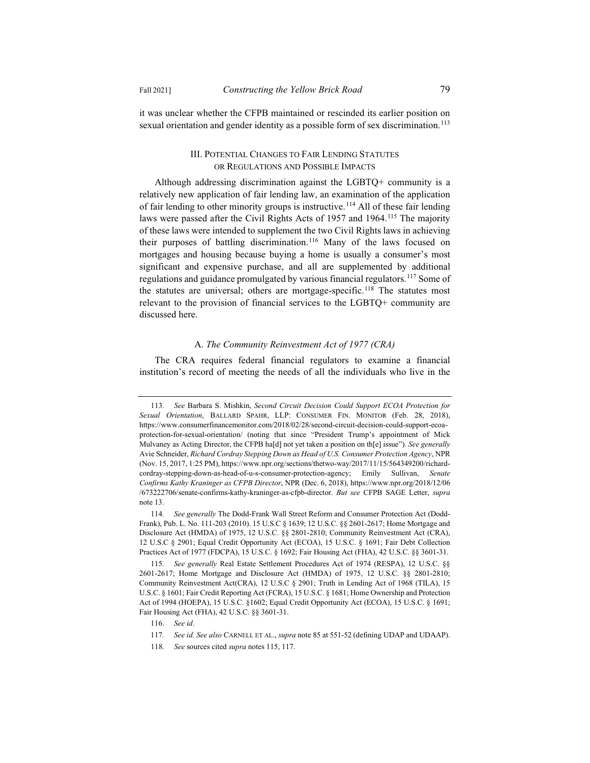it was unclear whether the CFPB maintained or rescinded its earlier position on sexual orientation and gender identity as a possible form of sex discrimination.<sup>113</sup>

## III. POTENTIAL CHANGES TO FAIR LENDING STATUTES OR REGULATIONS AND POSSIBLE IMPACTS

Although addressing discrimination against the LGBTQ+ community is a relatively new application of fair lending law, an examination of the application of fair lending to other minority groups is instructive.<sup>114</sup> All of these fair lending laws were passed after the Civil Rights Acts of 1957 and 1964.<sup>115</sup> The majority of these laws were intended to supplement the two Civil Rights laws in achieving their purposes of battling discrimination.<sup>116</sup> Many of the laws focused on mortgages and housing because buying a home is usually a consumer's most significant and expensive purchase, and all are supplemented by additional regulations and guidance promulgated by various financial regulators.117 Some of the statutes are universal; others are mortgage-specific.<sup>118</sup> The statutes most relevant to the provision of financial services to the LGBTQ+ community are discussed here.

## A. *The Community Reinvestment Act of 1977 (CRA)*

The CRA requires federal financial regulators to examine a financial institution's record of meeting the needs of all the individuals who live in the

<sup>113</sup>*. See* Barbara S. Mishkin, *Second Circuit Decision Could Support ECOA Protection for Sexual Orientation*, BALLARD SPAHR, LLP: CONSUMER FIN. MONITOR (Feb. 28, 2018), https://www.consumerfinancemonitor.com/2018/02/28/second-circuit-decision-could-support-ecoaprotection-for-sexual-orientation/ (noting that since "President Trump's appointment of Mick Mulvaney as Acting Director, the CFPB ha[d] not yet taken a position on th[e] issue"). *See generally*  Avie Schneider, *Richard Cordray Stepping Down as Head of U.S. Consumer Protection Agency*, NPR (Nov. 15, 2017, 1:25 PM), https://www.npr.org/sections/thetwo-way/2017/11/15/564349200/richardcordray-stepping-down-as-head-of-u-s-consumer-protection-agency; Emily Sullivan, *Senate Confirms Kathy Kraninger as CFPB Director*, NPR (Dec. 6, 2018), https://www.npr.org/2018/12/06 /673222706/senate-confirms-kathy-kraninger-as-cfpb-director. *But see* CFPB SAGE Letter, *supra* note 13.

<sup>114</sup>*. See generally* The Dodd-Frank Wall Street Reform and Consumer Protection Act (Dodd-Frank), Pub. L. No. 111-203 (2010). 15 U.S.C § 1639; 12 U.S.C. §§ 2601-2617; Home Mortgage and Disclosure Act (HMDA) of 1975, 12 U.S.C. §§ 2801-2810; Community Reinvestment Act (CRA), 12 U.S.C § 2901; Equal Credit Opportunity Act (ECOA), 15 U.S.C. § 1691; Fair Debt Collection Practices Act of 1977 (FDCPA), 15 U.S.C. § 1692; Fair Housing Act (FHA), 42 U.S.C. §§ 3601-31.

<sup>115</sup>*. See generally* Real Estate Settlement Procedures Act of 1974 (RESPA), 12 U.S.C. §§ 2601-2617; Home Mortgage and Disclosure Act (HMDA) of 1975, 12 U.S.C. §§ 2801-2810; Community Reinvestment Act(CRA), 12 U.S.C § 2901; Truth in Lending Act of 1968 (TILA), 15 U.S.C. § 1601; Fair Credit Reporting Act (FCRA), 15 U.S.C. § 1681; Home Ownership and Protection Act of 1994 (HOEPA), 15 U.S.C. §1602; Equal Credit Opportunity Act (ECOA), 15 U.S.C. § 1691; Fair Housing Act (FHA), 42 U.S.C. §§ 3601-31.

<sup>116.</sup> *See id*.

<sup>117</sup>*. See id. See also* CARNELL ET AL., *supra* note 85 at 551-52 (defining UDAP and UDAAP).

<sup>118</sup>*. See* sources cited *supra* notes 115, 117.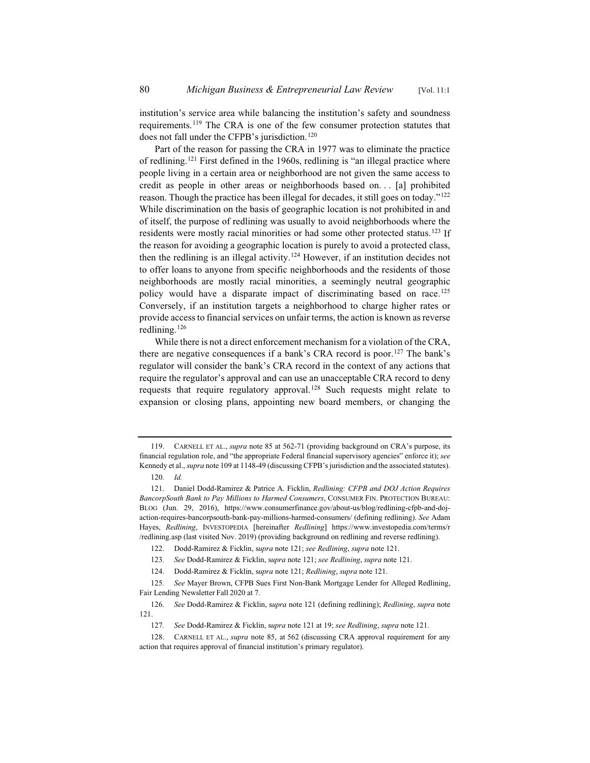institution's service area while balancing the institution's safety and soundness requirements.119 The CRA is one of the few consumer protection statutes that does not fall under the CFPB's jurisdiction.<sup>120</sup>

Part of the reason for passing the CRA in 1977 was to eliminate the practice of redlining.121 First defined in the 1960s, redlining is "an illegal practice where people living in a certain area or neighborhood are not given the same access to credit as people in other areas or neighborhoods based on. . . [a] prohibited reason. Though the practice has been illegal for decades, it still goes on today."122 While discrimination on the basis of geographic location is not prohibited in and of itself, the purpose of redlining was usually to avoid neighborhoods where the residents were mostly racial minorities or had some other protected status.<sup>123</sup> If the reason for avoiding a geographic location is purely to avoid a protected class, then the redlining is an illegal activity.<sup>124</sup> However, if an institution decides not to offer loans to anyone from specific neighborhoods and the residents of those neighborhoods are mostly racial minorities, a seemingly neutral geographic policy would have a disparate impact of discriminating based on race.125 Conversely, if an institution targets a neighborhood to charge higher rates or provide access to financial services on unfair terms, the action is known as reverse redlining.<sup>126</sup>

While there is not a direct enforcement mechanism for a violation of the CRA, there are negative consequences if a bank's CRA record is poor.127 The bank's regulator will consider the bank's CRA record in the context of any actions that require the regulator's approval and can use an unacceptable CRA record to deny requests that require regulatory approval.128 Such requests might relate to expansion or closing plans, appointing new board members, or changing the

<sup>119.</sup> CARNELL ET AL., *supra* note 85 at 562-71 (providing background on CRA's purpose, its financial regulation role, and "the appropriate Federal financial supervisory agencies" enforce it); *see* Kennedy et al., *supra* note 109 at 1148-49 (discussing CFPB's jurisdiction and the associated statutes).

<sup>120</sup>*. Id.*

<sup>121.</sup> Daniel Dodd-Ramirez & Patrice A. Ficklin, *Redlining: CFPB and DOJ Action Requires BancorpSouth Bank to Pay Millions to Harmed Consumers*, CONSUMER FIN. PROTECTION BUREAU: BLOG (Jun. 29, 2016), https://www.consumerfinance.gov/about-us/blog/redlining-cfpb-and-dojaction-requires-bancorpsouth-bank-pay-millions-harmed-consumers/ (defining redlining). *See* Adam Hayes, *Redlining*, INVESTOPEDIA [hereinafter *Redlining*] https://www.investopedia.com/terms/r /redlining.asp (last visited Nov. 2019) (providing background on redlining and reverse redlining).

<sup>122.</sup> Dodd-Ramirez & Ficklin, s*upra* note 121; *see Redlining*, *supra* note 121.

<sup>123</sup>*. See* Dodd-Ramirez & Ficklin, s*upra* note 121; *see Redlining*, *supra* note 121.

<sup>124.</sup> Dodd-Ramirez & Ficklin, s*upra* note 121; *Redlining*, *supra* note 121.

<sup>125</sup>*. See* Mayer Brown, CFPB Sues First Non-Bank Mortgage Lender for Alleged Redlining, Fair Lending Newsletter Fall 2020 at 7.

<sup>126</sup>*. See* Dodd-Ramirez & Ficklin, s*upra* note 121 (defining redlining); *Redlining*, *supra* note 121.

<sup>127</sup>*. See* Dodd-Ramirez & Ficklin, s*upra* note 121 at 19; *see Redlining*, *supra* note 121.

<sup>128.</sup> CARNELL ET AL., *supra* note 85, at 562 (discussing CRA approval requirement for any action that requires approval of financial institution's primary regulator).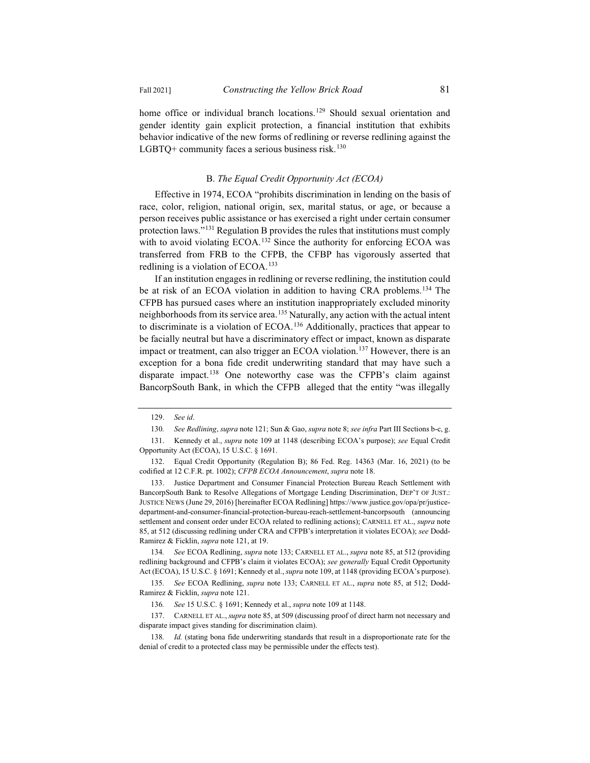home office or individual branch locations.<sup>129</sup> Should sexual orientation and gender identity gain explicit protection, a financial institution that exhibits behavior indicative of the new forms of redlining or reverse redlining against the LGBTQ+ community faces a serious business risk.<sup>130</sup>

## B. *The Equal Credit Opportunity Act (ECOA)*

Effective in 1974, ECOA "prohibits discrimination in lending on the basis of race, color, religion, national origin, sex, marital status, or age, or because a person receives public assistance or has exercised a right under certain consumer protection laws."131 Regulation B provides the rules that institutions must comply with to avoid violating ECOA.<sup>132</sup> Since the authority for enforcing ECOA was transferred from FRB to the CFPB, the CFBP has vigorously asserted that redlining is a violation of ECOA.<sup>133</sup>

If an institution engages in redlining or reverse redlining, the institution could be at risk of an ECOA violation in addition to having CRA problems.<sup>134</sup> The CFPB has pursued cases where an institution inappropriately excluded minority neighborhoods from its service area.135 Naturally, any action with the actual intent to discriminate is a violation of ECOA.136 Additionally, practices that appear to be facially neutral but have a discriminatory effect or impact, known as disparate impact or treatment, can also trigger an ECOA violation.<sup>137</sup> However, there is an exception for a bona fide credit underwriting standard that may have such a disparate impact.<sup>138</sup> One noteworthy case was the CFPB's claim against BancorpSouth Bank, in which the CFPB alleged that the entity "was illegally

<sup>129.</sup> *See id*.

<sup>130</sup>*. See Redlining*, *supra* note 121; Sun & Gao, *supra* note 8; *see infra* Part III Sections b-c, g.

<sup>131.</sup> Kennedy et al., *supra* note 109 at 1148 (describing ECOA's purpose); *see* Equal Credit Opportunity Act (ECOA), 15 U.S.C. § 1691.

<sup>132.</sup> Equal Credit Opportunity (Regulation B); 86 Fed. Reg. 14363 (Mar. 16, 2021) (to be codified at 12 C.F.R. pt. 1002); *CFPB ECOA Announcement*, *supra* note 18.

<sup>133.</sup> Justice Department and Consumer Financial Protection Bureau Reach Settlement with BancorpSouth Bank to Resolve Allegations of Mortgage Lending Discrimination, DEP'T OF JUST.: JUSTICE NEWS (June 29, 2016) [hereinafter ECOA Redlining] https://www.justice.gov/opa/pr/justicedepartment-and-consumer-financial-protection-bureau-reach-settlement-bancorpsouth (announcing settlement and consent order under ECOA related to redlining actions); CARNELL ET AL., *supra* note 85, at 512 (discussing redlining under CRA and CFPB's interpretation it violates ECOA); *see* Dodd-Ramirez & Ficklin, *supra* note 121, at 19.

<sup>134</sup>*. See* ECOA Redlining, *supra* note 133; CARNELL ET AL., *supra* note 85, at 512 (providing redlining background and CFPB's claim it violates ECOA); *see generally* Equal Credit Opportunity Act (ECOA), 15 U.S.C. § 1691; Kennedy et al., *supra* note 109, at 1148 (providing ECOA's purpose).

<sup>135</sup>*. See* ECOA Redlining, *supra* note 133; CARNELL ET AL., *supra* note 85, at 512; Dodd-Ramirez & Ficklin, *supra* note 121.

<sup>136</sup>*. See* 15 U.S.C. § 1691; Kennedy et al., *supra* note 109 at 1148.

<sup>137.</sup> CARNELL ET AL., *supra* note 85, at 509 (discussing proof of direct harm not necessary and disparate impact gives standing for discrimination claim).

<sup>138.</sup> Id. (stating bona fide underwriting standards that result in a disproportionate rate for the denial of credit to a protected class may be permissible under the effects test).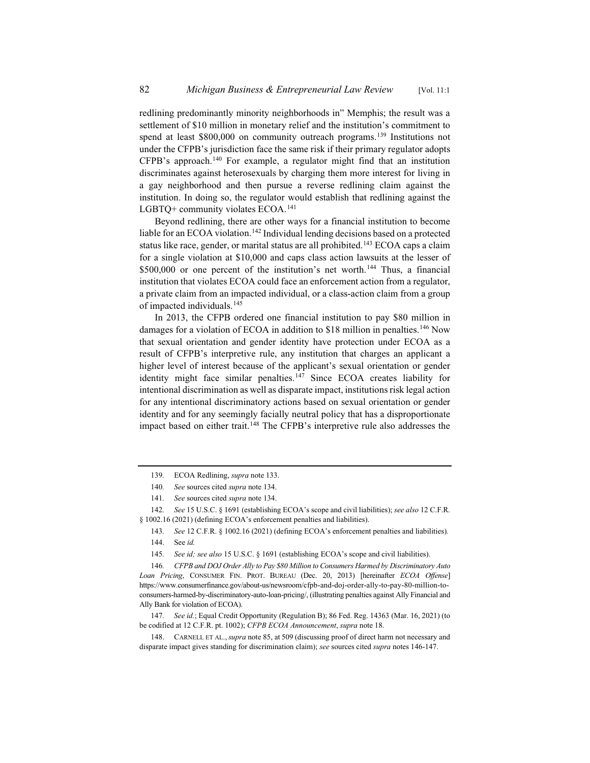redlining predominantly minority neighborhoods in" Memphis; the result was a settlement of \$10 million in monetary relief and the institution's commitment to spend at least \$800,000 on community outreach programs.<sup>139</sup> Institutions not under the CFPB's jurisdiction face the same risk if their primary regulator adopts CFPB's approach.140 For example, a regulator might find that an institution discriminates against heterosexuals by charging them more interest for living in a gay neighborhood and then pursue a reverse redlining claim against the institution. In doing so, the regulator would establish that redlining against the LGBTQ+ community violates ECOA.<sup>141</sup>

Beyond redlining, there are other ways for a financial institution to become liable for an ECOA violation.<sup>142</sup> Individual lending decisions based on a protected status like race, gender, or marital status are all prohibited.<sup>143</sup> ECOA caps a claim for a single violation at \$10,000 and caps class action lawsuits at the lesser of  $$500,000$  or one percent of the institution's net worth.<sup>144</sup> Thus, a financial institution that violates ECOA could face an enforcement action from a regulator, a private claim from an impacted individual, or a class-action claim from a group of impacted individuals.<sup>145</sup>

In 2013, the CFPB ordered one financial institution to pay \$80 million in damages for a violation of ECOA in addition to \$18 million in penalties.<sup>146</sup> Now that sexual orientation and gender identity have protection under ECOA as a result of CFPB's interpretive rule, any institution that charges an applicant a higher level of interest because of the applicant's sexual orientation or gender identity might face similar penalties.<sup>147</sup> Since ECOA creates liability for intentional discrimination as well as disparate impact, institutions risk legal action for any intentional discriminatory actions based on sexual orientation or gender identity and for any seemingly facially neutral policy that has a disproportionate impact based on either trait.<sup>148</sup> The CFPB's interpretive rule also addresses the

147*. See id.*; Equal Credit Opportunity (Regulation B); 86 Fed. Reg. 14363 (Mar. 16, 2021) (to be codified at 12 C.F.R. pt. 1002); *CFPB ECOA Announcement*, *supra* note 18.

<sup>139</sup>*.* ECOA Redlining, *supra* note 133.

<sup>140</sup>*. See* sources cited *supra* note 134.

<sup>141</sup>*. See* sources cited *supra* note 134.

<sup>142</sup>*. See* 15 U.S.C. § 1691 (establishing ECOA's scope and civil liabilities); *see also* 12 C.F.R. § 1002.16 (2021) (defining ECOA's enforcement penalties and liabilities).

<sup>143</sup>*. See* 12 C.F.R. § 1002.16 (2021) (defining ECOA's enforcement penalties and liabilities)*.*

<sup>144.</sup> See *id.*

<sup>145</sup>*. See id; see also* 15 U.S.C. § 1691 (establishing ECOA's scope and civil liabilities).

<sup>146</sup>*. CFPB and DOJ Order Ally to Pay \$80 Million to Consumers Harmed by Discriminatory Auto Loan Pricing*, CONSUMER FIN. PROT. BUREAU (Dec. 20, 2013) [hereinafter *ECOA Offense*] https://www.consumerfinance.gov/about-us/newsroom/cfpb-and-doj-order-ally-to-pay-80-million-toconsumers-harmed-by-discriminatory-auto-loan-pricing/, (illustrating penalties against Ally Financial and Ally Bank for violation of ECOA).

<sup>148.</sup> CARNELL ET AL., *supra* note 85, at 509 (discussing proof of direct harm not necessary and disparate impact gives standing for discrimination claim); *see* sources cited *supra* notes 146-147.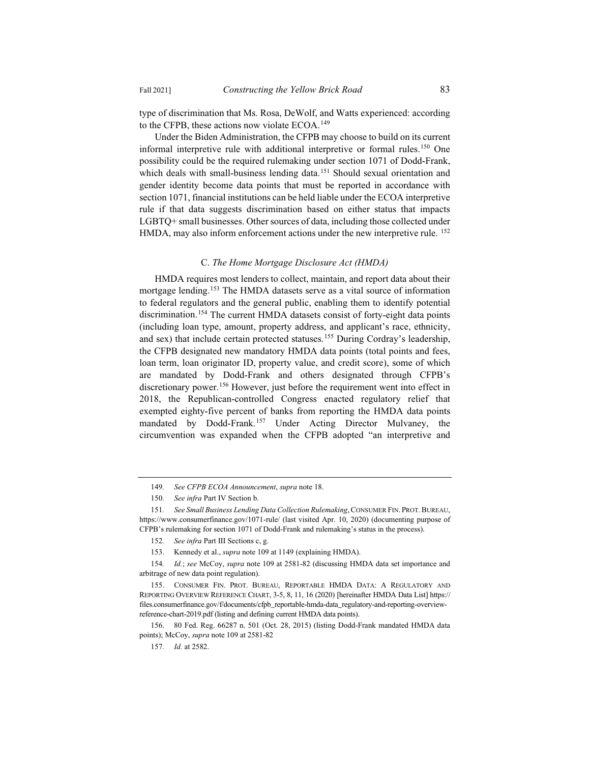type of discrimination that Ms. Rosa, DeWolf, and Watts experienced: according to the CFPB, these actions now violate ECOA.<sup>149</sup>

Under the Biden Administration, the CFPB may choose to build on its current informal interpretive rule with additional interpretive or formal rules.<sup>150</sup> One possibility could be the required rulemaking under section 1071 of Dodd-Frank, which deals with small-business lending data.<sup>151</sup> Should sexual orientation and gender identity become data points that must be reported in accordance with section 1071, financial institutions can be held liable under the ECOA interpretive rule if that data suggests discrimination based on either status that impacts LGBTQ+ small businesses. Other sources of data, including those collected under HMDA, may also inform enforcement actions under the new interpretive rule. <sup>152</sup>

## C. *The Home Mortgage Disclosure Act (HMDA)*

HMDA requires most lenders to collect, maintain, and report data about their mortgage lending.<sup>153</sup> The HMDA datasets serve as a vital source of information to federal regulators and the general public, enabling them to identify potential discrimination.<sup>154</sup> The current HMDA datasets consist of forty-eight data points (including loan type, amount, property address, and applicant's race, ethnicity, and sex) that include certain protected statuses.<sup>155</sup> During Cordray's leadership, the CFPB designated new mandatory HMDA data points (total points and fees, loan term, loan originator ID, property value, and credit score), some of which are mandated by Dodd-Frank and others designated through CFPB's discretionary power.<sup>156</sup> However, just before the requirement went into effect in 2018, the Republican-controlled Congress enacted regulatory relief that exempted eighty-five percent of banks from reporting the HMDA data points mandated by Dodd-Frank.<sup>157</sup> Under Acting Director Mulvaney, the circumvention was expanded when the CFPB adopted "an interpretive and

<sup>149</sup>*. See CFPB ECOA Announcement*, *supra* note 18.

<sup>150</sup>*. See infra* Part IV Section b.

<sup>151</sup>*. See Small Business Lending Data Collection Rulemaking*,CONSUMER FIN. PROT. BUREAU, https://www.consumerfinance.gov/1071-rule/ (last visited Apr. 10, 2020) (documenting purpose of CFPB's rulemaking for section 1071 of Dodd-Frank and rulemaking's status in the process).

<sup>152</sup>*. See infra* Part III Sections c, g.

<sup>153.</sup> Kennedy et al., *supra* note 109 at 1149 (explaining HMDA).

<sup>154</sup>*. Id.*; *see* McCoy, *supra* note 109 at 2581-82 (discussing HMDA data set importance and arbitrage of new data point regulation).

<sup>155.</sup> CONSUMER FIN. PROT. BUREAU, REPORTABLE HMDA DATA: A REGULATORY AND REPORTING OVERVIEW REFERENCE CHART, 3-5, 8, 11, 16 (2020) [hereinafter HMDA Data List] https:// files.consumerfinance.gov/f/documents/cfpb\_reportable-hmda-data\_regulatory-and-reporting-overviewreference-chart-2019.pdf (listing and defining current HMDA data points).

<sup>156. 80</sup> Fed. Reg. 66287 n. 501 (Oct. 28, 2015) (listing Dodd-Frank mandated HMDA data points); McCoy, *supra* note 109 at 2581-82

<sup>157</sup>*. Id.* at 2582.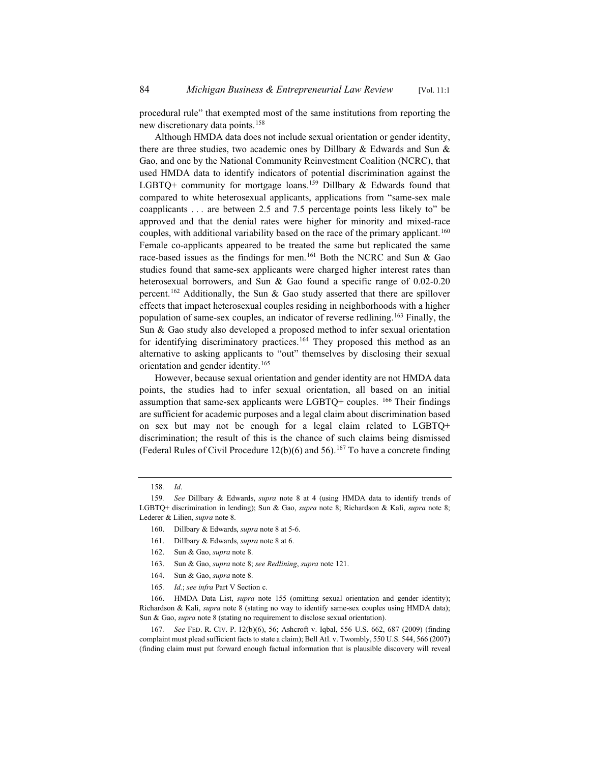procedural rule" that exempted most of the same institutions from reporting the new discretionary data points.<sup>158</sup>

Although HMDA data does not include sexual orientation or gender identity, there are three studies, two academic ones by Dillbary & Edwards and Sun & Gao, and one by the National Community Reinvestment Coalition (NCRC), that used HMDA data to identify indicators of potential discrimination against the LGBTQ+ community for mortgage loans.<sup>159</sup> Dillbary & Edwards found that compared to white heterosexual applicants, applications from "same-sex male coapplicants . . . are between 2.5 and 7.5 percentage points less likely to" be approved and that the denial rates were higher for minority and mixed-race couples, with additional variability based on the race of the primary applicant.<sup>160</sup> Female co-applicants appeared to be treated the same but replicated the same race-based issues as the findings for men.<sup>161</sup> Both the NCRC and Sun & Gao studies found that same-sex applicants were charged higher interest rates than heterosexual borrowers, and Sun & Gao found a specific range of 0.02-0.20 percent.<sup>162</sup> Additionally, the Sun & Gao study asserted that there are spillover effects that impact heterosexual couples residing in neighborhoods with a higher population of same-sex couples, an indicator of reverse redlining.163 Finally, the Sun & Gao study also developed a proposed method to infer sexual orientation for identifying discriminatory practices.<sup>164</sup> They proposed this method as an alternative to asking applicants to "out" themselves by disclosing their sexual orientation and gender identity.<sup>165</sup>

However, because sexual orientation and gender identity are not HMDA data points, the studies had to infer sexual orientation, all based on an initial assumption that same-sex applicants were  $LGBTQ+$  couples. <sup>166</sup> Their findings are sufficient for academic purposes and a legal claim about discrimination based on sex but may not be enough for a legal claim related to LGBTQ+ discrimination; the result of this is the chance of such claims being dismissed (Federal Rules of Civil Procedure 12(b)(6) and 56).<sup>167</sup> To have a concrete finding

- 161. Dillbary & Edwards, *supra* note 8 at 6.
- 162. Sun & Gao, *supra* note 8.
- 163. Sun & Gao, *supra* note 8; *see Redlining*, *supra* note 121.
- 164. Sun & Gao, *supra* note 8.
- 165*. Id.*; *see infra* Part V Section c.

166. HMDA Data List, *supra* note 155 (omitting sexual orientation and gender identity); Richardson & Kali, *supra* note 8 (stating no way to identify same-sex couples using HMDA data); Sun & Gao, *supra* note 8 (stating no requirement to disclose sexual orientation).

167*. See* FED. R. CIV. P. 12(b)(6), 56; Ashcroft v. Iqbal, 556 U.S. 662, 687 (2009) (finding complaint must plead sufficient facts to state a claim); Bell Atl. v. Twombly, 550 U.S. 544, 566 (2007) (finding claim must put forward enough factual information that is plausible discovery will reveal

<sup>158</sup>*. Id*.

<sup>159</sup>*. See* Dillbary & Edwards, *supra* note 8 at 4 (using HMDA data to identify trends of LGBTQ+ discrimination in lending); Sun & Gao, *supra* note 8; Richardson & Kali, *supra* note 8; Lederer & Lilien, *supra* note 8.

<sup>160.</sup> Dillbary & Edwards, *supra* note 8 at 5-6.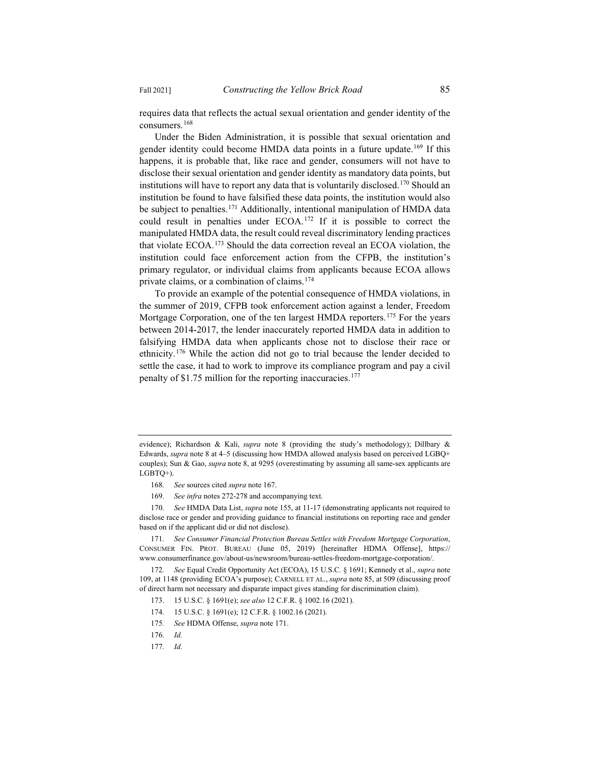requires data that reflects the actual sexual orientation and gender identity of the consumers.168

Under the Biden Administration, it is possible that sexual orientation and gender identity could become HMDA data points in a future update.<sup>169</sup> If this happens, it is probable that, like race and gender, consumers will not have to disclose their sexual orientation and gender identity as mandatory data points, but institutions will have to report any data that is voluntarily disclosed.<sup>170</sup> Should an institution be found to have falsified these data points, the institution would also be subject to penalties.<sup>171</sup> Additionally, intentional manipulation of HMDA data could result in penalties under ECOA.172 If it is possible to correct the manipulated HMDA data, the result could reveal discriminatory lending practices that violate ECOA.173 Should the data correction reveal an ECOA violation, the institution could face enforcement action from the CFPB, the institution's primary regulator, or individual claims from applicants because ECOA allows private claims, or a combination of claims.174

To provide an example of the potential consequence of HMDA violations, in the summer of 2019, CFPB took enforcement action against a lender, Freedom Mortgage Corporation, one of the ten largest HMDA reporters.<sup>175</sup> For the years between 2014-2017, the lender inaccurately reported HMDA data in addition to falsifying HMDA data when applicants chose not to disclose their race or ethnicity.176 While the action did not go to trial because the lender decided to settle the case, it had to work to improve its compliance program and pay a civil penalty of \$1.75 million for the reporting inaccuracies.<sup>177</sup>

169*. See infra* notes 272-278 and accompanying text.

170*. See* HMDA Data List, *supra* note 155, at 11-17 (demonstrating applicants not required to disclose race or gender and providing guidance to financial institutions on reporting race and gender based on if the applicant did or did not disclose).

171*. See Consumer Financial Protection Bureau Settles with Freedom Mortgage Corporation*, CONSUMER FIN. PROT. BUREAU (June 05, 2019) [hereinafter HDMA Offense], https:// www.consumerfinance.gov/about-us/newsroom/bureau-settles-freedom-mortgage-corporation/.

172*. See* Equal Credit Opportunity Act (ECOA), 15 U.S.C. § 1691; Kennedy et al., *supra* note 109, at 1148 (providing ECOA's purpose); CARNELL ET AL., *supra* note 85, at 509 (discussing proof of direct harm not necessary and disparate impact gives standing for discrimination claim).

- 173. 15 U.S.C. § 1691(e); *see also* 12 C.F.R. § 1002.16 (2021).
- 174. 15 U.S.C. § 1691(e); 12 C.F.R. § 1002.16 (2021)*.*
- 175*. See* HDMA Offense, *supra* note 171.
- 176*. Id.*
- 177*. Id.*

evidence); Richardson & Kali, *supra* note 8 (providing the study's methodology); Dillbary & Edwards, *supra* note 8 at 4–5 (discussing how HMDA allowed analysis based on perceived LGBQ+ couples); Sun & Gao, *supra* note 8, at 9295 (overestimating by assuming all same-sex applicants are LGBTQ+).

<sup>168</sup>*. See* sources cited *supra* note 167.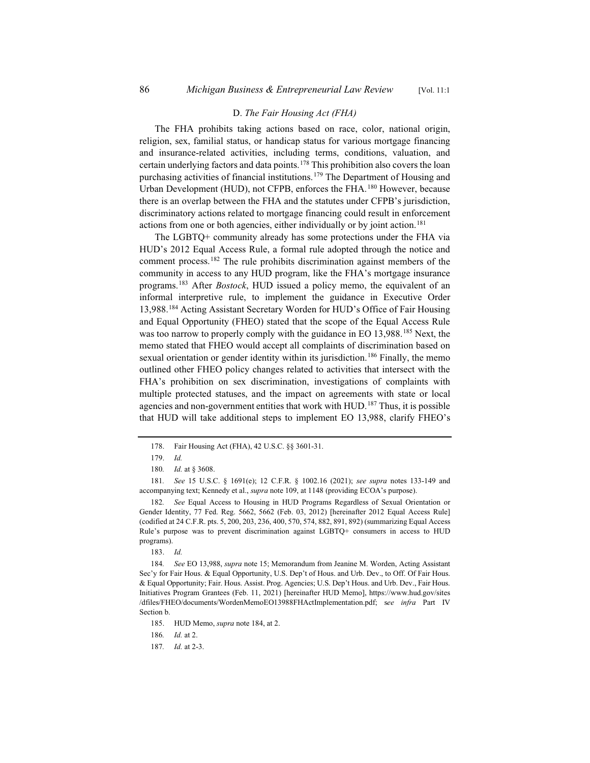#### D. *The Fair Housing Act (FHA)*

The FHA prohibits taking actions based on race, color, national origin, religion, sex, familial status, or handicap status for various mortgage financing and insurance-related activities, including terms, conditions, valuation, and certain underlying factors and data points.<sup>178</sup> This prohibition also covers the loan purchasing activities of financial institutions.<sup>179</sup> The Department of Housing and Urban Development (HUD), not CFPB, enforces the FHA.<sup>180</sup> However, because there is an overlap between the FHA and the statutes under CFPB's jurisdiction, discriminatory actions related to mortgage financing could result in enforcement actions from one or both agencies, either individually or by joint action.<sup>181</sup>

The LGBTQ+ community already has some protections under the FHA via HUD's 2012 Equal Access Rule, a formal rule adopted through the notice and comment process.182 The rule prohibits discrimination against members of the community in access to any HUD program, like the FHA's mortgage insurance programs.183 After *Bostock*, HUD issued a policy memo, the equivalent of an informal interpretive rule, to implement the guidance in Executive Order 13,988.184 Acting Assistant Secretary Worden for HUD's Office of Fair Housing and Equal Opportunity (FHEO) stated that the scope of the Equal Access Rule was too narrow to properly comply with the guidance in EO 13,988.<sup>185</sup> Next, the memo stated that FHEO would accept all complaints of discrimination based on sexual orientation or gender identity within its jurisdiction.<sup>186</sup> Finally, the memo outlined other FHEO policy changes related to activities that intersect with the FHA's prohibition on sex discrimination, investigations of complaints with multiple protected statuses, and the impact on agreements with state or local agencies and non-government entities that work with HUD.<sup>187</sup> Thus, it is possible that HUD will take additional steps to implement EO 13,988, clarify FHEO's

<sup>178.</sup> Fair Housing Act (FHA), 42 U.S.C. §§ 3601-31.

<sup>179.</sup> *Id.*

<sup>180</sup>*. Id.* at § 3608.

<sup>181</sup>*. See* 15 U.S.C. § 1691(e); 12 C.F.R. § 1002.16 (2021); *see supra* notes 133-149 and accompanying text; Kennedy et al., *supra* note 109, at 1148 (providing ECOA's purpose).

<sup>182</sup>*. See* Equal Access to Housing in HUD Programs Regardless of Sexual Orientation or Gender Identity, 77 Fed. Reg. 5662, 5662 (Feb. 03, 2012) [hereinafter 2012 Equal Access Rule] (codified at 24 C.F.R. pts. 5, 200, 203, 236, 400, 570, 574, 882, 891, 892) (summarizing Equal Access Rule's purpose was to prevent discrimination against LGBTQ+ consumers in access to HUD programs).

<sup>183.</sup> *Id.*

<sup>184</sup>*. See* EO 13,988, *supra* note 15; Memorandum from Jeanine M. Worden, Acting Assistant Sec'y for Fair Hous. & Equal Opportunity, U.S. Dep't of Hous. and Urb. Dev., to Off. Of Fair Hous. & Equal Opportunity; Fair. Hous. Assist. Prog. Agencies; U.S. Dep't Hous. and Urb. Dev., Fair Hous. Initiatives Program Grantees (Feb. 11, 2021) [hereinafter HUD Memo], https://www.hud.gov/sites /dfiles/FHEO/documents/WordenMemoEO13988FHActImplementation.pdf; s*ee infra* Part IV Section b.

<sup>185.</sup> HUD Memo, *supra* note 184, at 2.

<sup>186</sup>*. Id.* at 2.

<sup>187</sup>*. Id.* at 2-3.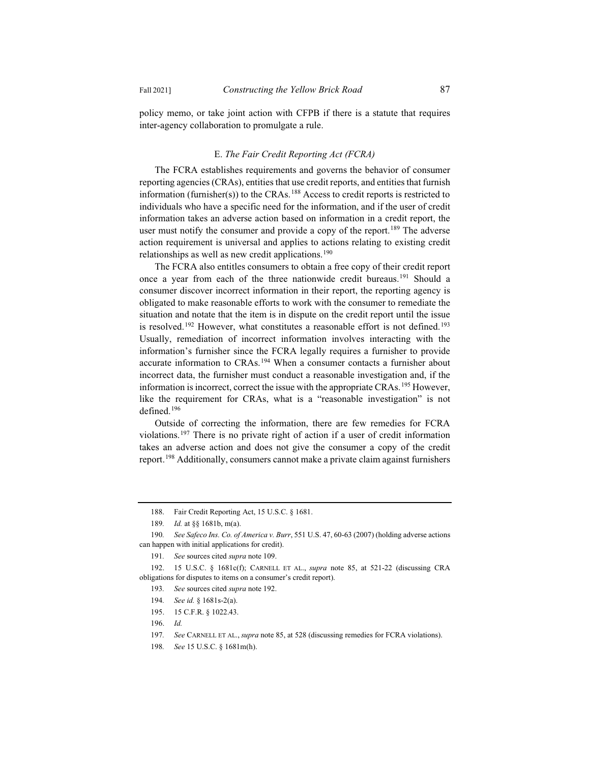policy memo, or take joint action with CFPB if there is a statute that requires inter-agency collaboration to promulgate a rule.

## E. *The Fair Credit Reporting Act (FCRA)*

The FCRA establishes requirements and governs the behavior of consumer reporting agencies (CRAs), entities that use credit reports, and entities that furnish information (furnisher(s)) to the CRAs.<sup>188</sup> Access to credit reports is restricted to individuals who have a specific need for the information, and if the user of credit information takes an adverse action based on information in a credit report, the user must notify the consumer and provide a copy of the report.<sup>189</sup> The adverse action requirement is universal and applies to actions relating to existing credit relationships as well as new credit applications.<sup>190</sup>

The FCRA also entitles consumers to obtain a free copy of their credit report once a year from each of the three nationwide credit bureaus.<sup>191</sup> Should a consumer discover incorrect information in their report, the reporting agency is obligated to make reasonable efforts to work with the consumer to remediate the situation and notate that the item is in dispute on the credit report until the issue is resolved.<sup>192</sup> However, what constitutes a reasonable effort is not defined.<sup>193</sup> Usually, remediation of incorrect information involves interacting with the information's furnisher since the FCRA legally requires a furnisher to provide accurate information to CRAs.<sup>194</sup> When a consumer contacts a furnisher about incorrect data, the furnisher must conduct a reasonable investigation and, if the information is incorrect, correct the issue with the appropriate CRAs.<sup>195</sup> However, like the requirement for CRAs, what is a "reasonable investigation" is not defined.196

Outside of correcting the information, there are few remedies for FCRA violations.197 There is no private right of action if a user of credit information takes an adverse action and does not give the consumer a copy of the credit report.198 Additionally, consumers cannot make a private claim against furnishers

<sup>188.</sup> Fair Credit Reporting Act, 15 U.S.C. § 1681.

<sup>189</sup>*. Id.* at §§ 1681b, m(a).

<sup>190</sup>*. See Safeco Ins. Co. of America v. Burr*, 551 U.S. 47, 60-63 (2007) (holding adverse actions can happen with initial applications for credit).

<sup>191</sup>*. See* sources cited *supra* note 109.

<sup>192. 15</sup> U.S.C. § 1681c(f); CARNELL ET AL., *supra* note 85, at 521-22 (discussing CRA obligations for disputes to items on a consumer's credit report).

<sup>193</sup>*. See* sources cited *supra* note 192.

<sup>194</sup>*. See id.* § 1681s-2(a).

<sup>195. 15</sup> C.F.R. § 1022.43.

<sup>196.</sup> *Id.*

<sup>197</sup>*. See* CARNELL ET AL., *supra* note 85, at 528 (discussing remedies for FCRA violations).

<sup>198</sup>*. See* 15 U.S.C. § 1681m(h).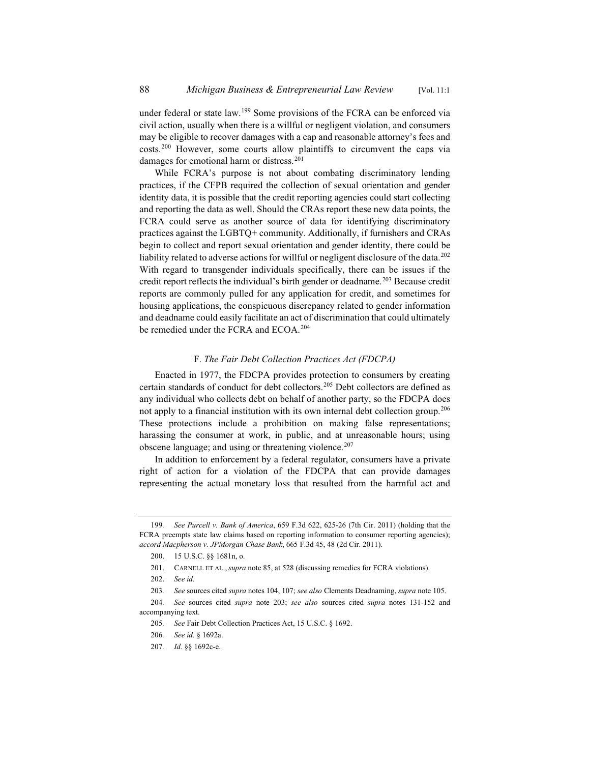under federal or state law.<sup>199</sup> Some provisions of the FCRA can be enforced via civil action, usually when there is a willful or negligent violation, and consumers may be eligible to recover damages with a cap and reasonable attorney's fees and costs.200 However, some courts allow plaintiffs to circumvent the caps via damages for emotional harm or distress.<sup>201</sup>

While FCRA's purpose is not about combating discriminatory lending practices, if the CFPB required the collection of sexual orientation and gender identity data, it is possible that the credit reporting agencies could start collecting and reporting the data as well. Should the CRAs report these new data points, the FCRA could serve as another source of data for identifying discriminatory practices against the LGBTQ+ community. Additionally, if furnishers and CRAs begin to collect and report sexual orientation and gender identity, there could be liability related to adverse actions for willful or negligent disclosure of the data.<sup>202</sup> With regard to transgender individuals specifically, there can be issues if the credit report reflects the individual's birth gender or deadname.<sup>203</sup> Because credit reports are commonly pulled for any application for credit, and sometimes for housing applications, the conspicuous discrepancy related to gender information and deadname could easily facilitate an act of discrimination that could ultimately be remedied under the FCRA and ECOA.<sup>204</sup>

## F. *The Fair Debt Collection Practices Act (FDCPA)*

Enacted in 1977, the FDCPA provides protection to consumers by creating certain standards of conduct for debt collectors.<sup>205</sup> Debt collectors are defined as any individual who collects debt on behalf of another party, so the FDCPA does not apply to a financial institution with its own internal debt collection group.<sup>206</sup> These protections include a prohibition on making false representations; harassing the consumer at work, in public, and at unreasonable hours; using obscene language; and using or threatening violence. $207$ 

In addition to enforcement by a federal regulator, consumers have a private right of action for a violation of the FDCPA that can provide damages representing the actual monetary loss that resulted from the harmful act and

<sup>199</sup>*. See Purcell v. Bank of America*, 659 F.3d 622, 625-26 (7th Cir. 2011) (holding that the FCRA preempts state law claims based on reporting information to consumer reporting agencies); *accord Macpherson v. JPMorgan Chase Bank*, 665 F.3d 45, 48 (2d Cir. 2011).

<sup>200. 15</sup> U.S.C. §§ 1681n, o.

<sup>201.</sup> CARNELL ET AL., *supra* note 85, at 528 (discussing remedies for FCRA violations).

<sup>202.</sup> *See id.*

<sup>203</sup>*. See* sources cited *supra* notes 104, 107; *see also* Clements Deadnaming, *supra* note 105.

<sup>204</sup>*. See* sources cited *supra* note 203; *see also* sources cited *supra* notes 131-152 and accompanying text.

<sup>205</sup>*. See* Fair Debt Collection Practices Act, 15 U.S.C. § 1692.

<sup>206</sup>*. See id.* § 1692a.

<sup>207</sup>*. Id.* §§ 1692c-e.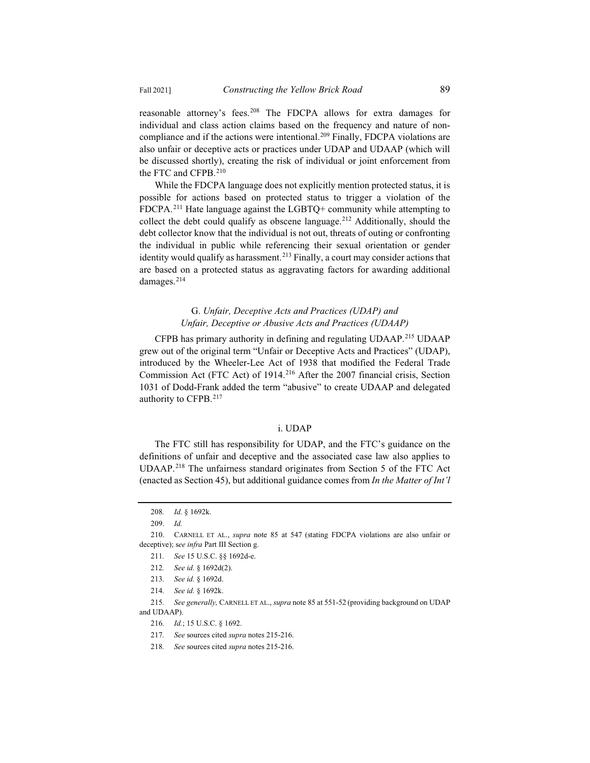reasonable attorney's fees.<sup>208</sup> The FDCPA allows for extra damages for individual and class action claims based on the frequency and nature of noncompliance and if the actions were intentional.<sup>209</sup> Finally, FDCPA violations are also unfair or deceptive acts or practices under UDAP and UDAAP (which will be discussed shortly), creating the risk of individual or joint enforcement from the FTC and CFPB.210

While the FDCPA language does not explicitly mention protected status, it is possible for actions based on protected status to trigger a violation of the FDCPA.211 Hate language against the LGBTQ+ community while attempting to collect the debt could qualify as obscene language.<sup>212</sup> Additionally, should the debt collector know that the individual is not out, threats of outing or confronting the individual in public while referencing their sexual orientation or gender identity would qualify as harassment.<sup>213</sup> Finally, a court may consider actions that are based on a protected status as aggravating factors for awarding additional damages.<sup>214</sup>

## G. *Unfair, Deceptive Acts and Practices (UDAP) and Unfair, Deceptive or Abusive Acts and Practices (UDAAP)*

CFPB has primary authority in defining and regulating UDAAP.215 UDAAP grew out of the original term "Unfair or Deceptive Acts and Practices" (UDAP), introduced by the Wheeler-Lee Act of 1938 that modified the Federal Trade Commission Act (FTC Act) of 1914.<sup>216</sup> After the 2007 financial crisis, Section 1031 of Dodd-Frank added the term "abusive" to create UDAAP and delegated authority to CFPB.<sup>217</sup>

## i. UDAP

The FTC still has responsibility for UDAP, and the FTC's guidance on the definitions of unfair and deceptive and the associated case law also applies to UDAAP.<sup>218</sup> The unfairness standard originates from Section 5 of the FTC Act (enacted as Section 45), but additional guidance comes from *In the Matter of Int'l*

<sup>208</sup>*. Id.* § 1692k.

<sup>209.</sup> *Id.*

<sup>210.</sup> CARNELL ET AL., *supra* note 85 at 547 (stating FDCPA violations are also unfair or deceptive); s*ee infra* Part III Section g.

<sup>211</sup>*. See* 15 U.S.C. §§ 1692d-e.

<sup>212</sup>*. See id.* § 1692d(2).

<sup>213</sup>*. See id.* § 1692d.

<sup>214</sup>*. See id.* § 1692k.

<sup>215</sup>*. See generally,* CARNELL ET AL., *supra* note 85 at 551-52 (providing background on UDAP and UDAAP).

<sup>216</sup>*. Id.*; 15 U.S.C. § 1692.

<sup>217</sup>*. See* sources cited *supra* notes 215-216.

<sup>218</sup>*. See* sources cited *supra* notes 215-216.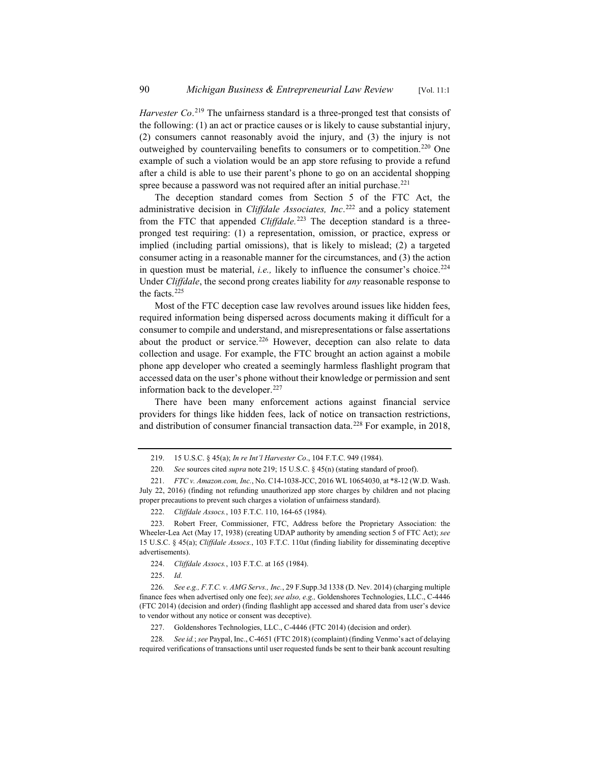Harvester Co.<sup>219</sup> The unfairness standard is a three-pronged test that consists of the following: (1) an act or practice causes or is likely to cause substantial injury, (2) consumers cannot reasonably avoid the injury, and (3) the injury is not outweighed by countervailing benefits to consumers or to competition.<sup>220</sup> One example of such a violation would be an app store refusing to provide a refund after a child is able to use their parent's phone to go on an accidental shopping spree because a password was not required after an initial purchase.<sup>221</sup>

The deception standard comes from Section 5 of the FTC Act, the administrative decision in *Cliffdale Associates, Inc*. <sup>222</sup> and a policy statement from the FTC that appended *Cliffdale.*<sup>223</sup> The deception standard is a threepronged test requiring: (1) a representation, omission, or practice, express or implied (including partial omissions), that is likely to mislead; (2) a targeted consumer acting in a reasonable manner for the circumstances, and (3) the action in question must be material, *i.e.*, likely to influence the consumer's choice.<sup>224</sup> Under *Cliffdale*, the second prong creates liability for *any* reasonable response to the facts.<sup>225</sup>

Most of the FTC deception case law revolves around issues like hidden fees, required information being dispersed across documents making it difficult for a consumer to compile and understand, and misrepresentations or false assertations about the product or service.<sup>226</sup> However, deception can also relate to data collection and usage. For example, the FTC brought an action against a mobile phone app developer who created a seemingly harmless flashlight program that accessed data on the user's phone without their knowledge or permission and sent information back to the developer. $227$ 

There have been many enforcement actions against financial service providers for things like hidden fees, lack of notice on transaction restrictions, and distribution of consumer financial transaction data.<sup>228</sup> For example, in 2018,

224. *Cliffdale Assocs.*, 103 F.T.C. at 165 (1984).

225. *Id.*

<sup>219. 15</sup> U.S.C. § 45(a); *In re Int'l Harvester Co*., 104 F.T.C. 949 (1984).

<sup>220</sup>*. See* sources cited *supra* note 219; 15 U.S.C. § 45(n) (stating standard of proof).

<sup>221.</sup> *FTC v. Amazon.com, Inc.*, No. C14-1038-JCC, 2016 WL 10654030, at \*8-12 (W.D. Wash. July 22, 2016) (finding not refunding unauthorized app store charges by children and not placing proper precautions to prevent such charges a violation of unfairness standard).

<sup>222.</sup> *Cliffdale Assocs.*, 103 F.T.C. 110, 164-65 (1984).

<sup>223.</sup> Robert Freer, Commissioner, FTC, Address before the Proprietary Association: the Wheeler-Lea Act (May 17, 1938) (creating UDAP authority by amending section 5 of FTC Act); *see*  15 U.S.C. § 45(a); *Cliffdale Assocs.*, 103 F.T.C. 110at (finding liability for disseminating deceptive advertisements).

<sup>226</sup>*. See e.g., F.T.C. v. AMG Servs., Inc.*, 29 F.Supp.3d 1338 (D. Nev. 2014) (charging multiple finance fees when advertised only one fee); *see also, e.g.,* Goldenshores Technologies, LLC., C-4446 (FTC 2014) (decision and order) (finding flashlight app accessed and shared data from user's device to vendor without any notice or consent was deceptive).

<sup>227.</sup> Goldenshores Technologies, LLC., C-4446 (FTC 2014) (decision and order).

<sup>228</sup>*. See id.*; *see* Paypal, Inc., C-4651 (FTC 2018) (complaint) (finding Venmo's act of delaying required verifications of transactions until user requested funds be sent to their bank account resulting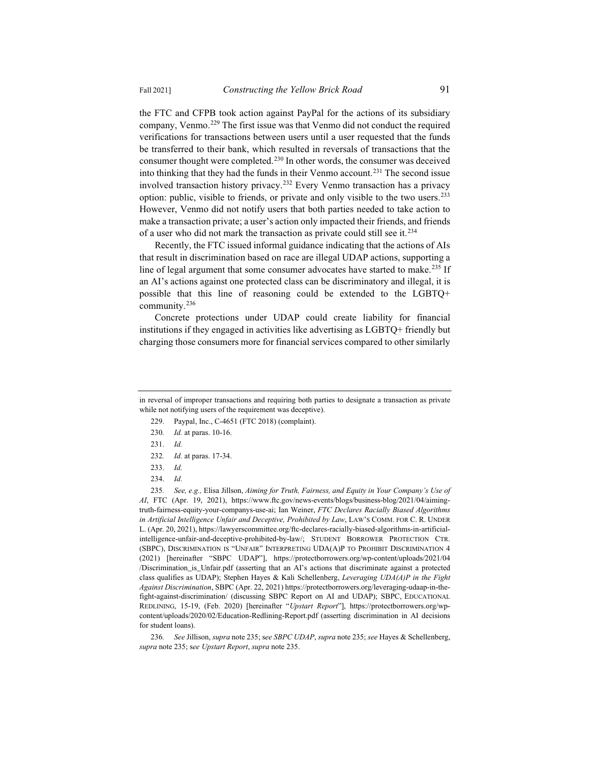the FTC and CFPB took action against PayPal for the actions of its subsidiary company, Venmo.229 The first issue was that Venmo did not conduct the required verifications for transactions between users until a user requested that the funds be transferred to their bank, which resulted in reversals of transactions that the consumer thought were completed.<sup>230</sup> In other words, the consumer was deceived into thinking that they had the funds in their Venmo account.231 The second issue involved transaction history privacy.<sup>232</sup> Every Venmo transaction has a privacy option: public, visible to friends, or private and only visible to the two users.233 However, Venmo did not notify users that both parties needed to take action to make a transaction private; a user's action only impacted their friends, and friends of a user who did not mark the transaction as private could still see it.<sup>234</sup>

Recently, the FTC issued informal guidance indicating that the actions of AIs that result in discrimination based on race are illegal UDAP actions, supporting a line of legal argument that some consumer advocates have started to make.<sup>235</sup> If an AI's actions against one protected class can be discriminatory and illegal, it is possible that this line of reasoning could be extended to the LGBTQ+ community. $236$ 

Concrete protections under UDAP could create liability for financial institutions if they engaged in activities like advertising as LGBTQ+ friendly but charging those consumers more for financial services compared to other similarly

- 229. Paypal, Inc., C-4651 (FTC 2018) (complaint).
- 230*. Id.* at paras. 10-16.
- 231. *Id.*
- 232*. Id.* at paras. 17-34.
- 233. *Id.*
- 234. *Id.*

235*. See, e.g.,* Elisa Jillson, *Aiming for Truth, Fairness, and Equity in Your Company's Use of AI*, FTC (Apr. 19, 2021), https://www.ftc.gov/news-events/blogs/business-blog/2021/04/aimingtruth-fairness-equity-your-companys-use-ai; Ian Weiner, *FTC Declares Racially Biased Algorithms in Artificial Intelligence Unfair and Deceptive, Prohibited by Law*, LAW'S COMM. FOR C. R. UNDER L. (Apr. 20, 2021), https://lawyerscommittee.org/ftc-declares-racially-biased-algorithms-in-artificialintelligence-unfair-and-deceptive-prohibited-by-law/; STUDENT BORROWER PROTECTION CTR. (SBPC), DISCRIMINATION IS "UNFAIR" INTERPRETING UDA(A)P TO PROHIBIT DISCRIMINATION 4 (2021) [hereinafter "SBPC UDAP"], https://protectborrowers.org/wp-content/uploads/2021/04 /Discrimination\_is\_Unfair.pdf (asserting that an AI's actions that discriminate against a protected class qualifies as UDAP); Stephen Hayes & Kali Schellenberg, *Leveraging UDA(A)P in the Fight Against Discrimination*, SBPC (Apr. 22, 2021) https://protectborrowers.org/leveraging-udaap-in-thefight-against-discrimination/ (discussing SBPC Report on AI and UDAP); SBPC, EDUCATIONAL REDLINING, 15-19, (Feb. 2020) [hereinafter "*Upstart Report*"], https://protectborrowers.org/wpcontent/uploads/2020/02/Education-Redlining-Report.pdf (asserting discrimination in AI decisions for student loans).

236*. See* Jillison, *supra* note 235; s*ee SBPC UDAP*, *supra* note 235; *see* Hayes & Schellenberg, *supra* note 235; s*ee Upstart Report*, *supra* note 235.

in reversal of improper transactions and requiring both parties to designate a transaction as private while not notifying users of the requirement was deceptive).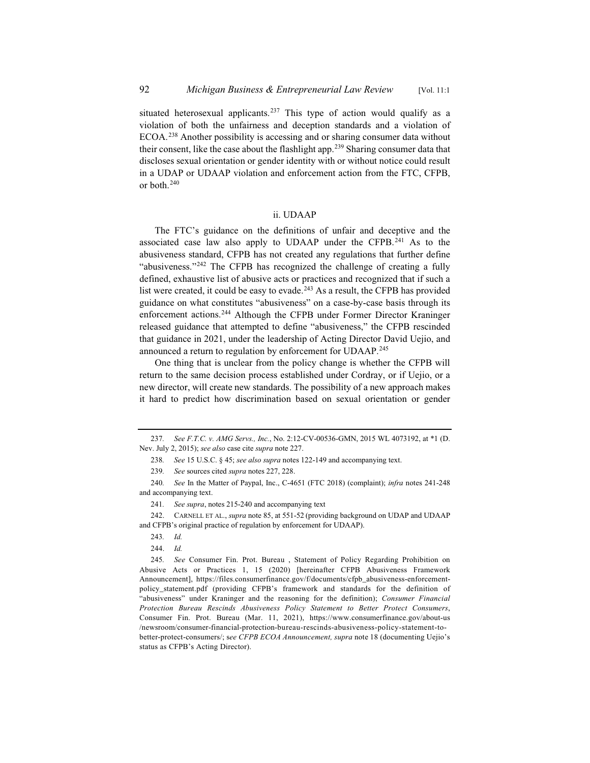situated heterosexual applicants.<sup>237</sup> This type of action would qualify as a violation of both the unfairness and deception standards and a violation of ECOA.238 Another possibility is accessing and or sharing consumer data without their consent, like the case about the flashlight app.<sup>239</sup> Sharing consumer data that discloses sexual orientation or gender identity with or without notice could result in a UDAP or UDAAP violation and enforcement action from the FTC, CFPB, or both.240

## ii. UDAAP

The FTC's guidance on the definitions of unfair and deceptive and the associated case law also apply to UDAAP under the CFPB.241 As to the abusiveness standard, CFPB has not created any regulations that further define "abusiveness."<sup>242</sup> The CFPB has recognized the challenge of creating a fully defined, exhaustive list of abusive acts or practices and recognized that if such a list were created, it could be easy to evade. $243$  As a result, the CFPB has provided guidance on what constitutes "abusiveness" on a case-by-case basis through its enforcement actions.244 Although the CFPB under Former Director Kraninger released guidance that attempted to define "abusiveness," the CFPB rescinded that guidance in 2021, under the leadership of Acting Director David Uejio, and announced a return to regulation by enforcement for UDAAP.<sup>245</sup>

One thing that is unclear from the policy change is whether the CFPB will return to the same decision process established under Cordray, or if Uejio, or a new director, will create new standards. The possibility of a new approach makes it hard to predict how discrimination based on sexual orientation or gender

<sup>237</sup>*. See F.T.C. v. AMG Servs., Inc.*, No. 2:12-CV-00536-GMN, 2015 WL 4073192, at \*1 (D. Nev. July 2, 2015); *see also* case cite *supra* note 227.

<sup>238</sup>*. See* 15 U.S.C. § 45; *see also supra* notes 122-149 and accompanying text.

<sup>239</sup>*. See* sources cited *supra* notes 227, 228.

<sup>240</sup>*. See* In the Matter of Paypal, Inc., C-4651 (FTC 2018) (complaint); *infra* notes 241-248 and accompanying text.

<sup>241</sup>*. See supra*, notes 215-240 and accompanying text

<sup>242.</sup> CARNELL ET AL., *supra* note 85, at 551-52 (providing background on UDAP and UDAAP and CFPB's original practice of regulation by enforcement for UDAAP).

<sup>243</sup>*. Id.*

<sup>244.</sup> *Id.*

<sup>245</sup>*. See* Consumer Fin. Prot. Bureau , Statement of Policy Regarding Prohibition on Abusive Acts or Practices 1, 15 (2020) [hereinafter CFPB Abusiveness Framework Announcement], https://files.consumerfinance.gov/f/documents/cfpb\_abusiveness-enforcementpolicy\_statement.pdf (providing CFPB's framework and standards for the definition of "abusiveness" under Kraninger and the reasoning for the definition); *Consumer Financial Protection Bureau Rescinds Abusiveness Policy Statement to Better Protect Consumers*, Consumer Fin. Prot. Bureau (Mar. 11, 2021), https://www.consumerfinance.gov/about-us /newsroom/consumer-financial-protection-bureau-rescinds-abusiveness-policy-statement-tobetter-protect-consumers/; s*ee CFPB ECOA Announcement, supra* note 18 (documenting Uejio's status as CFPB's Acting Director).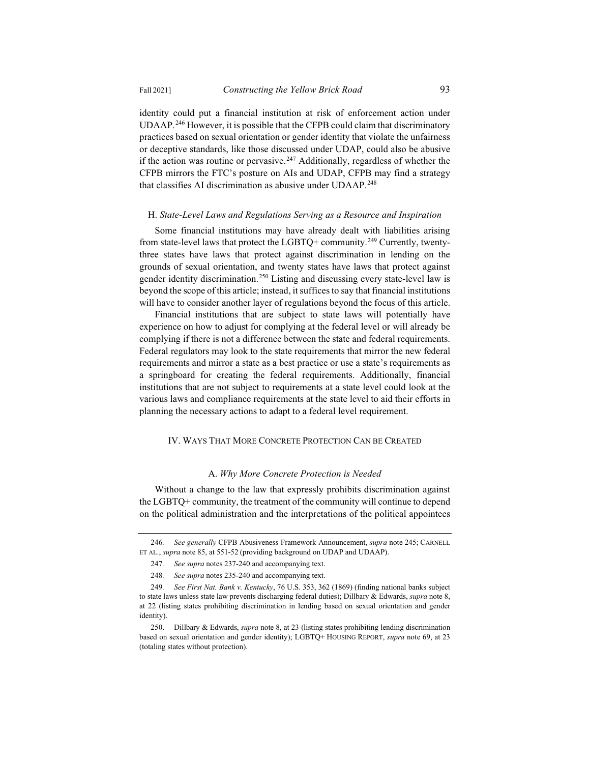identity could put a financial institution at risk of enforcement action under UDAAP.246 However, it is possible that the CFPB could claim that discriminatory practices based on sexual orientation or gender identity that violate the unfairness or deceptive standards, like those discussed under UDAP, could also be abusive if the action was routine or pervasive.<sup>247</sup> Additionally, regardless of whether the CFPB mirrors the FTC's posture on AIs and UDAP, CFPB may find a strategy that classifies AI discrimination as abusive under UDAAP.<sup>248</sup>

#### H. *State-Level Laws and Regulations Serving as a Resource and Inspiration*

Some financial institutions may have already dealt with liabilities arising from state-level laws that protect the LGBTQ+ community.<sup>249</sup> Currently, twentythree states have laws that protect against discrimination in lending on the grounds of sexual orientation, and twenty states have laws that protect against gender identity discrimination.250 Listing and discussing every state-level law is beyond the scope of this article; instead, it suffices to say that financial institutions will have to consider another layer of regulations beyond the focus of this article.

Financial institutions that are subject to state laws will potentially have experience on how to adjust for complying at the federal level or will already be complying if there is not a difference between the state and federal requirements. Federal regulators may look to the state requirements that mirror the new federal requirements and mirror a state as a best practice or use a state's requirements as a springboard for creating the federal requirements. Additionally, financial institutions that are not subject to requirements at a state level could look at the various laws and compliance requirements at the state level to aid their efforts in planning the necessary actions to adapt to a federal level requirement.

## IV. WAYS THAT MORE CONCRETE PROTECTION CAN BE CREATED

#### A. *Why More Concrete Protection is Needed*

Without a change to the law that expressly prohibits discrimination against the LGBTQ+ community, the treatment of the community will continue to depend on the political administration and the interpretations of the political appointees

<sup>246</sup>*. See generally* CFPB Abusiveness Framework Announcement, *supra* note 245; CARNELL ET AL., *supra* note 85, at 551-52 (providing background on UDAP and UDAAP).

<sup>247</sup>*. See supra* notes 237-240 and accompanying text.

<sup>248</sup>*. See supra* notes 235-240 and accompanying text.

<sup>249</sup>*. See First Nat. Bank v. Kentucky*, 76 U.S. 353, 362 (1869) (finding national banks subject to state laws unless state law prevents discharging federal duties); Dillbary & Edwards, *supra* note 8, at 22 (listing states prohibiting discrimination in lending based on sexual orientation and gender identity).

<sup>250.</sup> Dillbary & Edwards, *supra* note 8, at 23 (listing states prohibiting lending discrimination based on sexual orientation and gender identity); LGBTQ+ HOUSING REPORT, *supra* note 69, at 23 (totaling states without protection).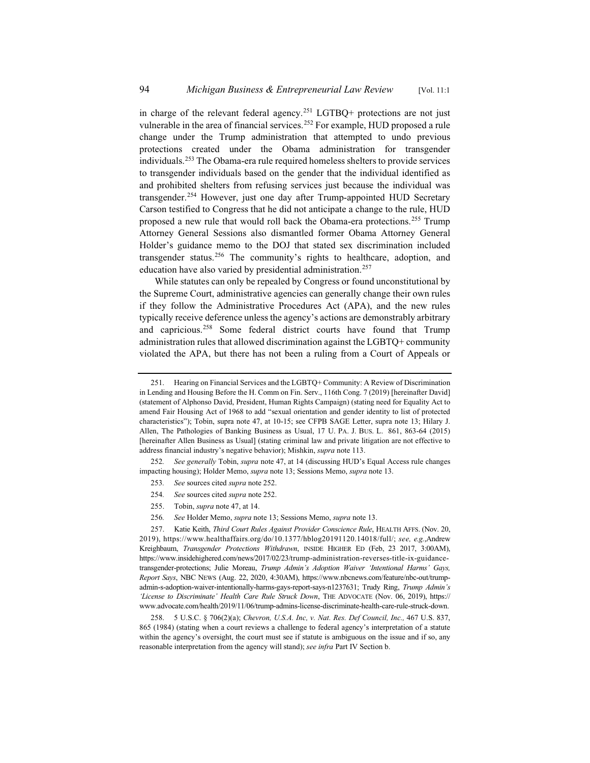in charge of the relevant federal agency.<sup>251</sup> LGTBQ+ protections are not just vulnerable in the area of financial services.<sup>252</sup> For example, HUD proposed a rule change under the Trump administration that attempted to undo previous protections created under the Obama administration for transgender individuals.253 The Obama-era rule required homeless shelters to provide services to transgender individuals based on the gender that the individual identified as and prohibited shelters from refusing services just because the individual was transgender.254 However, just one day after Trump-appointed HUD Secretary Carson testified to Congress that he did not anticipate a change to the rule, HUD proposed a new rule that would roll back the Obama-era protections.255 Trump Attorney General Sessions also dismantled former Obama Attorney General Holder's guidance memo to the DOJ that stated sex discrimination included transgender status.<sup>256</sup> The community's rights to healthcare, adoption, and education have also varied by presidential administration.<sup>257</sup>

While statutes can only be repealed by Congress or found unconstitutional by the Supreme Court, administrative agencies can generally change their own rules if they follow the Administrative Procedures Act (APA), and the new rules typically receive deference unless the agency's actions are demonstrably arbitrary and capricious.<sup>258</sup> Some federal district courts have found that Trump administration rules that allowed discrimination against the LGBTQ+ community violated the APA, but there has not been a ruling from a Court of Appeals or

- 253*. See* sources cited *supra* note 252.
- 254*. See* sources cited *supra* note 252.
- 255. Tobin, *supra* note 47, at 14.
- 256*. See* Holder Memo, *supra* note 13; Sessions Memo, *supra* note 13.

<sup>251.</sup> Hearing on Financial Services and the LGBTQ+ Community: A Review of Discrimination in Lending and Housing Before the H. Comm on Fin. Serv., 116th Cong. 7 (2019) [hereinafter David] (statement of Alphonso David, President, Human Rights Campaign) (stating need for Equality Act to amend Fair Housing Act of 1968 to add "sexual orientation and gender identity to list of protected characteristics"); Tobin, supra note 47, at 10-15; see CFPB SAGE Letter, supra note 13; Hilary J. Allen, The Pathologies of Banking Business as Usual, 17 U. PA. J. BUS. L. 861, 863-64 (2015) [hereinafter Allen Business as Usual] (stating criminal law and private litigation are not effective to address financial industry's negative behavior); Mishkin, *supra* note 113.

<sup>252</sup>*. See generally* Tobin, *supra* note 47, at 14 (discussing HUD's Equal Access rule changes impacting housing); Holder Memo, *supra* note 13; Sessions Memo, *supra* note 13.

<sup>257.</sup> Katie Keith, *Third Court Rules Against Provider Conscience Rule*, HEALTH AFFS. (Nov. 20, 2019), https://www.healthaffairs.org/do/10.1377/hblog20191120.14018/full/; *see, e.g.*,Andrew Kreighbaum, *Transgender Protections Withdrawn*, INSIDE HIGHER ED (Feb, 23 2017, 3:00AM), https://www.insidehighered.com/news/2017/02/23/trump-administration-reverses-title-ix-guidancetransgender-protections; Julie Moreau, *Trump Admin's Adoption Waiver 'Intentional Harms' Gays, Report Says*, NBC NEWS (Aug. 22, 2020, 4:30AM), https://www.nbcnews.com/feature/nbc-out/trumpadmin-s-adoption-waiver-intentionally-harms-gays-report-says-n1237631; Trudy Ring, *Trump Admin's 'License to Discriminate' Health Care Rule Struck Down*, THE ADVOCATE (Nov. 06, 2019), https:// www.advocate.com/health/2019/11/06/trump-admins-license-discriminate-health-care-rule-struck-down.

<sup>258. 5</sup> U.S.C. § 706(2)(a); *Chevron, U.S.A. Inc, v. Nat. Res. Def Council, Inc.,* 467 U.S. 837, 865 (1984) (stating when a court reviews a challenge to federal agency's interpretation of a statute within the agency's oversight, the court must see if statute is ambiguous on the issue and if so, any reasonable interpretation from the agency will stand); *see infra* Part IV Section b.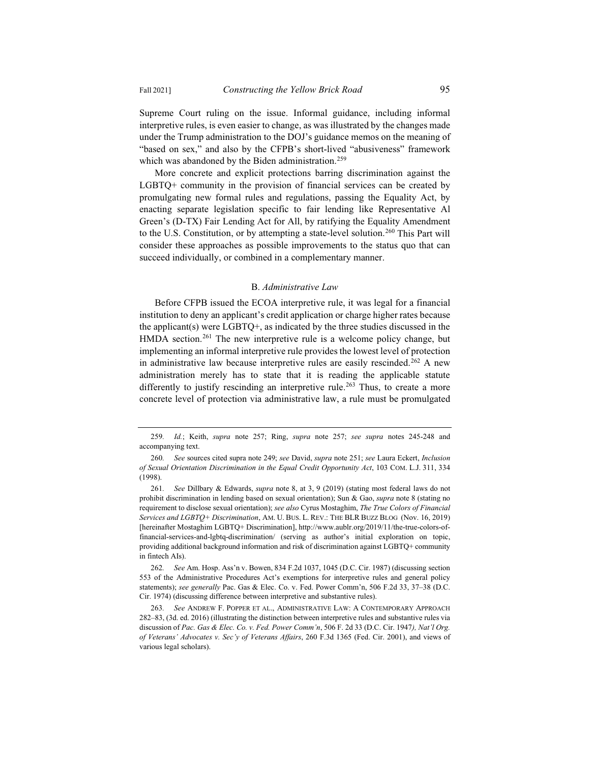Supreme Court ruling on the issue. Informal guidance, including informal interpretive rules, is even easier to change, as was illustrated by the changes made under the Trump administration to the DOJ's guidance memos on the meaning of "based on sex," and also by the CFPB's short-lived "abusiveness" framework which was abandoned by the Biden administration.<sup>259</sup>

More concrete and explicit protections barring discrimination against the LGBTQ+ community in the provision of financial services can be created by promulgating new formal rules and regulations, passing the Equality Act, by enacting separate legislation specific to fair lending like Representative Al Green's (D-TX) Fair Lending Act for All, by ratifying the Equality Amendment to the U.S. Constitution, or by attempting a state-level solution.<sup>260</sup> This Part will consider these approaches as possible improvements to the status quo that can succeed individually, or combined in a complementary manner.

## B. *Administrative Law*

Before CFPB issued the ECOA interpretive rule, it was legal for a financial institution to deny an applicant's credit application or charge higher rates because the applicant(s) were LGBTQ+, as indicated by the three studies discussed in the HMDA section.<sup>261</sup> The new interpretive rule is a welcome policy change, but implementing an informal interpretive rule provides the lowest level of protection in administrative law because interpretive rules are easily rescinded.<sup>262</sup> A new administration merely has to state that it is reading the applicable statute differently to justify rescinding an interpretive rule.<sup>263</sup> Thus, to create a more concrete level of protection via administrative law, a rule must be promulgated

<sup>259</sup>*. Id.*; Keith, *supra* note 257; Ring, *supra* note 257; *see supra* notes 245-248 and accompanying text.

<sup>260</sup>*. See* sources cited supra note 249; *see* David, *supra* note 251; *see* Laura Eckert, *Inclusion of Sexual Orientation Discrimination in the Equal Credit Opportunity Act*, 103 COM. L.J. 311, 334 (1998).

<sup>261</sup>*. See* Dillbary & Edwards, *supra* note 8, at 3, 9 (2019) (stating most federal laws do not prohibit discrimination in lending based on sexual orientation); Sun & Gao, *supra* note 8 (stating no requirement to disclose sexual orientation); *see also* Cyrus Mostaghim, *The True Colors of Financial Services and LGBTQ+ Discrimination*, AM. U. BUS. L. REV.: THE BLR BUZZ BLOG (Nov. 16, 2019) [hereinafter Mostaghim LGBTQ+ Discrimination], http://www.aublr.org/2019/11/the-true-colors-offinancial-services-and-lgbtq-discrimination/ (serving as author's initial exploration on topic, providing additional background information and risk of discrimination against LGBTQ+ community in fintech AIs).

<sup>262</sup>*. See* Am. Hosp. Ass'n v. Bowen, 834 F.2d 1037, 1045 (D.C. Cir. 1987) (discussing section 553 of the Administrative Procedures Act's exemptions for interpretive rules and general policy statements); *see generally* Pac. Gas & Elec. Co. v. Fed. Power Comm'n, 506 F.2d 33, 37–38 (D.C. Cir. 1974) (discussing difference between interpretive and substantive rules).

<sup>263</sup>*. See* ANDREW F. POPPER ET AL., ADMINISTRATIVE LAW:ACONTEMPORARY APPROACH 282–83, (3d. ed. 2016) (illustrating the distinction between interpretive rules and substantive rules via discussion of *Pac. Gas & Elec. Co. v. Fed. Power Comm'n*, 506 F. 2d 33 (D.C. Cir. 1947*), Nat'l Org. of Veterans' Advocates v. Sec'y of Veterans Affairs*, 260 F.3d 1365 (Fed. Cir. 2001), and views of various legal scholars).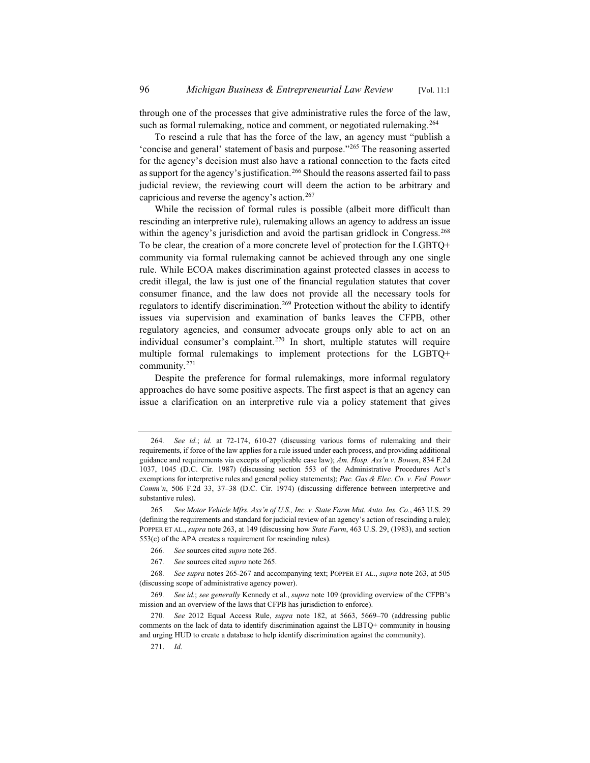through one of the processes that give administrative rules the force of the law, such as formal rulemaking, notice and comment, or negotiated rulemaking.<sup>264</sup>

To rescind a rule that has the force of the law, an agency must "publish a 'concise and general' statement of basis and purpose."265 The reasoning asserted for the agency's decision must also have a rational connection to the facts cited as support for the agency's justification.<sup>266</sup> Should the reasons asserted fail to pass judicial review, the reviewing court will deem the action to be arbitrary and capricious and reverse the agency's action.<sup>267</sup>

While the recission of formal rules is possible (albeit more difficult than rescinding an interpretive rule), rulemaking allows an agency to address an issue within the agency's jurisdiction and avoid the partisan gridlock in Congress.<sup>268</sup> To be clear, the creation of a more concrete level of protection for the LGBTQ+ community via formal rulemaking cannot be achieved through any one single rule. While ECOA makes discrimination against protected classes in access to credit illegal, the law is just one of the financial regulation statutes that cover consumer finance, and the law does not provide all the necessary tools for regulators to identify discrimination.<sup>269</sup> Protection without the ability to identify issues via supervision and examination of banks leaves the CFPB, other regulatory agencies, and consumer advocate groups only able to act on an individual consumer's complaint.<sup>270</sup> In short, multiple statutes will require multiple formal rulemakings to implement protections for the LGBTQ+ community.271

Despite the preference for formal rulemakings, more informal regulatory approaches do have some positive aspects. The first aspect is that an agency can issue a clarification on an interpretive rule via a policy statement that gives

- 266*. See* sources cited *supra* note 265.
- 267*. See* sources cited *supra* note 265.

<sup>264</sup>*. See id.*; *id.* at 72-174, 610-27 (discussing various forms of rulemaking and their requirements, if force of the law applies for a rule issued under each process, and providing additional guidance and requirements via excepts of applicable case law); *Am. Hosp. Ass'n v. Bowen*, 834 F.2d 1037, 1045 (D.C. Cir. 1987) (discussing section 553 of the Administrative Procedures Act's exemptions for interpretive rules and general policy statements); *Pac. Gas & Elec. Co. v. Fed. Power Comm'n*, 506 F.2d 33, 37–38 (D.C. Cir. 1974) (discussing difference between interpretive and substantive rules).

<sup>265</sup>*. See Motor Vehicle Mfrs. Ass'n of U.S., Inc. v. State Farm Mut. Auto. Ins. Co.*, 463 U.S. 29 (defining the requirements and standard for judicial review of an agency's action of rescinding a rule); POPPER ET AL., *supra* note 263, at 149 (discussing how *State Farm*, 463 U.S. 29, (1983), and section 553(c) of the APA creates a requirement for rescinding rules).

<sup>268</sup>*. See supra* notes 265-267 and accompanying text; POPPER ET AL., *supra* note 263, at 505 (discussing scope of administrative agency power).

<sup>269</sup>*. See id.*; *see generally* Kennedy et al., *supra* note 109 (providing overview of the CFPB's mission and an overview of the laws that CFPB has jurisdiction to enforce).

<sup>270</sup>*. See* 2012 Equal Access Rule, *supra* note 182, at 5663, 5669–70 (addressing public comments on the lack of data to identify discrimination against the LBTQ+ community in housing and urging HUD to create a database to help identify discrimination against the community).

<sup>271.</sup> *Id.*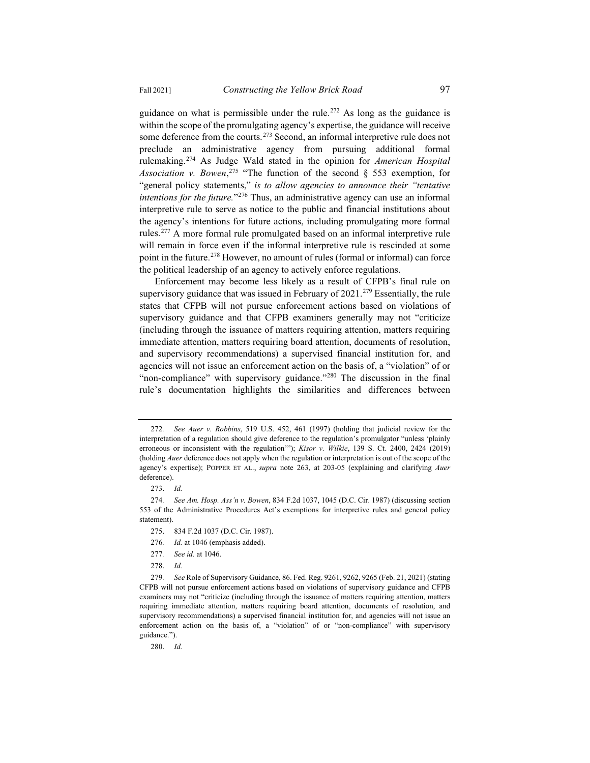guidance on what is permissible under the rule.<sup>272</sup> As long as the guidance is within the scope of the promulgating agency's expertise, the guidance will receive some deference from the courts.<sup>273</sup> Second, an informal interpretive rule does not preclude an administrative agency from pursuing additional formal rulemaking.274 As Judge Wald stated in the opinion for *American Hospital Association v. Bowen*, <sup>275</sup> "The function of the second § 553 exemption, for "general policy statements," *is to allow agencies to announce their "tentative intentions for the future.*"276 Thus, an administrative agency can use an informal interpretive rule to serve as notice to the public and financial institutions about the agency's intentions for future actions, including promulgating more formal rules.277 A more formal rule promulgated based on an informal interpretive rule will remain in force even if the informal interpretive rule is rescinded at some

the political leadership of an agency to actively enforce regulations. Enforcement may become less likely as a result of CFPB's final rule on supervisory guidance that was issued in February of  $2021$ .<sup>279</sup> Essentially, the rule states that CFPB will not pursue enforcement actions based on violations of supervisory guidance and that CFPB examiners generally may not "criticize (including through the issuance of matters requiring attention, matters requiring immediate attention, matters requiring board attention, documents of resolution, and supervisory recommendations) a supervised financial institution for, and agencies will not issue an enforcement action on the basis of, a "violation" of or "non-compliance" with supervisory guidance."<sup>280</sup> The discussion in the final rule's documentation highlights the similarities and differences between

point in the future.<sup>278</sup> However, no amount of rules (formal or informal) can force

- 276*. Id.* at 1046 (emphasis added).
- 277*. See id.* at 1046.

280. *Id.*

<sup>272</sup>*. See Auer v. Robbins*, 519 U.S. 452, 461 (1997) (holding that judicial review for the interpretation of a regulation should give deference to the regulation's promulgator "unless 'plainly erroneous or inconsistent with the regulation'"); *Kisor v. Wilkie*, 139 S. Ct. 2400, 2424 (2019) (holding *Auer* deference does not apply when the regulation or interpretation is out of the scope of the agency's expertise); POPPER ET AL., *supra* note 263, at 203-05 (explaining and clarifying *Auer* deference).

<sup>273.</sup> *Id.*

<sup>274</sup>*. See Am. Hosp. Ass'n v. Bowen*, 834 F.2d 1037, 1045 (D.C. Cir. 1987) (discussing section 553 of the Administrative Procedures Act's exemptions for interpretive rules and general policy statement).

<sup>275. 834</sup> F.2d 1037 (D.C. Cir. 1987).

<sup>278.</sup> *Id.*

<sup>279</sup>*. See* Role of Supervisory Guidance, 86. Fed. Reg. 9261, 9262, 9265 (Feb. 21, 2021) (stating CFPB will not pursue enforcement actions based on violations of supervisory guidance and CFPB examiners may not "criticize (including through the issuance of matters requiring attention, matters requiring immediate attention, matters requiring board attention, documents of resolution, and supervisory recommendations) a supervised financial institution for, and agencies will not issue an enforcement action on the basis of, a "violation" of or "non-compliance" with supervisory guidance.").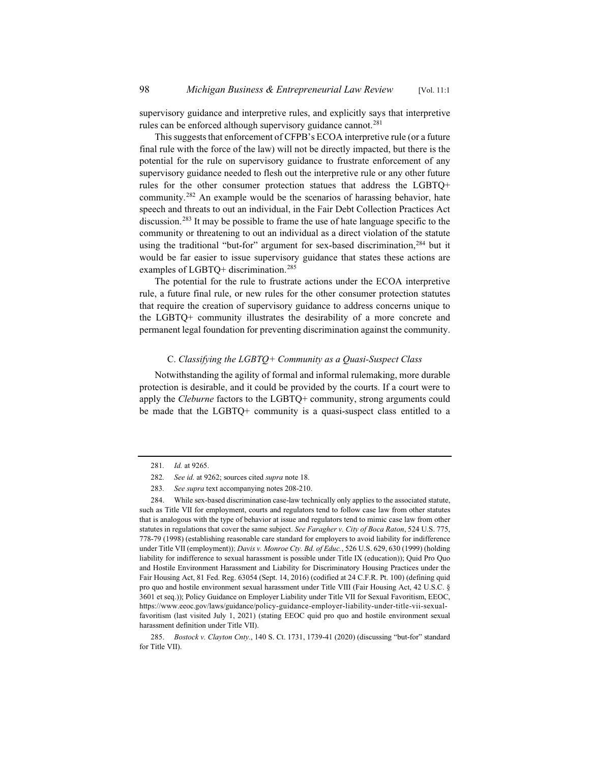supervisory guidance and interpretive rules, and explicitly says that interpretive rules can be enforced although supervisory guidance cannot.<sup>281</sup>

This suggests that enforcement of CFPB's ECOA interpretive rule (or a future final rule with the force of the law) will not be directly impacted, but there is the potential for the rule on supervisory guidance to frustrate enforcement of any supervisory guidance needed to flesh out the interpretive rule or any other future rules for the other consumer protection statues that address the LGBTQ+ community.282 An example would be the scenarios of harassing behavior, hate speech and threats to out an individual, in the Fair Debt Collection Practices Act discussion.283 It may be possible to frame the use of hate language specific to the community or threatening to out an individual as a direct violation of the statute using the traditional "but-for" argument for sex-based discrimination, <sup>284</sup> but it would be far easier to issue supervisory guidance that states these actions are examples of LGBTQ+ discrimination.<sup>285</sup>

The potential for the rule to frustrate actions under the ECOA interpretive rule, a future final rule, or new rules for the other consumer protection statutes that require the creation of supervisory guidance to address concerns unique to the LGBTQ+ community illustrates the desirability of a more concrete and permanent legal foundation for preventing discrimination against the community.

## C. *Classifying the LGBTQ+ Community as a Quasi-Suspect Class*

Notwithstanding the agility of formal and informal rulemaking, more durable protection is desirable, and it could be provided by the courts. If a court were to apply the *Cleburne* factors to the LGBTQ+ community, strong arguments could be made that the LGBTQ+ community is a quasi-suspect class entitled to a

<sup>281</sup>*. Id.* at 9265.

<sup>282</sup>*. See id.* at 9262; sources cited *supra* note 18.

<sup>283</sup>*. See supra* text accompanying notes 208-210.

<sup>284.</sup> While sex-based discrimination case-law technically only applies to the associated statute, such as Title VII for employment, courts and regulators tend to follow case law from other statutes that is analogous with the type of behavior at issue and regulators tend to mimic case law from other statutes in regulations that cover the same subject. *See Faragher v. City of Boca Raton*, 524 U.S. 775, 778-79 (1998) (establishing reasonable care standard for employers to avoid liability for indifference under Title VII (employment)); *Davis v. Monroe Cty. Bd. of Educ.*, 526 U.S. 629, 630 (1999) (holding liability for indifference to sexual harassment is possible under Title IX (education)); Quid Pro Quo and Hostile Environment Harassment and Liability for Discriminatory Housing Practices under the Fair Housing Act, 81 Fed. Reg. 63054 (Sept. 14, 2016) (codified at 24 C.F.R. Pt. 100) (defining quid pro quo and hostile environment sexual harassment under Title VIII (Fair Housing Act, 42 U.S.C. § 3601 et seq.)); Policy Guidance on Employer Liability under Title VII for Sexual Favoritism, EEOC, https://www.eeoc.gov/laws/guidance/policy-guidance-employer-liability-under-title-vii-sexualfavoritism (last visited July 1, 2021) (stating EEOC quid pro quo and hostile environment sexual harassment definition under Title VII).

<sup>285.</sup> *Bostock v. Clayton Cnty.*, 140 S. Ct. 1731, 1739-41 (2020) (discussing "but-for" standard for Title VII).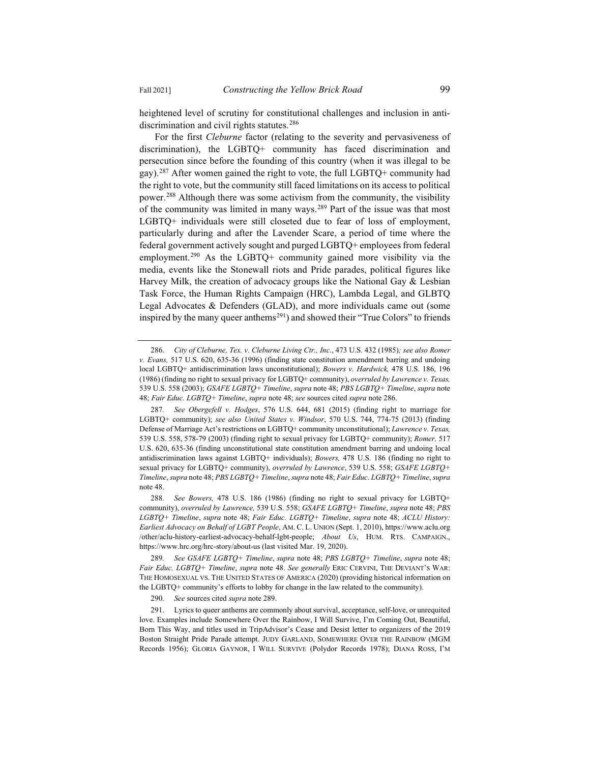heightened level of scrutiny for constitutional challenges and inclusion in antidiscrimination and civil rights statutes.<sup>286</sup>

For the first *Cleburne* factor (relating to the severity and pervasiveness of discrimination), the LGBTQ+ community has faced discrimination and persecution since before the founding of this country (when it was illegal to be gay).287 After women gained the right to vote, the full LGBTQ+ community had the right to vote, but the community still faced limitations on its access to political power.288 Although there was some activism from the community, the visibility of the community was limited in many ways.289 Part of the issue was that most LGBTQ+ individuals were still closeted due to fear of loss of employment, particularly during and after the Lavender Scare, a period of time where the federal government actively sought and purged LGBTQ+ employees from federal employment.<sup>290</sup> As the LGBTQ+ community gained more visibility via the media, events like the Stonewall riots and Pride parades, political figures like Harvey Milk, the creation of advocacy groups like the National Gay & Lesbian Task Force, the Human Rights Campaign (HRC), Lambda Legal, and GLBTQ Legal Advocates & Defenders (GLAD), and more individuals came out (some inspired by the many queer anthems<sup>291</sup>) and showed their "True Colors" to friends

<sup>286.</sup> *City of Cleburne, Tex. v. Cleburne Living Ctr., Inc.*, 473 U.S. 432 (1985)*; see also Romer v. Evans,* 517 U.S. 620, 635-36 (1996) (finding state constitution amendment barring and undoing local LGBTQ+ antidiscrimination laws unconstitutional); *Bowers v. Hardwick,* 478 U.S. 186, 196 (1986) (finding no right to sexual privacy for LGBTQ+ community), *overruled by Lawrence v. Texas,* 539 U.S. 558 (2003); *GSAFE LGBTQ+ Timeline*, *supra* note 48; *PBS LGBTQ+ Timeline*, *supra* note 48; *Fair Educ. LGBTQ+ Timeline*, *supra* note 48; *see* sources cited *supra* note 286.

<sup>287</sup>*. See Obergefell v. Hodges*, 576 U.S. 644, 681 (2015) (finding right to marriage for LGBTQ+ community); *see also United States v. Windsor*, 570 U.S. 744, 774-75 (2013) (finding Defense of Marriage Act's restrictions on LGBTQ+ community unconstitutional); *Lawrence v. Texas,* 539 U.S. 558, 578-79 (2003) (finding right to sexual privacy for LGBTQ+ community); *Romer,* 517 U.S. 620, 635-36 (finding unconstitutional state constitution amendment barring and undoing local antidiscrimination laws against LGBTQ+ individuals); *Bowers,* 478 U.S. 186 (finding no right to sexual privacy for LGBTQ+ community), *overruled by Lawrence*, 539 U.S. 558; *GSAFE LGBTQ+ Timeline*, *supra* note 48; *PBS LGBTQ+ Timeline*, *supra* note 48; *Fair Educ. LGBTQ+ Timeline*, *supra* note 48.

<sup>288</sup>*. See Bowers,* 478 U.S. 186 (1986) (finding no right to sexual privacy for LGBTQ+ community), *overruled by Lawrence,* 539 U.S. 558; *GSAFE LGBTQ+ Timeline*, *supra* note 48; *PBS LGBTQ+ Timeline*, *supra* note 48; *Fair Educ. LGBTQ+ Timeline*, *supra* note 48; *ACLU History: Earliest Advocacy on Behalf of LGBT People*, AM. C. L. UNION (Sept. 1, 2010), https://www.aclu.org /other/aclu-history-earliest-advocacy-behalf-lgbt-people; *About Us*, HUM. RTS. CAMPAIGN., https://www.hrc.org/hrc-story/about-us (last visited Mar. 19, 2020).

<sup>289</sup>*. See GSAFE LGBTQ+ Timeline*, *supra* note 48; *PBS LGBTQ+ Timeline*, *supra* note 48; *Fair Educ. LGBTQ+ Timeline*, *supra* note 48. *See generally* ERIC CERVINI, THE DEVIANT'S WAR: THE HOMOSEXUAL VS. THE UNITED STATES OF AMERICA (2020) (providing historical information on the LGBTQ+ community's efforts to lobby for change in the law related to the community).

<sup>290</sup>*. See* sources cited *supra* note 289.

<sup>291.</sup> Lyrics to queer anthems are commonly about survival, acceptance, self-love, or unrequited love. Examples include Somewhere Over the Rainbow, I Will Survive, I'm Coming Out, Beautiful, Born This Way, and titles used in TripAdvisor's Cease and Desist letter to organizers of the 2019 Boston Straight Pride Parade attempt. JUDY GARLAND, SOMEWHERE OVER THE RAINBOW (MGM Records 1956); GLORIA GAYNOR, I WILL SURVIVE (Polydor Records 1978); DIANA ROSS, I'M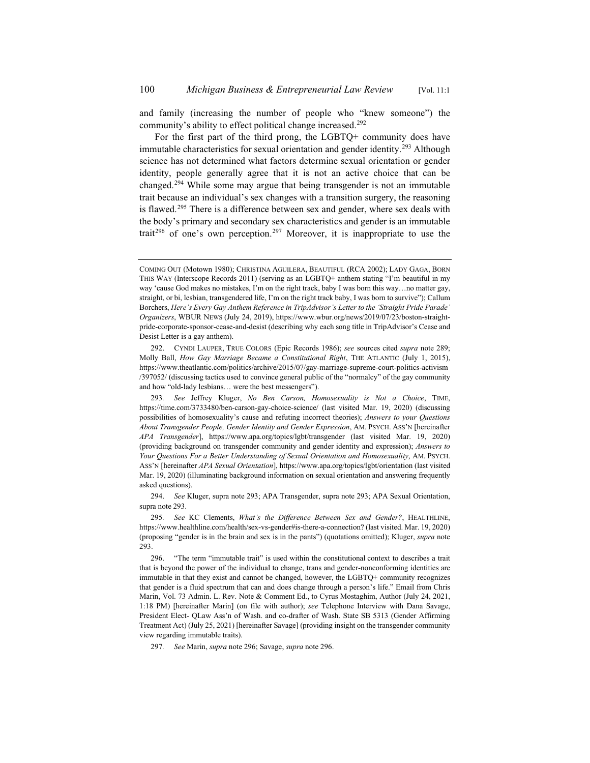and family (increasing the number of people who "knew someone") the community's ability to effect political change increased.<sup>292</sup>

For the first part of the third prong, the LGBTQ+ community does have immutable characteristics for sexual orientation and gender identity.<sup>293</sup> Although science has not determined what factors determine sexual orientation or gender identity, people generally agree that it is not an active choice that can be changed.294 While some may argue that being transgender is not an immutable trait because an individual's sex changes with a transition surgery, the reasoning is flawed.<sup>295</sup> There is a difference between sex and gender, where sex deals with the body's primary and secondary sex characteristics and gender is an immutable trait<sup>296</sup> of one's own perception.<sup>297</sup> Moreover, it is inappropriate to use the

COMING OUT (Motown 1980); CHRISTINA AGUILERA, BEAUTIFUL (RCA 2002); LADY GAGA, BORN THIS WAY (Interscope Records 2011) (serving as an LGBTQ+ anthem stating "I'm beautiful in my way 'cause God makes no mistakes, I'm on the right track, baby I was born this way…no matter gay, straight, or bi, lesbian, transgendered life, I'm on the right track baby, I was born to survive"); Callum Borchers, *Here's Every Gay Anthem Reference in TripAdvisor's Letter to the 'Straight Pride Parade' Organizers*, WBUR NEWS (July 24, 2019), https://www.wbur.org/news/2019/07/23/boston-straightpride-corporate-sponsor-cease-and-desist (describing why each song title in TripAdvisor's Cease and Desist Letter is a gay anthem).

<sup>292.</sup> CYNDI LAUPER, TRUE COLORS (Epic Records 1986); *see* sources cited *supra* note 289; Molly Ball, *How Gay Marriage Became a Constitutional Right*, THE ATLANTIC (July 1, 2015), https://www.theatlantic.com/politics/archive/2015/07/gay-marriage-supreme-court-politics-activism /397052/ (discussing tactics used to convince general public of the "normalcy" of the gay community and how "old-lady lesbians… were the best messengers").

<sup>293</sup>*. See* Jeffrey Kluger, *No Ben Carson, Homosexuality is Not a Choice*, TIME, https://time.com/3733480/ben-carson-gay-choice-science/ (last visited Mar. 19, 2020) (discussing possibilities of homosexuality's cause and refuting incorrect theories); *Answers to your Questions About Transgender People, Gender Identity and Gender Expression*, AM. PSYCH. ASS'N [hereinafter *APA Transgender*], https://www.apa.org/topics/lgbt/transgender (last visited Mar. 19, 2020) (providing background on transgender community and gender identity and expression); *Answers to Your Questions For a Better Understanding of Sexual Orientation and Homosexuality*, AM. PSYCH. ASS'N [hereinafter *APA Sexual Orientation*], https://www.apa.org/topics/lgbt/orientation (last visited Mar. 19, 2020) (illuminating background information on sexual orientation and answering frequently asked questions).

<sup>294.</sup> *See* Kluger, supra note 293; APA Transgender, supra note 293; APA Sexual Orientation, supra note 293.

<sup>295</sup>*. See* KC Clements, *What's the Difference Between Sex and Gender?*, HEALTHLINE, https://www.healthline.com/health/sex-vs-gender#is-there-a-connection? (last visited. Mar. 19, 2020) (proposing "gender is in the brain and sex is in the pants") (quotations omitted); Kluger, *supra* note 293.

<sup>296. &</sup>quot;The term "immutable trait" is used within the constitutional context to describes a trait that is beyond the power of the individual to change, trans and gender-nonconforming identities are immutable in that they exist and cannot be changed, however, the LGBTQ+ community recognizes that gender is a fluid spectrum that can and does change through a person's life." Email from Chris Marin, Vol. 73 Admin. L. Rev. Note & Comment Ed., to Cyrus Mostaghim, Author (July 24, 2021, 1:18 PM) [hereinafter Marin] (on file with author); *see* Telephone Interview with Dana Savage, President Elect- QLaw Ass'n of Wash. and co-drafter of Wash. State SB 5313 (Gender Affirming Treatment Act) (July 25, 2021) [hereinafter Savage] (providing insight on the transgender community view regarding immutable traits).

<sup>297</sup>*. See* Marin, *supra* note 296; Savage, *supra* note 296.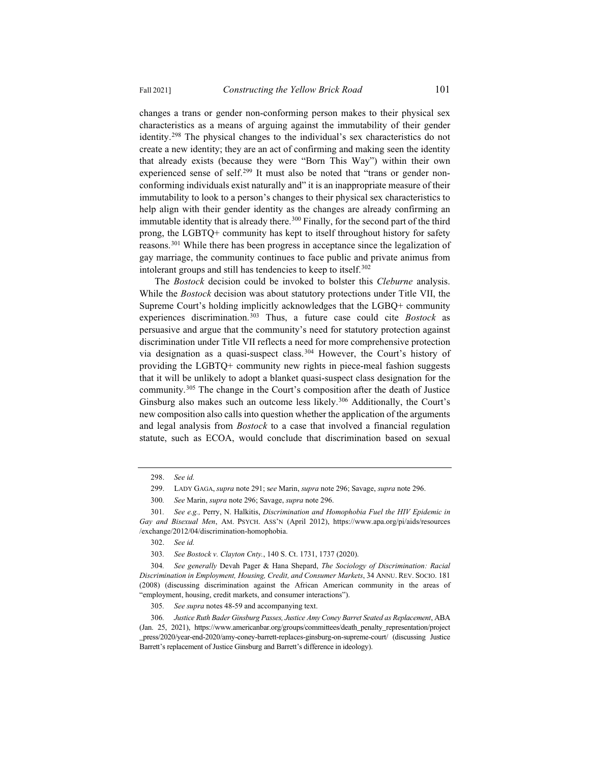changes a trans or gender non-conforming person makes to their physical sex characteristics as a means of arguing against the immutability of their gender identity.298 The physical changes to the individual's sex characteristics do not create a new identity; they are an act of confirming and making seen the identity that already exists (because they were "Born This Way") within their own experienced sense of self.<sup>299</sup> It must also be noted that "trans or gender nonconforming individuals exist naturally and" it is an inappropriate measure of their immutability to look to a person's changes to their physical sex characteristics to help align with their gender identity as the changes are already confirming an immutable identity that is already there.<sup>300</sup> Finally, for the second part of the third prong, the LGBTQ+ community has kept to itself throughout history for safety reasons.301 While there has been progress in acceptance since the legalization of gay marriage, the community continues to face public and private animus from intolerant groups and still has tendencies to keep to itself.<sup>302</sup>

The *Bostock* decision could be invoked to bolster this *Cleburne* analysis. While the *Bostock* decision was about statutory protections under Title VII, the Supreme Court's holding implicitly acknowledges that the LGBQ+ community experiences discrimination.303 Thus, a future case could cite *Bostock* as persuasive and argue that the community's need for statutory protection against discrimination under Title VII reflects a need for more comprehensive protection via designation as a quasi-suspect class.304 However, the Court's history of providing the LGBTQ+ community new rights in piece-meal fashion suggests that it will be unlikely to adopt a blanket quasi-suspect class designation for the community.305 The change in the Court's composition after the death of Justice Ginsburg also makes such an outcome less likely.<sup>306</sup> Additionally, the Court's new composition also calls into question whether the application of the arguments and legal analysis from *Bostock* to a case that involved a financial regulation statute, such as ECOA, would conclude that discrimination based on sexual

<sup>298.</sup> *See id.*

<sup>299.</sup> LADY GAGA, *supra* note 291; s*ee* Marin, *supra* note 296; Savage, *supra* note 296.

<sup>300</sup>*. See* Marin, *supra* note 296; Savage, *supra* note 296.

<sup>301</sup>*. See e.g.,* Perry, N. Halkitis, *Discrimination and Homophobia Fuel the HIV Epidemic in Gay and Bisexual Men*, AM. PSYCH. ASS'N (April 2012), https://www.apa.org/pi/aids/resources /exchange/2012/04/discrimination-homophobia.

<sup>302.</sup> *See id.*

<sup>303</sup>*. See Bostock v. Clayton Cnty.*, 140 S. Ct. 1731, 1737 (2020).

<sup>304</sup>*. See generally* Devah Pager & Hana Shepard, *The Sociology of Discrimination: Racial Discrimination in Employment, Housing, Credit, and Consumer Markets*, 34 ANNU. REV. SOCIO. 181 (2008) (discussing discrimination against the African American community in the areas of "employment, housing, credit markets, and consumer interactions").

<sup>305</sup>*. See supra* notes 48-59 and accompanying text.

<sup>306</sup>*. Justice Ruth Bader Ginsburg Passes, Justice Amy Coney Barret Seated as Replacement*, ABA (Jan. 25, 2021), https://www.americanbar.org/groups/committees/death\_penalty\_representation/project \_press/2020/year-end-2020/amy-coney-barrett-replaces-ginsburg-on-supreme-court/ (discussing Justice Barrett's replacement of Justice Ginsburg and Barrett's difference in ideology).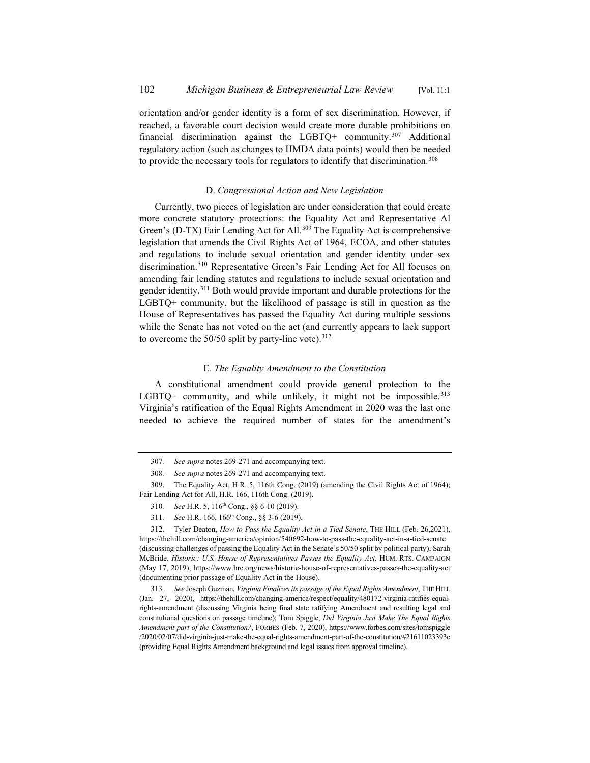orientation and/or gender identity is a form of sex discrimination. However, if reached, a favorable court decision would create more durable prohibitions on financial discrimination against the LGBTQ+ community.307 Additional regulatory action (such as changes to HMDA data points) would then be needed to provide the necessary tools for regulators to identify that discrimination.<sup>308</sup>

## D. *Congressional Action and New Legislation*

Currently, two pieces of legislation are under consideration that could create more concrete statutory protections: the Equality Act and Representative Al Green's (D-TX) Fair Lending Act for All.<sup>309</sup> The Equality Act is comprehensive legislation that amends the Civil Rights Act of 1964, ECOA, and other statutes and regulations to include sexual orientation and gender identity under sex discrimination.310 Representative Green's Fair Lending Act for All focuses on amending fair lending statutes and regulations to include sexual orientation and gender identity.311 Both would provide important and durable protections for the LGBTQ+ community, but the likelihood of passage is still in question as the House of Representatives has passed the Equality Act during multiple sessions while the Senate has not voted on the act (and currently appears to lack support to overcome the  $50/50$  split by party-line vote).<sup>312</sup>

### E. *The Equality Amendment to the Constitution*

A constitutional amendment could provide general protection to the  $LGBTQ+$  community, and while unlikely, it might not be impossible.<sup>313</sup> Virginia's ratification of the Equal Rights Amendment in 2020 was the last one needed to achieve the required number of states for the amendment's

<sup>307</sup>*. See supra* notes 269-271 and accompanying text.

<sup>308</sup>*. See supra* notes 269-271 and accompanying text.

<sup>309.</sup> The Equality Act, H.R. 5, 116th Cong. (2019) (amending the Civil Rights Act of 1964); Fair Lending Act for All, H.R. 166, 116th Cong. (2019).

<sup>310</sup>*. See* H.R. 5, 116th Cong., §§ 6-10 (2019).

<sup>311</sup>*. See* H.R. 166, 166th Cong., §§ 3-6 (2019).

<sup>312.</sup> Tyler Deaton, *How to Pass the Equality Act in a Tied Senate*, THE HILL (Feb. 26,2021), https://thehill.com/changing-america/opinion/540692-how-to-pass-the-equality-act-in-a-tied-senate (discussing challenges of passing the Equality Act in the Senate's 50/50 split by political party); Sarah McBride, *Historic: U.S. House of Representatives Passes the Equality Act*, HUM. RTS. CAMPAIGN (May 17, 2019), https://www.hrc.org/news/historic-house-of-representatives-passes-the-equality-act (documenting prior passage of Equality Act in the House).

<sup>313</sup>*. See* Joseph Guzman, *Virginia Finalizes its passage of the Equal Rights Amendment*, THE HILL (Jan. 27, 2020), https://thehill.com/changing-america/respect/equality/480172-virginia-ratifies-equalrights-amendment (discussing Virginia being final state ratifying Amendment and resulting legal and constitutional questions on passage timeline); Tom Spiggle, *Did Virginia Just Make The Equal Rights Amendment part of the Constitution?*, FORBES (Feb. 7, 2020), https://www.forbes.com/sites/tomspiggle /2020/02/07/did-virginia-just-make-the-equal-rights-amendment-part-of-the-constitution/#21611023393c (providing Equal Rights Amendment background and legal issues from approval timeline).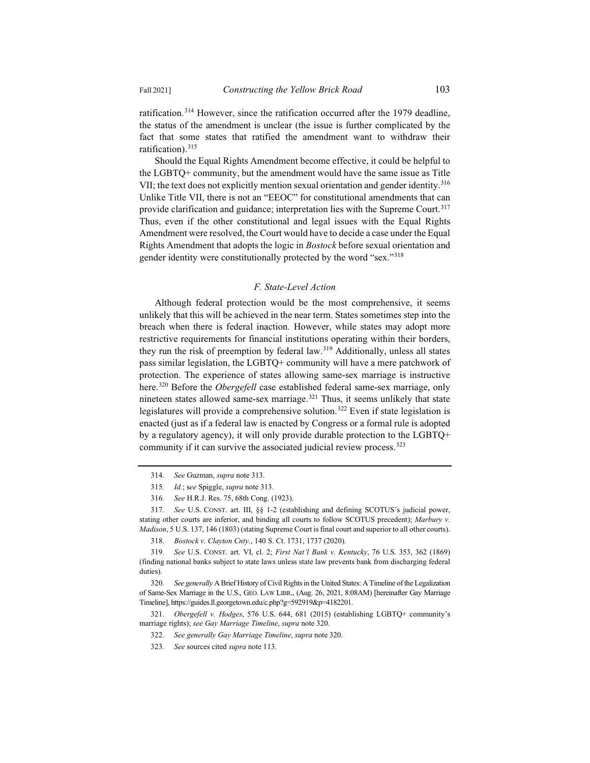ratification.314 However, since the ratification occurred after the 1979 deadline, the status of the amendment is unclear (the issue is further complicated by the fact that some states that ratified the amendment want to withdraw their ratification).<sup>315</sup>

Should the Equal Rights Amendment become effective, it could be helpful to the LGBTQ+ community, but the amendment would have the same issue as Title VII; the text does not explicitly mention sexual orientation and gender identity.<sup>316</sup> Unlike Title VII, there is not an "EEOC" for constitutional amendments that can provide clarification and guidance; interpretation lies with the Supreme Court.<sup>317</sup> Thus, even if the other constitutional and legal issues with the Equal Rights Amendment were resolved, the Court would have to decide a case under the Equal Rights Amendment that adopts the logic in *Bostock* before sexual orientation and gender identity were constitutionally protected by the word "sex."<sup>318</sup>

## *F. State-Level Action*

Although federal protection would be the most comprehensive, it seems unlikely that this will be achieved in the near term. States sometimes step into the breach when there is federal inaction. However, while states may adopt more restrictive requirements for financial institutions operating within their borders, they run the risk of preemption by federal law.319 Additionally, unless all states pass similar legislation, the LGBTQ+ community will have a mere patchwork of protection. The experience of states allowing same-sex marriage is instructive here.320 Before the *Obergefell* case established federal same-sex marriage, only nineteen states allowed same-sex marriage.<sup>321</sup> Thus, it seems unlikely that state legislatures will provide a comprehensive solution.<sup>322</sup> Even if state legislation is enacted (just as if a federal law is enacted by Congress or a formal rule is adopted by a regulatory agency), it will only provide durable protection to the LGBTQ+ community if it can survive the associated judicial review process.<sup>323</sup>

<sup>314</sup>*. See* Guzman, *supra* note 313.

<sup>315</sup>*. Id.*; s*ee* Spiggle, *supra* note 313.

<sup>316</sup>*. See* H.R.J. Res. 75, 68th Cong. (1923).

<sup>317</sup>*. See* U.S. CONST. art. III, §§ 1-2 (establishing and defining SCOTUS's judicial power, stating other courts are inferior, and binding all courts to follow SCOTUS precedent); *Marbury v. Madison*, 5 U.S. 137, 146 (1803) (stating Supreme Court is final court and superior to all other courts).

<sup>318.</sup> *Bostock v. Clayton Cnty.*, 140 S. Ct. 1731, 1737 (2020).

<sup>319</sup>*. See* U.S. CONST. art. VI, cl. 2; *First Nat'l Bank v. Kentucky*, 76 U.S. 353, 362 (1869) (finding national banks subject to state laws unless state law prevents bank from discharging federal duties).

<sup>320</sup>*. See generally* A Brief History of Civil Rights in the United States: A Timeline of the Legalization of Same-Sex Marriage in the U.S., GEO. LAW LIBR., (Aug. 26, 2021, 8:08AM) [hereinafter Gay Marriage Timeline], https://guides.ll.georgetown.edu/c.php?g=592919&p=4182201.

<sup>321.</sup> *Obergefell v. Hodges*, 576 U.S. 644, 681 (2015) (establishing LGBTQ+ community's marriage rights); *see Gay Marriage Timeline*, *supra* note 320.

<sup>322</sup>*. See generally Gay Marriage Timeline*, *supra* note 320.

<sup>323</sup>*. See* sources cited *supra* note 113.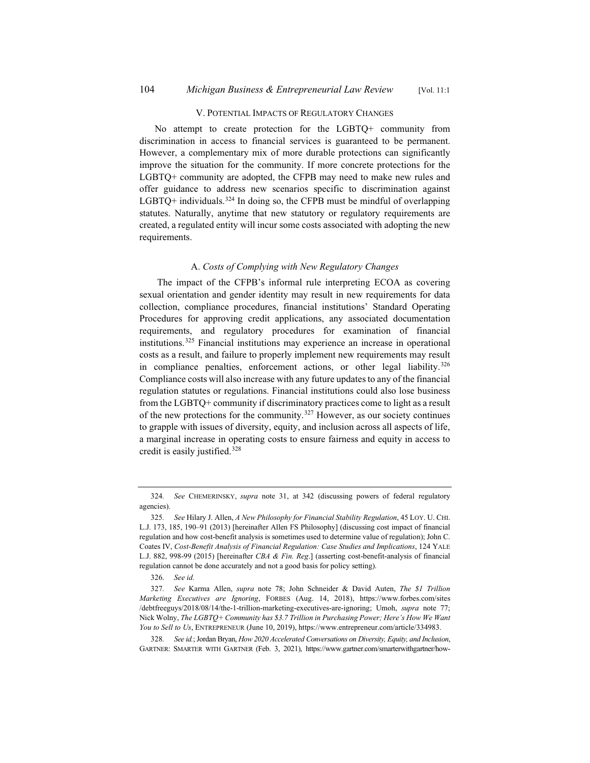#### V. POTENTIAL IMPACTS OF REGULATORY CHANGES

No attempt to create protection for the LGBTQ+ community from discrimination in access to financial services is guaranteed to be permanent. However, a complementary mix of more durable protections can significantly improve the situation for the community. If more concrete protections for the LGBTQ+ community are adopted, the CFPB may need to make new rules and offer guidance to address new scenarios specific to discrimination against  $LGBTQ$ + individuals.<sup>324</sup> In doing so, the CFPB must be mindful of overlapping statutes. Naturally, anytime that new statutory or regulatory requirements are created, a regulated entity will incur some costs associated with adopting the new requirements.

## A. *Costs of Complying with New Regulatory Changes*

The impact of the CFPB's informal rule interpreting ECOA as covering sexual orientation and gender identity may result in new requirements for data collection, compliance procedures, financial institutions' Standard Operating Procedures for approving credit applications, any associated documentation requirements, and regulatory procedures for examination of financial institutions.325 Financial institutions may experience an increase in operational costs as a result, and failure to properly implement new requirements may result in compliance penalties, enforcement actions, or other legal liability.<sup>326</sup> Compliance costs will also increase with any future updates to any of the financial regulation statutes or regulations. Financial institutions could also lose business from the LGBTQ+ community if discriminatory practices come to light as a result of the new protections for the community.<sup>327</sup> However, as our society continues to grapple with issues of diversity, equity, and inclusion across all aspects of life, a marginal increase in operating costs to ensure fairness and equity in access to credit is easily justified.328

<sup>324</sup>*. See* CHEMERINSKY, *supra* note 31, at 342 (discussing powers of federal regulatory agencies).

<sup>325</sup>*. See* Hilary J. Allen, *A New Philosophy for Financial Stability Regulation*, 45 LOY. U. CHI. L.J. 173, 185, 190–91 (2013) [hereinafter Allen FS Philosophy] (discussing cost impact of financial regulation and how cost-benefit analysis is sometimes used to determine value of regulation); John C. Coates IV, *Cost-Benefit Analysis of Financial Regulation: Case Studies and Implications*, 124 YALE L.J. 882, 998-99 (2015) [hereinafter *CBA & Fin. Reg*.] (asserting cost-benefit-analysis of financial regulation cannot be done accurately and not a good basis for policy setting).

<sup>326.</sup> *See id.*

<sup>327</sup>*. See* Karma Allen, *supra* note 78; John Schneider & David Auten, *The \$1 Trillion Marketing Executives are Ignoring*, FORBES (Aug. 14, 2018), https://www.forbes.com/sites /debtfreeguys/2018/08/14/the-1-trillion-marketing-executives-are-ignoring; Umoh, *supra* note 77; Nick Wolny, *The LGBTQ+ Community has \$3.7 Trillion in Purchasing Power; Here's How We Want You to Sell to Us*, ENTREPRENEUR (June 10, 2019), https://www.entrepreneur.com/article/334983.

<sup>328</sup>*. See id.*; Jordan Bryan, *How 2020 Accelerated Conversations on Diversity, Equity, and Inclusion*, GARTNER: SMARTER WITH GARTNER (Feb. 3, 2021), https://www.gartner.com/smarterwithgartner/how-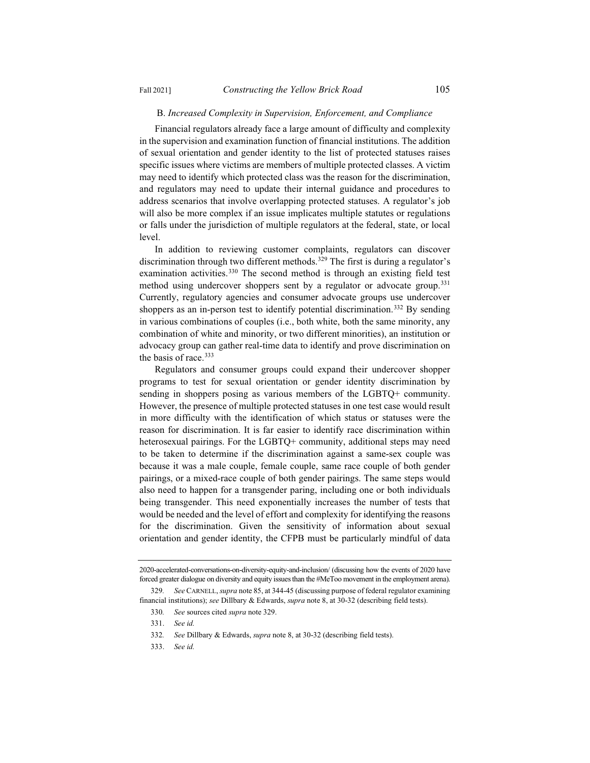#### B. *Increased Complexity in Supervision, Enforcement, and Compliance*

Financial regulators already face a large amount of difficulty and complexity in the supervision and examination function of financial institutions. The addition of sexual orientation and gender identity to the list of protected statuses raises specific issues where victims are members of multiple protected classes. A victim may need to identify which protected class was the reason for the discrimination, and regulators may need to update their internal guidance and procedures to address scenarios that involve overlapping protected statuses. A regulator's job will also be more complex if an issue implicates multiple statutes or regulations or falls under the jurisdiction of multiple regulators at the federal, state, or local level.

In addition to reviewing customer complaints, regulators can discover discrimination through two different methods.<sup>329</sup> The first is during a regulator's examination activities.<sup>330</sup> The second method is through an existing field test method using undercover shoppers sent by a regulator or advocate group.<sup>331</sup> Currently, regulatory agencies and consumer advocate groups use undercover shoppers as an in-person test to identify potential discrimination.<sup>332</sup> By sending in various combinations of couples (i.e., both white, both the same minority, any combination of white and minority, or two different minorities), an institution or advocacy group can gather real-time data to identify and prove discrimination on the basis of race.<sup>333</sup>

Regulators and consumer groups could expand their undercover shopper programs to test for sexual orientation or gender identity discrimination by sending in shoppers posing as various members of the LGBTQ+ community. However, the presence of multiple protected statuses in one test case would result in more difficulty with the identification of which status or statuses were the reason for discrimination. It is far easier to identify race discrimination within heterosexual pairings. For the LGBTQ+ community, additional steps may need to be taken to determine if the discrimination against a same-sex couple was because it was a male couple, female couple, same race couple of both gender pairings, or a mixed-race couple of both gender pairings. The same steps would also need to happen for a transgender paring, including one or both individuals being transgender. This need exponentially increases the number of tests that would be needed and the level of effort and complexity for identifying the reasons for the discrimination. Given the sensitivity of information about sexual orientation and gender identity, the CFPB must be particularly mindful of data

<sup>2020-</sup>accelerated-conversations-on-diversity-equity-and-inclusion/ (discussing how the events of 2020 have forced greater dialogue on diversity and equity issues than the #MeToo movement in the employment arena).

<sup>329</sup>*. See* CARNELL, *supra* note 85, at 344-45 (discussing purpose of federal regulator examining financial institutions); *see* Dillbary & Edwards, *supra* note 8, at 30-32 (describing field tests).

<sup>330</sup>*. See* sources cited *supra* note 329.

<sup>331.</sup> *See id.*

<sup>332</sup>*. See* Dillbary & Edwards, *supra* note 8, at 30-32 (describing field tests).

<sup>333.</sup> *See id.*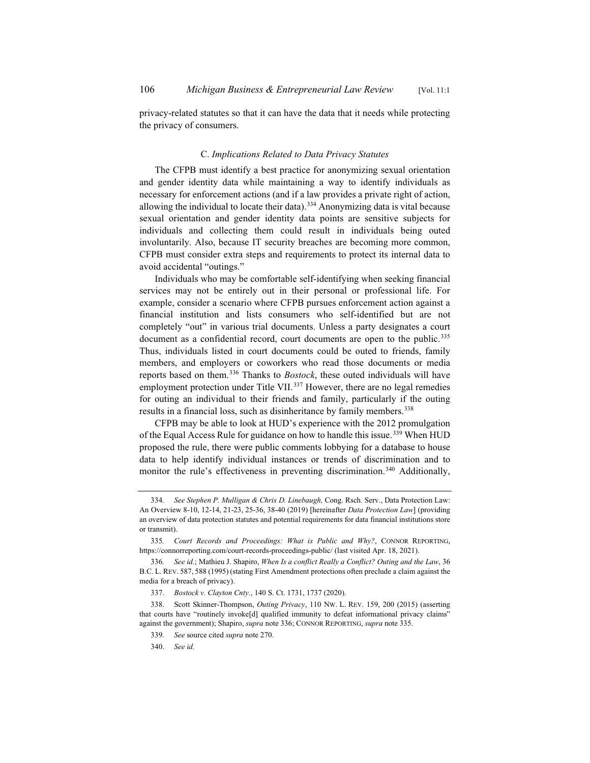privacy-related statutes so that it can have the data that it needs while protecting the privacy of consumers.

## C. *Implications Related to Data Privacy Statutes*

The CFPB must identify a best practice for anonymizing sexual orientation and gender identity data while maintaining a way to identify individuals as necessary for enforcement actions (and if a law provides a private right of action, allowing the individual to locate their data).334 Anonymizing data is vital because sexual orientation and gender identity data points are sensitive subjects for individuals and collecting them could result in individuals being outed involuntarily. Also, because IT security breaches are becoming more common, CFPB must consider extra steps and requirements to protect its internal data to avoid accidental "outings."

Individuals who may be comfortable self-identifying when seeking financial services may not be entirely out in their personal or professional life. For example, consider a scenario where CFPB pursues enforcement action against a financial institution and lists consumers who self-identified but are not completely "out" in various trial documents. Unless a party designates a court document as a confidential record, court documents are open to the public.<sup>335</sup> Thus, individuals listed in court documents could be outed to friends, family members, and employers or coworkers who read those documents or media reports based on them.336 Thanks to *Bostock*, these outed individuals will have employment protection under Title VII.<sup>337</sup> However, there are no legal remedies for outing an individual to their friends and family, particularly if the outing results in a financial loss, such as disinheritance by family members.<sup>338</sup>

CFPB may be able to look at HUD's experience with the 2012 promulgation of the Equal Access Rule for guidance on how to handle this issue.<sup>339</sup> When HUD proposed the rule, there were public comments lobbying for a database to house data to help identify individual instances or trends of discrimination and to monitor the rule's effectiveness in preventing discrimination.<sup>340</sup> Additionally,

<sup>334</sup>*. See Stephen P. Mulligan & Chris D. Linebaugh,* Cong. Rsch. Serv., Data Protection Law: An Overview 8-10, 12-14, 21-23, 25-36, 38-40 (2019) [hereinafter *Data Protection Law*] (providing an overview of data protection statutes and potential requirements for data financial institutions store or transmit).

<sup>335</sup>*. Court Records and Proceedings: What is Public and Why?*, CONNOR REPORTING, https://connorreporting.com/court-records-proceedings-public/ (last visited Apr. 18, 2021).

<sup>336</sup>*. See id.*; Mathieu J. Shapiro, *When Is a conflict Really a Conflict? Outing and the Law*, 36 B.C. L. REV. 587, 588 (1995) (stating First Amendment protections often preclude a claim against the media for a breach of privacy).

<sup>337.</sup> *Bostock v. Clayton Cnty.*, 140 S. Ct. 1731, 1737 (2020).

<sup>338.</sup> Scott Skinner-Thompson, *Outing Privacy*, 110 NW. L. REV. 159, 200 (2015) (asserting that courts have "routinely invoke[d] qualified immunity to defeat informational privacy claims" against the government); Shapiro, *supra* note 336; CONNOR REPORTING, *supra* note 335.

<sup>339</sup>*. See* source cited *supra* note 270.

<sup>340.</sup> *See id.*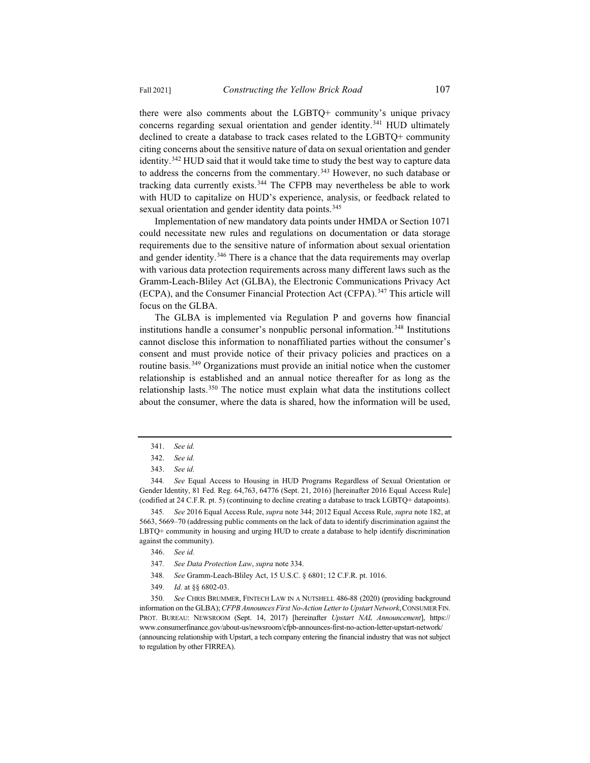there were also comments about the LGBTQ+ community's unique privacy concerns regarding sexual orientation and gender identity.<sup>341</sup> HUD ultimately declined to create a database to track cases related to the LGBTQ+ community citing concerns about the sensitive nature of data on sexual orientation and gender identity.<sup>342</sup> HUD said that it would take time to study the best way to capture data to address the concerns from the commentary.<sup>343</sup> However, no such database or tracking data currently exists.<sup>344</sup> The CFPB may nevertheless be able to work with HUD to capitalize on HUD's experience, analysis, or feedback related to sexual orientation and gender identity data points.<sup>345</sup>

Implementation of new mandatory data points under HMDA or Section 1071 could necessitate new rules and regulations on documentation or data storage requirements due to the sensitive nature of information about sexual orientation and gender identity.<sup>346</sup> There is a chance that the data requirements may overlap with various data protection requirements across many different laws such as the Gramm-Leach-Bliley Act (GLBA), the Electronic Communications Privacy Act (ECPA), and the Consumer Financial Protection Act (CFPA).347 This article will focus on the GLBA.

The GLBA is implemented via Regulation P and governs how financial institutions handle a consumer's nonpublic personal information.<sup>348</sup> Institutions cannot disclose this information to nonaffiliated parties without the consumer's consent and must provide notice of their privacy policies and practices on a routine basis.<sup>349</sup> Organizations must provide an initial notice when the customer relationship is established and an annual notice thereafter for as long as the relationship lasts.350 The notice must explain what data the institutions collect about the consumer, where the data is shared, how the information will be used,

- 348*. See* Gramm-Leach-Bliley Act, 15 U.S.C. § 6801; 12 C.F.R. pt. 1016.
- 349*. Id.* at §§ 6802-03.

<sup>341.</sup> *See id.*

<sup>342.</sup> *See id.*

<sup>343.</sup> *See id.*

<sup>344</sup>*. See* Equal Access to Housing in HUD Programs Regardless of Sexual Orientation or Gender Identity, 81 Fed. Reg. 64,763, 64776 (Sept. 21, 2016) [hereinafter 2016 Equal Access Rule] (codified at 24 C.F.R. pt. 5) (continuing to decline creating a database to track LGBTQ+ datapoints).

<sup>345</sup>*. See* 2016 Equal Access Rule, *supra* note 344; 2012 Equal Access Rule, *supra* note 182, at 5663, 5669–70 (addressing public comments on the lack of data to identify discrimination against the LBTQ+ community in housing and urging HUD to create a database to help identify discrimination against the community).

<sup>346.</sup> *See id.*

<sup>347</sup>*. See Data Protection Law*, *supra* note 334.

<sup>350</sup>*. See* CHRIS BRUMMER, FINTECH LAW IN A NUTSHELL 486-88 (2020) (providing background information on the GLBA); *CFPB Announces First No-Action Letter to Upstart Network*,CONSUMER FIN. PROT. BUREAU: NEWSROOM (Sept. 14, 2017) [hereinafter *Upstart NAL Announcement*], https:// www.consumerfinance.gov/about-us/newsroom/cfpb-announces-first-no-action-letter-upstart-network/ (announcing relationship with Upstart, a tech company entering the financial industry that was not subject to regulation by other FIRREA).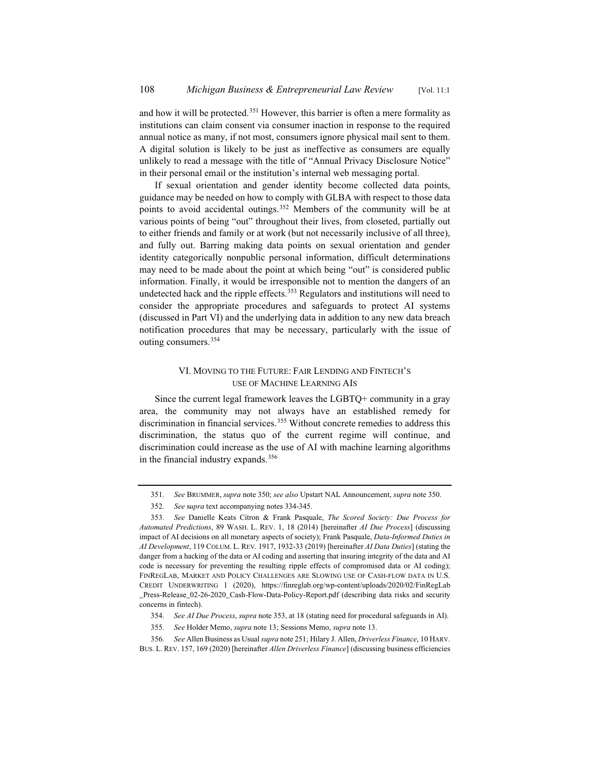and how it will be protected.<sup>351</sup> However, this barrier is often a mere formality as institutions can claim consent via consumer inaction in response to the required annual notice as many, if not most, consumers ignore physical mail sent to them. A digital solution is likely to be just as ineffective as consumers are equally unlikely to read a message with the title of "Annual Privacy Disclosure Notice" in their personal email or the institution's internal web messaging portal.

If sexual orientation and gender identity become collected data points, guidance may be needed on how to comply with GLBA with respect to those data points to avoid accidental outings.<sup>352</sup> Members of the community will be at various points of being "out" throughout their lives, from closeted, partially out to either friends and family or at work (but not necessarily inclusive of all three), and fully out. Barring making data points on sexual orientation and gender identity categorically nonpublic personal information, difficult determinations may need to be made about the point at which being "out" is considered public information. Finally, it would be irresponsible not to mention the dangers of an undetected hack and the ripple effects.<sup>353</sup> Regulators and institutions will need to consider the appropriate procedures and safeguards to protect AI systems (discussed in Part VI) and the underlying data in addition to any new data breach notification procedures that may be necessary, particularly with the issue of outing consumers.354

## VI. MOVING TO THE FUTURE: FAIR LENDING AND FINTECH'S USE OF MACHINE LEARNING AIS

Since the current legal framework leaves the LGBTQ+ community in a gray area, the community may not always have an established remedy for discrimination in financial services.<sup>355</sup> Without concrete remedies to address this discrimination, the status quo of the current regime will continue, and discrimination could increase as the use of AI with machine learning algorithms in the financial industry expands.<sup>356</sup>

<sup>351</sup>*. See* BRUMMER, *supra* note 350; *see also* Upstart NAL Announcement, *supra* note 350.

<sup>352</sup>*. See* s*upra* text accompanying notes 334-345.

<sup>353</sup>*. See* Danielle Keats Citron & Frank Pasquale, *The Scored Society: Due Process for Automated Predictions*, 89 WASH. L. REV. 1, 18 (2014) [hereinafter *AI Due Process*] (discussing impact of AI decisions on all monetary aspects of society); Frank Pasquale, *Data-Informed Duties in AI Development*, 119 COLUM. L. REV. 1917, 1932-33 (2019) [hereinafter *AI Data Duties*] (stating the danger from a hacking of the data or AI coding and asserting that insuring integrity of the data and AI code is necessary for preventing the resulting ripple effects of compromised data or AI coding); FINREGLAB, MARKET AND POLICY CHALLENGES ARE SLOWING USE OF CASH-FLOW DATA IN U.S. CREDIT UNDERWRITING 1 (2020), https://finreglab.org/wp-content/uploads/2020/02/FinRegLab \_Press-Release\_02-26-2020\_Cash-Flow-Data-Policy-Report.pdf (describing data risks and security concerns in fintech).

<sup>354</sup>*. See AI Due Process*, *supra* note 353, at 18 (stating need for procedural safeguards in AI).

<sup>355</sup>*. See* Holder Memo, *supra* note 13; Sessions Memo, *supra* note 13.

<sup>356</sup>*. See* Allen Business as Usual *supra* note 251; Hilary J. Allen, *Driverless Finance*, 10 HARV. BUS. L. REV. 157, 169 (2020) [hereinafter *Allen Driverless Finance*] (discussing business efficiencies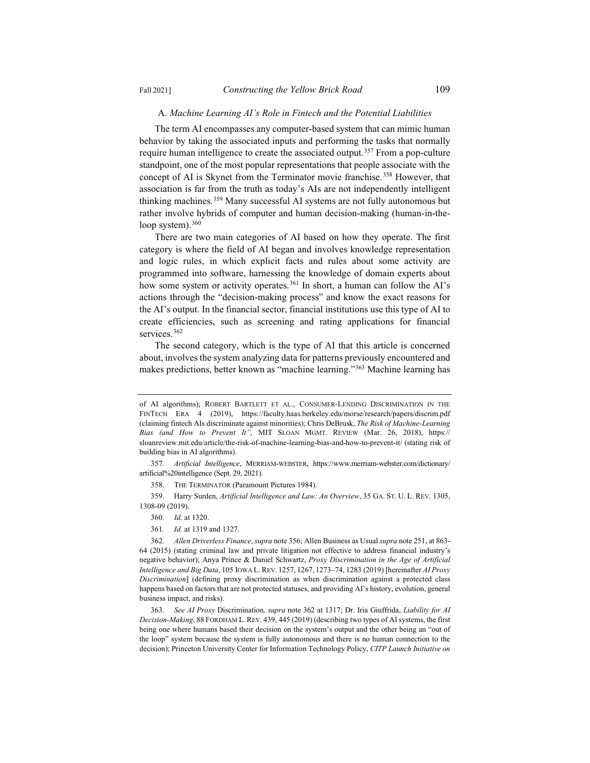#### A. *Machine Learning AI's Role in Fintech and the Potential Liabilities*

The term AI encompasses any computer-based system that can mimic human behavior by taking the associated inputs and performing the tasks that normally require human intelligence to create the associated output.<sup>357</sup> From a pop-culture standpoint, one of the most popular representations that people associate with the concept of AI is Skynet from the Terminator movie franchise.<sup>358</sup> However, that association is far from the truth as today's AIs are not independently intelligent thinking machines.<sup>359</sup> Many successful AI systems are not fully autonomous but rather involve hybrids of computer and human decision-making (human-in-theloop system). $360$ 

There are two main categories of AI based on how they operate. The first category is where the field of AI began and involves knowledge representation and logic rules, in which explicit facts and rules about some activity are programmed into software, harnessing the knowledge of domain experts about how some system or activity operates.<sup>361</sup> In short, a human can follow the AI's actions through the "decision-making process" and know the exact reasons for the AI's output. In the financial sector, financial institutions use this type of AI to create efficiencies, such as screening and rating applications for financial services.<sup>362</sup>

The second category, which is the type of AI that this article is concerned about, involves the system analyzing data for patterns previously encountered and makes predictions, better known as "machine learning."363 Machine learning has

359. Harry Surden, *Artificial Intelligence and Law: An Overview*, 35 GA. ST. U. L. REV. 1305, 1308-09 (2019).

- 360*. Id.* at 1320.
- 361*. Id.* at 1319 and 1327.

362*. Allen Driverless Finance*, *supra* note 356; Allen Business as Usual *supra* note 251, at 863- 64 (2015) (stating criminal law and private litigation not effective to address financial industry's negative behavior); Anya Prince & Daniel Schwartz, *Proxy Discrimination in the Age of Artificial Intelligence and Big Data*, 105 IOWA L. REV. 1257, 1267, 1273–74, 1283 (2019) [hereinafter *AI Proxy Discrimination*] (defining proxy discrimination as when discrimination against a protected class happens based on factors that are not protected statuses, and providing AI's history, evolution, general business impact, and risks).

363*. See AI Proxy* Discrimination*, supra* note 362 at 1317; Dr. Iria Giuffrida, *Liability for AI Decision-Making*, 88 FORDHAM L. REV. 439, 445 (2019) (describing two types of AI systems, the first being one where humans based their decision on the system's output and the other being an "out of the loop" system because the system is fully autonomous and there is no human connection to the decision); Princeton University Center for Information Technology Policy, *CITP Launch Initiative on* 

of AI algorithms); ROBERT BARTLETT ET AL., CONSUMER-LENDING DISCRIMINATION IN THE FINTECH ERA 4 (2019), https://faculty.haas.berkeley.edu/morse/research/papers/discrim.pdf (claiming fintech AIs discriminate against minorities); Chris DeBrusk, *The Risk of Machine-Learning Bias (and How to Prevent It"*, MIT SLOAN MGMT. REVIEW (Mar. 26, 2018), https:// sloanreview.mit.edu/article/the-risk-of-machine-learning-bias-and-how-to-prevent-it/ (stating risk of building bias in AI algorithms).

<sup>357</sup>*. Artificial Intelligence*, MERRIAM-WEBSTER, https://www.merriam-webster.com/dictionary/ artificial%20intelligence (Sept. 29, 2021).

<sup>358.</sup> THE TERMINATOR (Paramount Pictures 1984).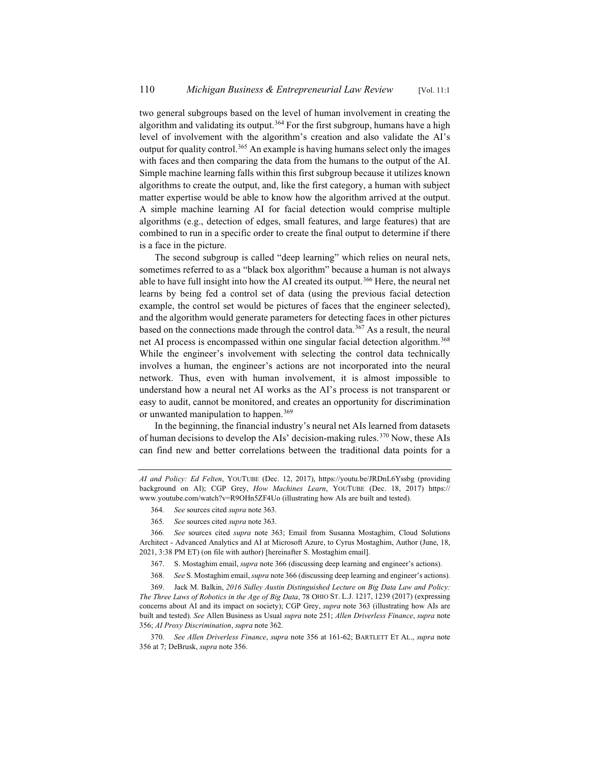two general subgroups based on the level of human involvement in creating the algorithm and validating its output.<sup>364</sup> For the first subgroup, humans have a high level of involvement with the algorithm's creation and also validate the AI's output for quality control.<sup>365</sup> An example is having humans select only the images with faces and then comparing the data from the humans to the output of the AI. Simple machine learning falls within this first subgroup because it utilizes known algorithms to create the output, and, like the first category, a human with subject matter expertise would be able to know how the algorithm arrived at the output. A simple machine learning AI for facial detection would comprise multiple algorithms (e.g., detection of edges, small features, and large features) that are combined to run in a specific order to create the final output to determine if there is a face in the picture.

The second subgroup is called "deep learning" which relies on neural nets, sometimes referred to as a "black box algorithm" because a human is not always able to have full insight into how the AI created its output.<sup>366</sup> Here, the neural net learns by being fed a control set of data (using the previous facial detection example, the control set would be pictures of faces that the engineer selected), and the algorithm would generate parameters for detecting faces in other pictures based on the connections made through the control data.367 As a result, the neural net AI process is encompassed within one singular facial detection algorithm.<sup>368</sup> While the engineer's involvement with selecting the control data technically involves a human, the engineer's actions are not incorporated into the neural network. Thus, even with human involvement, it is almost impossible to understand how a neural net AI works as the AI's process is not transparent or easy to audit, cannot be monitored, and creates an opportunity for discrimination or unwanted manipulation to happen.<sup>369</sup>

In the beginning, the financial industry's neural net AIs learned from datasets of human decisions to develop the AIs' decision-making rules.<sup>370</sup> Now, these AIs can find new and better correlations between the traditional data points for a

365*. See* sources cited *supra* note 363.

366*. See* sources cited *supra* note 363; Email from Susanna Mostaghim, Cloud Solutions Architect - Advanced Analytics and AI at Microsoft Azure, to Cyrus Mostaghim, Author (June, 18, 2021, 3:38 PM ET) (on file with author) [hereinafter S. Mostaghim email].

- 367. S. Mostaghim email, *supra* note 366 (discussing deep learning and engineer's actions).
- 368*. See* S. Mostaghim email, *supra* note 366 (discussing deep learning and engineer's actions).

369. Jack M. Balkin, *2016 Sidley Austin Distinguished Lecture on Big Data Law and Policy: The Three Laws of Robotics in the Age of Big Data*, 78 OHIO ST. L.J. 1217, 1239 (2017) (expressing concerns about AI and its impact on society); CGP Grey, *supra* note 363 (illustrating how AIs are built and tested). *See* Allen Business as Usual *supra* note 251; *Allen Driverless Finance*, *supra* note 356; *AI Proxy Discrimination*, *supra* note 362.

370*. See Allen Driverless Finance*, *supra* note 356 at 161-62; BARTLETT ET AL., *supra* note 356 at 7; DeBrusk, *supra* note 356.

*AI and Policy: Ed Felten*, YOUTUBE (Dec. 12, 2017), https://youtu.be/JRDnL6Yssbg (providing background on AI); CGP Grey, *How Machines Learn*, YOUTUBE (Dec. 18, 2017) https:// www.youtube.com/watch?v=R9OHn5ZF4Uo (illustrating how AIs are built and tested).

<sup>364</sup>*. See* sources cited *supra* note 363.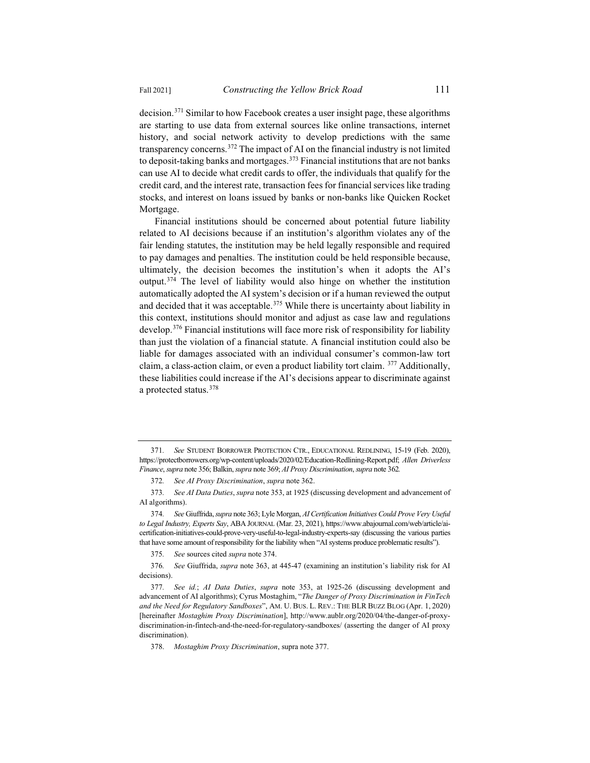decision.371 Similar to how Facebook creates a user insight page, these algorithms are starting to use data from external sources like online transactions, internet history, and social network activity to develop predictions with the same transparency concerns.372 The impact of AI on the financial industry is not limited to deposit-taking banks and mortgages.<sup>373</sup> Financial institutions that are not banks can use AI to decide what credit cards to offer, the individuals that qualify for the credit card, and the interest rate, transaction fees for financial services like trading stocks, and interest on loans issued by banks or non-banks like Quicken Rocket Mortgage.

Financial institutions should be concerned about potential future liability related to AI decisions because if an institution's algorithm violates any of the fair lending statutes, the institution may be held legally responsible and required to pay damages and penalties. The institution could be held responsible because, ultimately, the decision becomes the institution's when it adopts the AI's output.374 The level of liability would also hinge on whether the institution automatically adopted the AI system's decision or if a human reviewed the output and decided that it was acceptable.<sup>375</sup> While there is uncertainty about liability in this context, institutions should monitor and adjust as case law and regulations develop.376 Financial institutions will face more risk of responsibility for liability than just the violation of a financial statute. A financial institution could also be liable for damages associated with an individual consumer's common-law tort claim, a class-action claim, or even a product liability tort claim. <sup>377</sup> Additionally, these liabilities could increase if the AI's decisions appear to discriminate against a protected status.378

375*. See* sources cited *supra* note 374.

<sup>371</sup>*. See* STUDENT BORROWER PROTECTION CTR., EDUCATIONAL REDLINING, 15-19 (Feb. 2020), https://protectborrowers.org/wp-content/uploads/2020/02/Education-Redlining-Report.pdf; *Allen Driverless Finance*, *supra* note 356; Balkin, *supra* note 369; *AI Proxy Discrimination*, *supra* note 362*.*

<sup>372</sup>*. See AI Proxy Discrimination*, *supra* note 362.

<sup>373</sup>*. See AI Data Duties*, *supra* note 353, at 1925 (discussing development and advancement of AI algorithms).

<sup>374</sup>*. See* Giuffrida, *supra* note 363; Lyle Morgan, *AI Certification Initiatives Could Prove Very Useful to Legal Industry, Experts Say*, ABA JOURNAL (Mar. 23, 2021), https://www.abajournal.com/web/article/aicertification-initiatives-could-prove-very-useful-to-legal-industry-experts-say (discussing the various parties that have some amount of responsibility for the liability when "AI systems produce problematic results").

<sup>376</sup>*. See* Giuffrida, *supra* note 363, at 445-47 (examining an institution's liability risk for AI decisions).

<sup>377</sup>*. See id.*; *AI Data Duties*, *supra* note 353, at 1925-26 (discussing development and advancement of AI algorithms); Cyrus Mostaghim, "*The Danger of Proxy Discrimination in FinTech and the Need for Regulatory Sandboxes*", AM. U. BUS. L. REV.: THE BLR BUZZ BLOG (Apr. 1, 2020) [hereinafter *Mostaghim Proxy Discrimination*], http://www.aublr.org/2020/04/the-danger-of-proxydiscrimination-in-fintech-and-the-need-for-regulatory-sandboxes/ (asserting the danger of AI proxy discrimination).

<sup>378.</sup> *Mostaghim Proxy Discrimination*, supra note 377.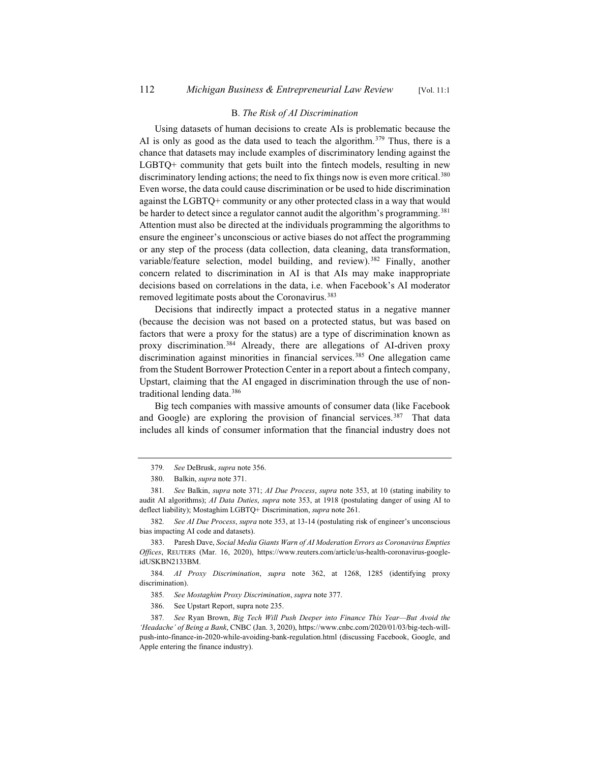## B. *The Risk of AI Discrimination*

Using datasets of human decisions to create AIs is problematic because the AI is only as good as the data used to teach the algorithm.<sup>379</sup> Thus, there is a chance that datasets may include examples of discriminatory lending against the LGBTQ+ community that gets built into the fintech models, resulting in new discriminatory lending actions; the need to fix things now is even more critical.<sup>380</sup> Even worse, the data could cause discrimination or be used to hide discrimination against the LGBTQ+ community or any other protected class in a way that would be harder to detect since a regulator cannot audit the algorithm's programming.<sup>381</sup> Attention must also be directed at the individuals programming the algorithms to ensure the engineer's unconscious or active biases do not affect the programming or any step of the process (data collection, data cleaning, data transformation, variable/feature selection, model building, and review).<sup>382</sup> Finally, another concern related to discrimination in AI is that AIs may make inappropriate decisions based on correlations in the data, i.e. when Facebook's AI moderator removed legitimate posts about the Coronavirus.<sup>383</sup>

Decisions that indirectly impact a protected status in a negative manner (because the decision was not based on a protected status, but was based on factors that were a proxy for the status) are a type of discrimination known as proxy discrimination.<sup>384</sup> Already, there are allegations of AI-driven proxy discrimination against minorities in financial services.<sup>385</sup> One allegation came from the Student Borrower Protection Center in a report about a fintech company, Upstart, claiming that the AI engaged in discrimination through the use of nontraditional lending data.386

Big tech companies with massive amounts of consumer data (like Facebook and Google) are exploring the provision of financial services.<sup>387</sup> That data includes all kinds of consumer information that the financial industry does not

382*. See AI Due Process*, *supra* note 353, at 13-14 (postulating risk of engineer's unconscious bias impacting AI code and datasets).

383. Paresh Dave, *Social Media Giants Warn of AI Moderation Errors as Coronavirus Empties Offices*, REUTERS (Mar. 16, 2020), https://www.reuters.com/article/us-health-coronavirus-googleidUSKBN2133BM.

384*. AI Proxy Discrimination*, *supra* note 362, at 1268, 1285 (identifying proxy discrimination).

385*. See Mostaghim Proxy Discrimination*, *supra* note 377.

386. See Upstart Report, supra note 235.

387*. See* Ryan Brown, *Big Tech Will Push Deeper into Finance This Year—But Avoid the 'Headache' of Being a Bank*, CNBC (Jan. 3, 2020), https://www.cnbc.com/2020/01/03/big-tech-willpush-into-finance-in-2020-while-avoiding-bank-regulation.html (discussing Facebook, Google, and Apple entering the finance industry).

<sup>379</sup>*. See* DeBrusk, *supra* note 356.

<sup>380.</sup> Balkin, *supra* note 371.

<sup>381</sup>*. See* Balkin, *supra* note 371; *AI Due Process*, *supra* note 353, at 10 (stating inability to audit AI algorithms); *AI Data Duties*, *supra* note 353, at 1918 (postulating danger of using AI to deflect liability); Mostaghim LGBTQ+ Discrimination, *supra* note 261.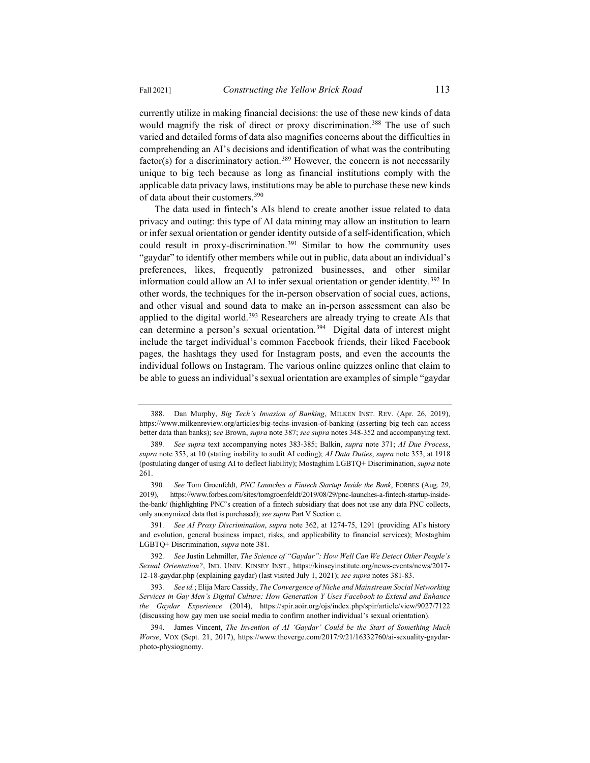currently utilize in making financial decisions: the use of these new kinds of data would magnify the risk of direct or proxy discrimination.<sup>388</sup> The use of such varied and detailed forms of data also magnifies concerns about the difficulties in comprehending an AI's decisions and identification of what was the contributing factor(s) for a discriminatory action.<sup>389</sup> However, the concern is not necessarily unique to big tech because as long as financial institutions comply with the applicable data privacy laws, institutions may be able to purchase these new kinds of data about their customers.390

The data used in fintech's AIs blend to create another issue related to data privacy and outing: this type of AI data mining may allow an institution to learn or infer sexual orientation or gender identity outside of a self-identification, which could result in proxy-discrimination.<sup>391</sup> Similar to how the community uses "gaydar" to identify other members while out in public, data about an individual's preferences, likes, frequently patronized businesses, and other similar information could allow an AI to infer sexual orientation or gender identity.<sup>392</sup> In other words, the techniques for the in-person observation of social cues, actions, and other visual and sound data to make an in-person assessment can also be applied to the digital world.<sup>393</sup> Researchers are already trying to create AIs that can determine a person's sexual orientation.<sup>394</sup> Digital data of interest might include the target individual's common Facebook friends, their liked Facebook pages, the hashtags they used for Instagram posts, and even the accounts the individual follows on Instagram. The various online quizzes online that claim to be able to guess an individual's sexual orientation are examples of simple "gaydar

391*. See AI Proxy Discrimination*, *supra* note 362, at 1274-75, 1291 (providing AI's history and evolution, general business impact, risks, and applicability to financial services); Mostaghim LGBTQ+ Discrimination, *supra* note 381.

<sup>388.</sup> Dan Murphy, *Big Tech's Invasion of Banking*, MILKEN INST. REV. (Apr. 26, 2019), https://www.milkenreview.org/articles/big-techs-invasion-of-banking (asserting big tech can access better data than banks); s*ee* Brown, *supra* note 387; *see supra* notes 348-352 and accompanying text.

<sup>389</sup>*. See supra* text accompanying notes 383-385; Balkin, *supra* note 371; *AI Due Process*, *supra* note 353, at 10 (stating inability to audit AI coding); *AI Data Duties*, *supra* note 353, at 1918 (postulating danger of using AI to deflect liability); Mostaghim LGBTQ+ Discrimination, *supra* note 261.

<sup>390</sup>*. See* Tom Groenfeldt, *PNC Launches a Fintech Startup Inside the Bank*, FORBES (Aug. 29, 2019), https://www.forbes.com/sites/tomgroenfeldt/2019/08/29/pnc-launches-a-fintech-startup-insidethe-bank/ (highlighting PNC's creation of a fintech subsidiary that does not use any data PNC collects, only anonymized data that is purchased); *see supra* Part V Section c.

<sup>392</sup>*. See* Justin Lehmiller, *The Science of "Gaydar": How Well Can We Detect Other People's Sexual Orientation?*, IND. UNIV. KINSEY INST., https://kinseyinstitute.org/news-events/news/2017- 12-18-gaydar.php (explaining gaydar) (last visited July 1, 2021); *see supra* notes 381-83.

<sup>393</sup>*. See id.*; Elija Marc Cassidy, *The Convergence of Niche and Mainstream Social Networking Services in Gay Men's Digital Culture: How Generation Y Uses Facebook to Extend and Enhance the Gaydar Experience* (2014), https://spir.aoir.org/ojs/index.php/spir/article/view/9027/7122 (discussing how gay men use social media to confirm another individual's sexual orientation).

<sup>394.</sup> James Vincent, *The Invention of AI 'Gaydar' Could be the Start of Something Much Worse*, VOX (Sept. 21, 2017), https://www.theverge.com/2017/9/21/16332760/ai-sexuality-gaydarphoto-physiognomy.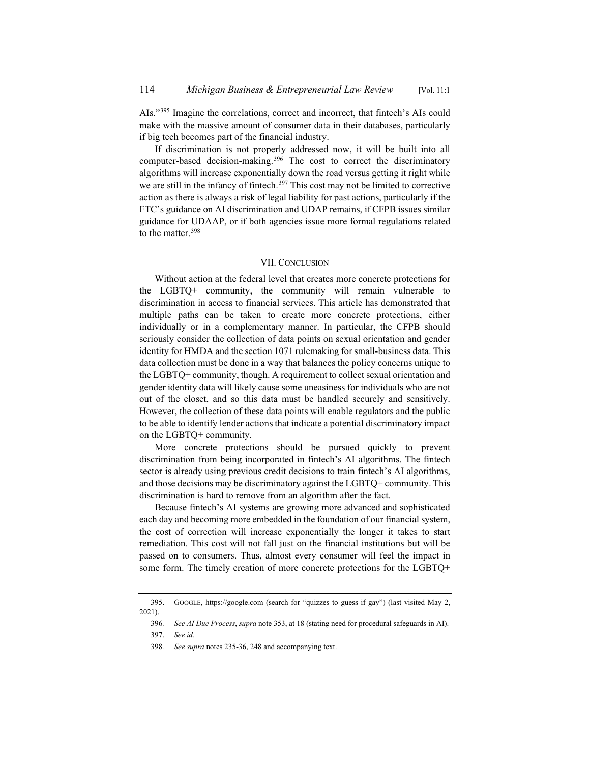AIs."395 Imagine the correlations, correct and incorrect, that fintech's AIs could make with the massive amount of consumer data in their databases, particularly if big tech becomes part of the financial industry.

If discrimination is not properly addressed now, it will be built into all computer-based decision-making.<sup>396</sup> The cost to correct the discriminatory algorithms will increase exponentially down the road versus getting it right while we are still in the infancy of fintech.<sup>397</sup> This cost may not be limited to corrective action as there is always a risk of legal liability for past actions, particularly if the FTC's guidance on AI discrimination and UDAP remains, if CFPB issues similar guidance for UDAAP, or if both agencies issue more formal regulations related to the matter.<sup>398</sup>

#### VII. CONCLUSION

Without action at the federal level that creates more concrete protections for the LGBTQ+ community, the community will remain vulnerable to discrimination in access to financial services. This article has demonstrated that multiple paths can be taken to create more concrete protections, either individually or in a complementary manner. In particular, the CFPB should seriously consider the collection of data points on sexual orientation and gender identity for HMDA and the section 1071 rulemaking for small-business data. This data collection must be done in a way that balances the policy concerns unique to the LGBTQ+ community, though. A requirement to collect sexual orientation and gender identity data will likely cause some uneasiness for individuals who are not out of the closet, and so this data must be handled securely and sensitively. However, the collection of these data points will enable regulators and the public to be able to identify lender actions that indicate a potential discriminatory impact on the LGBTQ+ community.

More concrete protections should be pursued quickly to prevent discrimination from being incorporated in fintech's AI algorithms. The fintech sector is already using previous credit decisions to train fintech's AI algorithms, and those decisions may be discriminatory against the LGBTQ+ community. This discrimination is hard to remove from an algorithm after the fact.

Because fintech's AI systems are growing more advanced and sophisticated each day and becoming more embedded in the foundation of our financial system, the cost of correction will increase exponentially the longer it takes to start remediation. This cost will not fall just on the financial institutions but will be passed on to consumers. Thus, almost every consumer will feel the impact in some form. The timely creation of more concrete protections for the LGBTQ+

<sup>395.</sup> GOOGLE, https://google.com (search for "quizzes to guess if gay") (last visited May 2, 2021).

<sup>396</sup>*. See AI Due Process*, *supra* note 353, at 18 (stating need for procedural safeguards in AI).

<sup>397.</sup> *See id*.

<sup>398</sup>*. See supra* notes 235-36, 248 and accompanying text.